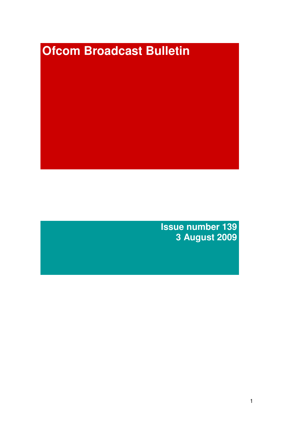# **Ofcom Broadcast Bulletin**

**Issue number 139 3 August 2009**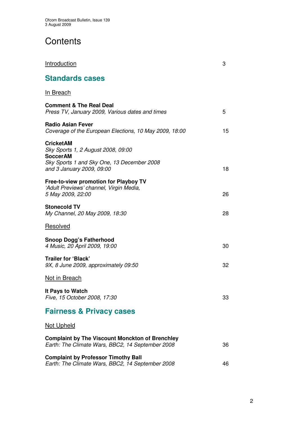# **Contents**

| <u>Introduction</u>                                                                                                                                  | 3  |
|------------------------------------------------------------------------------------------------------------------------------------------------------|----|
| <b>Standards cases</b>                                                                                                                               |    |
| In Breach                                                                                                                                            |    |
| <b>Comment &amp; The Real Deal</b><br>Press TV, January 2009, Various dates and times                                                                | 5  |
| <b>Radio Asian Fever</b><br>Coverage of the European Elections, 10 May 2009, 18:00                                                                   | 15 |
| <b>CricketAM</b><br>Sky Sports 1, 2 August 2008, 09:00<br><b>SoccerAM</b><br>Sky Sports 1 and Sky One, 13 December 2008<br>and 3 January 2009, 09:00 | 18 |
| Free-to-view promotion for Playboy TV<br>'Adult Previews' channel, Virgin Media,<br>5 May 2009, 22:00                                                | 26 |
| <b>Stonecold TV</b><br>My Channel, 20 May 2009, 18:30                                                                                                | 28 |
| Resolved                                                                                                                                             |    |
| <b>Snoop Dogg's Fatherhood</b><br>4 Music, 20 April 2009, 19:00                                                                                      | 30 |
| <b>Trailer for 'Black'</b><br>9X, 8 June 2009, approximately 09:50                                                                                   | 32 |
| <b>Not in Breach</b>                                                                                                                                 |    |
| It Pays to Watch<br>Five, 15 October 2008, 17:30                                                                                                     | 33 |
| <b>Fairness &amp; Privacy cases</b>                                                                                                                  |    |
| <b>Not Upheld</b>                                                                                                                                    |    |
| <b>Complaint by The Viscount Monckton of Brenchley</b><br>Earth: The Climate Wars, BBC2, 14 September 2008                                           | 36 |
| <b>Complaint by Professor Timothy Ball</b><br>Earth: The Climate Wars, BBC2, 14 September 2008                                                       | 46 |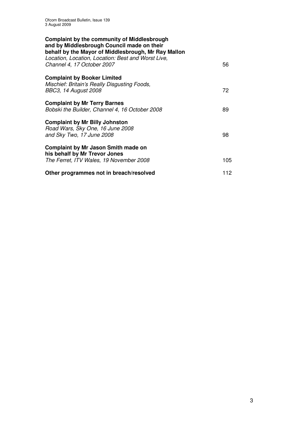| <b>Complaint by the community of Middlesbrough</b><br>and by Middlesbrough Council made on their<br>behalf by the Mayor of Middlesbrough, Mr Ray Mallon |     |
|---------------------------------------------------------------------------------------------------------------------------------------------------------|-----|
| Location, Location, Location: Best and Worst Live,<br>Channel 4, 17 October 2007                                                                        | 56  |
| <b>Complaint by Booker Limited</b><br>Mischief: Britain's Really Disgusting Foods,                                                                      |     |
| BBC3, 14 August 2008                                                                                                                                    | 72  |
| <b>Complaint by Mr Terry Barnes</b><br>Bobski the Builder, Channel 4, 16 October 2008                                                                   | 89  |
| <b>Complaint by Mr Billy Johnston</b><br>Road Wars, Sky One, 16 June 2008<br>and Sky Two, 17 June 2008                                                  | 98  |
| <b>Complaint by Mr Jason Smith made on</b><br>his behalf by Mr Trevor Jones                                                                             |     |
| The Ferret, ITV Wales, 19 November 2008                                                                                                                 | 105 |
| Other programmes not in breach/resolved                                                                                                                 | 112 |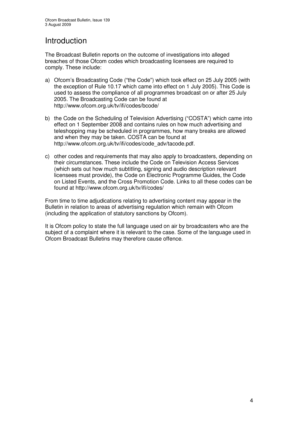# Introduction

The Broadcast Bulletin reports on the outcome of investigations into alleged breaches of those Ofcom codes which broadcasting licensees are required to comply. These include:

- a) Ofcom's Broadcasting Code ("the Code") which took effect on 25 July 2005 (with the exception of Rule 10.17 which came into effect on 1 July 2005). This Code is used to assess the compliance of all programmes broadcast on or after 25 July 2005. The Broadcasting Code can be found at http://www.ofcom.org.uk/tv/ifi/codes/bcode/
- b) the Code on the Scheduling of Television Advertising ("COSTA") which came into effect on 1 September 2008 and contains rules on how much advertising and teleshopping may be scheduled in programmes, how many breaks are allowed and when they may be taken. COSTA can be found at http://www.ofcom.org.uk/tv/ifi/codes/code\_adv/tacode.pdf.
- c) other codes and requirements that may also apply to broadcasters, depending on their circumstances. These include the Code on Television Access Services (which sets out how much subtitling, signing and audio description relevant licensees must provide), the Code on Electronic Programme Guides, the Code on Listed Events, and the Cross Promotion Code. Links to all these codes can be found at http://www.ofcom.org.uk/tv/ifi/codes/

From time to time adjudications relating to advertising content may appear in the Bulletin in relation to areas of advertising regulation which remain with Ofcom (including the application of statutory sanctions by Ofcom).

It is Ofcom policy to state the full language used on air by broadcasters who are the subject of a complaint where it is relevant to the case. Some of the language used in Ofcom Broadcast Bulletins may therefore cause offence.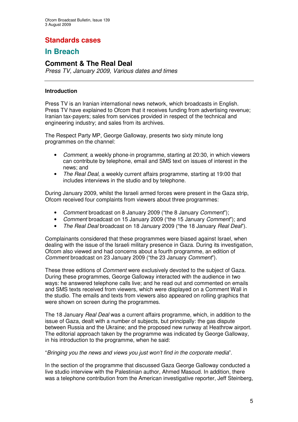# **Standards cases**

# **In Breach**

## **Comment & The Real Deal**

*Press TV, January 2009, Various dates and times*

### **Introduction**

Press TV is an Iranian international news network, which broadcasts in English. Press TV have explained to Ofcom that it receives funding from advertising revenue; Iranian tax-payers; sales from services provided in respect of the technical and engineering industry; and sales from its archives.

The Respect Party MP, George Galloway, presents two sixty minute long programmes on the channel:

- *Comment*, a weekly phone-in programme, starting at 20:30, in which viewers can contribute by telephone, email and SMS text on issues of interest in the news; and
- *The Real Deal*, a weekly current affairs programme, starting at 19:00 that includes interviews in the studio and by telephone.

During January 2009, whilst the Israeli armed forces were present in the Gaza strip, Ofcom received four complaints from viewers about three programmes:

- *Comment* broadcast on 8 January 2009 ("the 8 January *Comment*");
- *Comment* broadcast on 15 January 2009 ("the 15 January *Comment*"); and
- *The Real Deal* broadcast on 18 January 2009 ("the 18 January *Real Deal*").

Complainants considered that these programmes were biased against Israel, when dealing with the issue of the Israeli military presence in Gaza. During its investigation, Ofcom also viewed and had concerns about a fourth programme, an edition of *Comment* broadcast on 23 January 2009 ("the 23 January *Comment*").

These three editions of *Comment* were exclusively devoted to the subject of Gaza. During these programmes, George Galloway interacted with the audience in two ways: he answered telephone calls live; and he read out and commented on emails and SMS texts received from viewers, which were displayed on a Comment Wall in the studio. The emails and texts from viewers also appeared on rolling graphics that were shown on screen during the programmes.

The 18 January *Real Deal* was a current affairs programme, which, in addition to the issue of Gaza, dealt with a number of subjects, but principally: the gas dispute between Russia and the Ukraine; and the proposed new runway at Heathrow airport. The editorial approach taken by the programme was indicated by George Galloway, in his introduction to the programme, when he said:

### "*Bringing you the news and views you just won't find in the corporate media*".

In the section of the programme that discussed Gaza George Galloway conducted a live studio interview with the Palestinian author, Ahmed Masoud. In addition, there was a telephone contribution from the American investigative reporter, Jeff Steinberg,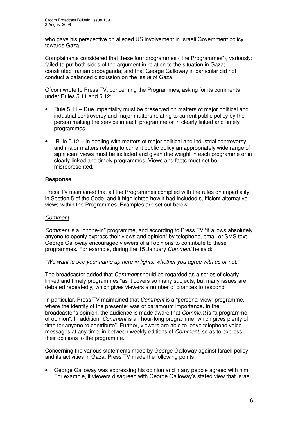who gave his perspective on alleged US involvement in Israeli Government policy towards Gaza.

Complainants considered that these four programmes ("the Programmes"), variously: failed to put both sides of the argument in relation to the situation in Gaza: constituted Iranian propaganda; and that George Galloway in particular did not conduct a balanced discussion on the issue of Gaza.

Ofcom wrote to Press TV, concerning the Programmes, asking for its comments under Rules 5.11 and 5.12:

- Rule 5.11 Due impartiality must be preserved on matters of major political and industrial controversy and major matters relating to current public policy by the person making the service in each programme or in clearly linked and timely programmes.
- Rule 5.12 In dealing with matters of major political and industrial controversy and major matters relating to current public policy an appropriately wide range of significant views must be included and given due weight in each programme or in clearly linked and timely programmes. Views and facts must not be misrepresented.

### **Response**

Press TV maintained that all the Programmes complied with the rules on impartiality in Section 5 of the Code, and it highlighted how it had included sufficient alternative views within the Programmes. Examples are set out below.

### *Comment*

*Comment* is a "phone-in" programme, and according to Press TV "it allows absolutely anyone to openly express their views and opinion" by telephone, email or SMS text. George Galloway encouraged viewers of all opinions to contribute to these programmes. For example, during the 15 January *Comment* he said:

*"We want to see your name up here in lights, whether you agree with us or not."*

The broadcaster added that *Comment* should be regarded as a series of clearly linked and timely programmes "as it covers so many subjects, but many issues are debated repeatedly, which gives viewers a number of chances to respond".

In particular, Press TV maintained that *Comment* is a "personal view" programme, where the identity of the presenter was of paramount importance. In the broadcaster's opinion, the audience is made aware that *Comment* is *"*a programme of opinion". In addition, *Comment* is an hour-long programme "which gives plenty of time for anyone to contribute". Further, viewers are able to leave telephone voice messages at any time, in between weekly editions of *Comment*, so as to express their opinions to the programme.

Concerning the various statements made by George Galloway against Israeli policy and its activities in Gaza, Press TV made the following points:

• George Galloway was expressing his opinion and many people agreed with him. For example, if viewers disagreed with George Galloway's stated view that Israel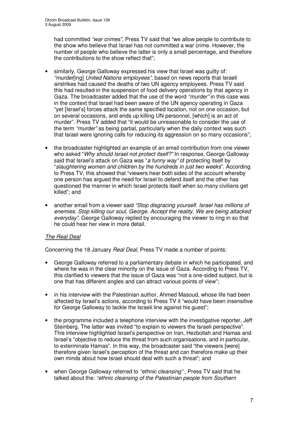had committed *"war crimes",* Press TV said that "we allow people to contribute to the show who believe that Israel has not committed a war crime. However, the number of people who believe the latter is only a small percentage, and therefore the contributions to the show reflect that";

- similarly, George Galloway expressed his view that Israel was guilty of: *"murder*[ing] *United Nations employees"*, based on news reports that Israeli airstrikes had caused the deaths of two UN agency employees. Press TV said this had resulted in the suspension of food delivery operations by that agency in Gaza. The broadcaster added that the use of the word *"murder"* in this case was in the context that Israel had been aware of the UN agency operating in Gaza "yet [Israel's] forces attack the same specified location, not on one occasion, but on several occasions, and ends up killing UN personnel, [which] is an act of murder". Press TV added that "it would be unreasonable to consider the use of the term *"murder"* as being partial, particularly when the daily context was such that Israel were ignoring calls for reducing its aggression on so many occasions";
- the broadcaster highlighted an example of an email contribution from one viewer who asked "*Why should Israel not protect itself?"* In response, George Galloway said that Israel's attack on Gaza was "*a funny way"* of protecting itself by "*slaughtering women and children by the hundreds in just two weeks*". According to Press TV, this showed that "viewers hear both sides of the account whereby one person has argued the need for Israel to defend itself and the other has questioned the manner in which Israel protects itself when so many civilians get killed"; and
- another email from a viewer said *"Stop disgracing yourself. Israel has millions of enemies. Stop killing our soul, George. Accept the reality. We are being attacked everyday"*. George Galloway replied by encouraging the viewer to ring in so that he could hear her view in more detail.

### *The Real Deal*

Concerning the 18 January *Real Deal*, Press TV made a number of points:

- George Galloway referred to a parliamentary debate in which he participated, and where he was in the clear minority on the issue of Gaza. According to Press TV, this clarified to viewers that the issue of Gaza was "not a one-sided subject, but is one that has different angles and can attract various points of view";
- in his interview with the Palestinian author, Ahmed Masoud, whose life had been affected by Israel's actions, according to Press TV it "would have been insensitive for George Galloway to tackle the Israeli line against his quest";
- the programme included a telephone interview with the investigative reporter, Jeff Steinberg. The latter was invited "to explain to viewers the Israeli perspective". This interview highlighted Israel's perspective on Iran, Hezbollah and Hamas and Israel's "objective to reduce the threat from such organisations, and in particular, to exterminate Hamas". In this way, the broadcaster said "the viewers [were] therefore given Israel's perception of the threat and can therefore make up their own minds about how Israel should deal with such a threat"; and
- when George Galloway referred to *"ethnic cleansing"* , Press TV said that he talked about the: *"ethnic cleansing of the Palestinian people from Southern*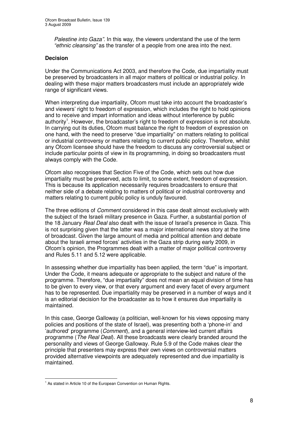*Palestine into Gaza".* In this way, the viewers understand the use of the term *"ethnic cleansing"* as the transfer of a people from one area into the next.

### **Decision**

Under the Communications Act 2003, and therefore the Code, due impartiality must be preserved by broadcasters in all major matters of political or industrial policy. In dealing with these major matters broadcasters must include an appropriately wide range of significant views.

When interpreting due impartiality, Ofcom must take into account the broadcaster's and viewers' right to freedom of expression, which includes the right to hold opinions and to receive and impart information and ideas without interference by public authority<sup>1</sup>. However, the broadcaster's right to freedom of expression is not absolute. In carrying out its duties, Ofcom must balance the right to freedom of expression on one hand, with the need to preserve "due impartiality" on matters relating to political or industrial controversy or matters relating to current public policy. Therefore, whilst any Ofcom licensee should have the freedom to discuss any controversial subject or include particular points of view in its programming, in doing so broadcasters must always comply with the Code.

Ofcom also recognises that Section Five of the Code, which sets out how due impartiality must be preserved, acts to limit, to some extent, freedom of expression. This is because its application necessarily requires broadcasters to ensure that neither side of a debate relating to matters of political or industrial controversy and matters relating to current public policy is unduly favoured.

The three editions of *Comment* considered in this case dealt almost exclusively with the subject of the Israeli military presence in Gaza. Further, a substantial portion of the 18 January *Real Deal* also dealt with the issue of Israel's presence in Gaza. This is not surprising given that the latter was a major international news story at the time of broadcast*.* Given the large amount of media and political attention and debate about the Israeli armed forces' activities in the Gaza strip during early 2009, in Ofcom's opinion, the Programmes dealt with a matter of major political controversy and Rules 5.11 and 5.12 were applicable.

In assessing whether due impartiality has been applied, the term "due" is important. Under the Code, it means adequate or appropriate to the subject and nature of the programme. Therefore, "due impartiality" does not mean an equal division of time has to be given to every view, or that every argument and every facet of every argument has to be represented. Due impartiality may be preserved in a number of ways and it is an editorial decision for the broadcaster as to how it ensures due impartiality is maintained.

In this case, George Galloway (a politician, well-known for his views opposing many policies and positions of the state of Israel), was presenting both a 'phone-in' and 'authored' programme (*Comment*), and a general interview-led current affairs programme (*The Real Deal*). All these broadcasts were clearly branded around the personality and views of George Galloway. Rule 5.9 of the Code makes clear the principle that presenters may express their own views on controversial matters provided alternative viewpoints are adequately represented and due impartiality is maintained.

 $<sup>1</sup>$  As stated in Article 10 of the European Convention on Human Rights.</sup>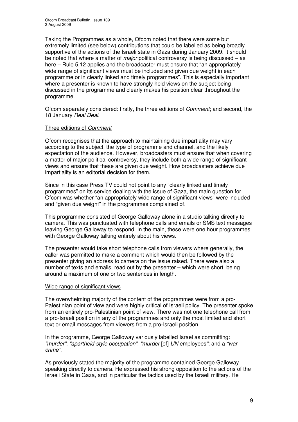Taking the Programmes as a whole, Ofcom noted that there were some but extremely limited (see below) contributions that could be labelled as being broadly supportive of the actions of the Israeli state in Gaza during January 2009. It should be noted that where a matter of *major* political controversy is being discussed – as here – Rule 5.12 applies and the broadcaster must ensure that "an appropriately wide range of significant views must be included and given due weight in each programme or in clearly linked and timely programmes". This is especially important where a presenter is known to have strongly held views on the subject being discussed in the programme and clearly makes his position clear throughout the programme.

Ofcom separately considered: firstly, the three editions of *Comment*; and second, the 18 January *Real Deal*.

### Three editions of *Comment*

Ofcom recognises that the approach to maintaining due impartiality may vary according to the subject, the type of programme and channel, and the likely expectation of the audience. However, broadcasters must ensure that when covering a matter of major political controversy, they include both a wide range of significant views and ensure that these are given due weight. How broadcasters achieve due impartiality is an editorial decision for them.

Since in this case Press TV could not point to any "clearly linked and timely programmes" on its service dealing with the issue of Gaza, the main question for Ofcom was whether "an appropriately wide range of significant views" were included and "given due weight" in the programmes complained of.

This programme consisted of George Galloway alone in a studio talking directly to camera. This was punctuated with telephone calls and emails or SMS text messages leaving George Galloway to respond. In the main, these were one hour programmes with George Galloway talking entirely about his views.

The presenter would take short telephone calls from viewers where generally, the caller was permitted to make a comment which would then be followed by the presenter giving an address to camera on the issue raised. There were also a number of texts and emails, read out by the presenter – which were short, being around a maximum of one or two sentences in length.

### Wide range of significant views

The overwhelming majority of the content of the programmes were from a pro-Palestinian point of view and were highly critical of Israeli policy. The presenter spoke from an entirely pro-Palestinian point of view. There was not one telephone call from a pro-Israeli position in any of the programmes and only the most limited and short text or email messages from viewers from a pro-Israeli position.

In the programme, George Galloway variously labelled Israel as committing: *"murder"*; *"apartheid-style occupation"*; *"murder* [of] *UN* employees*"*; and a *"war crime"*.

As previously stated the majority of the programme contained George Galloway speaking directly to camera. He expressed his strong opposition to the actions of the Israeli State in Gaza, and in particular the tactics used by the Israeli military. He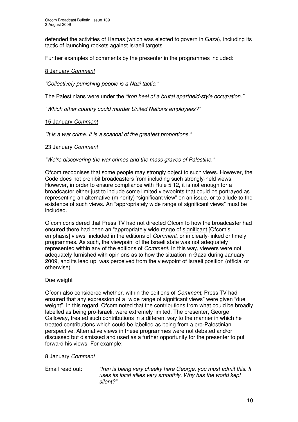defended the activities of Hamas (which was elected to govern in Gaza), including its tactic of launching rockets against Israeli targets.

Further examples of comments by the presenter in the programmes included:

### 8 January *Comment*

*"Collectively punishing people is a Nazi tactic."*

The Palestinians were under the *"iron heel of a brutal apartheid-style occupation."*

*"Which other country could murder United Nations employees?"*

### 15 January *Comment*

*"It is a war crime. It is a scandal of the greatest proportions."*

### 23 January *Comment*

*"We're discovering the war crimes and the mass graves of Palestine."*

Ofcom recognises that some people may strongly object to such views. However, the Code does not prohibit broadcasters from including such strongly-held views. However, in order to ensure compliance with Rule 5.12, it is not enough for a broadcaster either just to include some limited viewpoints that could be portrayed as representing an alternative (minority) "significant view" on an issue, or to allude to the existence of such views. An "appropriately wide range of significant views" must be included.

Ofcom considered that Press TV had not directed Ofcom to how the broadcaster had ensured there had been an "appropriately wide range of significant [Ofcom's emphasis] views" included in the editions of *Comment*, or in clearly-linked or timely programmes. As such, the viewpoint of the Israeli state was not adequately represented within any of the editions of *Comment*. In this way, viewers were not adequately furnished with opinions as to how the situation in Gaza during January 2009, and its lead up, was perceived from the viewpoint of Israeli position (official or otherwise).

### Due weight

Ofcom also considered whether, within the editions of *Comment*, Press TV had ensured that any expression of a "wide range of significant views" were given "due weight". In this regard, Ofcom noted that the contributions from what could be broadly labelled as being pro-Israeli, were extremely limited. The presenter, George Galloway, treated such contributions in a different way to the manner in which he treated contributions which could be labelled as being from a pro-Palestinian perspective. Alternative views in these programmes were not debated and/or discussed but dismissed and used as a further opportunity for the presenter to put forward his views. For example:

### 8 January *Comment*

Email read out: *"Iran is being very cheeky here George, you must admit this. It uses its local allies very smoothly. Why has the world kept silent?"*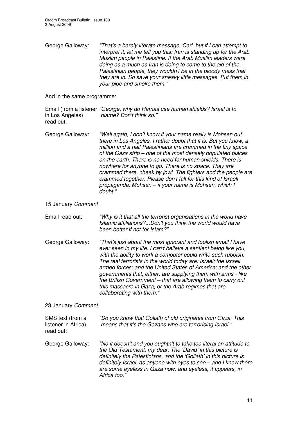George Galloway: *"That's a barely literate message, Carl, but if I can attempt to interpret it, let me tell you this: Iran is standing up for the Arab Muslim people in Palestine. If the Arab Muslim leaders were doing as a much as Iran is doing to come to the aid of the Palestinian people, they wouldn't be in the bloody mess that they are in. So save your sneaky little messages. Put them in your pipe and smoke them."*

And in the same programme:

Email (from a listener *"George, why do Hamas use human shields? Israel is to* in Los Angeles) *blame? Don't think so."* read out:

George Galloway: *"Well again, I don't know if your name really is Mohsen out there in Los Angeles. I rather doubt that it is. But you know, a million and a half Palestinians are crammed in the tiny space of the Gaza strip – one of the most densely populated places on the earth. There is no need for human shields. There is nowhere for anyone to go. There is no space. They are crammed there, cheek by jowl. The fighters and the people are crammed together. Please don't fall for this kind of Israeli propaganda, Mohsen – if your name is Mohsen, which I doubt."*

### 15 January *Comment*

| Email read out: | "Why is it that all the terrorist organisations in the world have |
|-----------------|-------------------------------------------------------------------|
|                 | Islamic affiliations?Don't you think the world would have         |
|                 | been better if not for Islam?"                                    |

George Galloway: *"That's just about the most ignorant and foolish email I have ever seen in my life. I can't believe a sentient being like you, with the ability to work a computer could write such rubbish. The real terrorists in the world today are: Israel; the Israeli armed forces; and the United States of America; and the other governments that, either, are supplying them with arms - like the British Government – that are allowing them to carry out this massacre in Gaza, or the Arab regimes that are collaborating with them."*

### 23 January *Comment*

| SMS text (from a<br>listener in Africa)<br>read out: | "Do you know that Goliath of old originates from Gaza. This<br>means that it's the Gazans who are terrorising Israel."                                                                                                                                                                                                                                 |
|------------------------------------------------------|--------------------------------------------------------------------------------------------------------------------------------------------------------------------------------------------------------------------------------------------------------------------------------------------------------------------------------------------------------|
| George Galloway:                                     | "No it doesn't and you oughtn't to take too literal an attitude to<br>the Old Testament, my dear. The 'David' in this picture is<br>definitely the Palestinians, and the 'Goliath' in this picture is<br>definitely Israel, as anyone with eyes to see - and I know there<br>are some eyeless in Gaza now, and eyeless, it appears, in<br>Africa too." |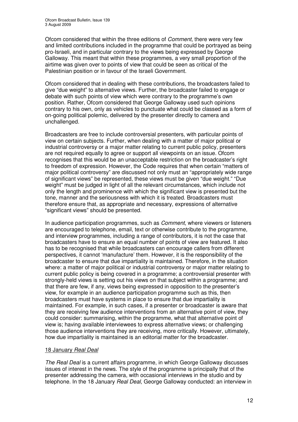Ofcom considered that within the three editions of *Comment*, there were very few and limited contributions included in the programme that could be portrayed as being pro-Israeli, and in particular contrary to the views being expressed by George Galloway. This meant that within these programmes, a very small proportion of the airtime was given over to points of view that could be seen as critical of the Palestinian position or in favour of the Israeli Government.

Ofcom considered that in dealing with these contributions, the broadcasters failed to give "due weight" to alternative views. Further, the broadcaster failed to engage or debate with such points of view which were contrary to the programme's own position. Rather, Ofcom considered that George Galloway used such opinions contrary to his own, only as vehicles to punctuate what could be classed as a form of on-going political polemic, delivered by the presenter directly to camera and unchallenged.

Broadcasters are free to include controversial presenters, with particular points of view on certain subjects. Further, when dealing with a matter of major political or industrial controversy or a major matter relating to current public policy, presenters are not required equally to agree or support all viewpoints on an issue. Ofcom recognises that this would be an unacceptable restriction on the broadcaster's right to freedom of expression. However, the Code requires that when certain "matters of major political controversy" are discussed not only must an "appropriately wide range of significant views" be represented, these views must be given "due weight." "Due weight" must be judged in light of all the relevant circumstances, which include not only the length and prominence with which the significant view is presented but the tone, manner and the seriousness with which it is treated. Broadcasters must therefore ensure that, as appropriate and necessary, expressions of alternative "significant views" should be presented.

In audience participation programmes, such as *Comment*, where viewers or listeners are encouraged to telephone, email, text or otherwise contribute to the programme, and interview programmes, including a range of contributors, it is not the case that broadcasters have to ensure an equal number of points of view are featured. It also has to be recognised that while broadcasters can encourage callers from different perspectives, it cannot 'manufacture' them. However, it is the responsibility of the broadcaster to ensure that due impartiality is maintained. Therefore, in the situation where: a matter of major political or industrial controversy or major matter relating to current public policy is being covered in a programme; a controversial presenter with strongly-held views is setting out his views on that subject within a programme; and that there are few, if any, views being expressed in opposition to the presenter's view, for example in an audience participation programme such as this, then broadcasters must have systems in place to ensure that due impartiality is maintained. For example, in such cases, if a presenter or broadcaster is aware that they are receiving few audience interventions from an alternative point of view, they could consider: summarising, within the programme, what that alternative point of view is; having available interviewees to express alternative views; or challenging those audience interventions they are receiving, more critically. However, ultimately, how due impartiality is maintained is an editorial matter for the broadcaster.

### 18 January *Real Deal*

*The Real Deal* is a current affairs programme, in which George Galloway discusses issues of interest in the news. The style of the programme is principally that of the presenter addressing the camera, with occasional interviews in the studio and by telephone. In the 18 January *Real Deal*, George Galloway conducted: an interview in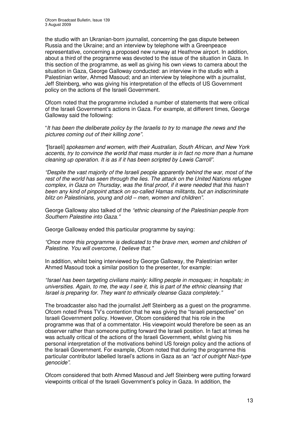the studio with an Ukranian-born journalist, concerning the gas dispute between Russia and the Ukraine; and an interview by telephone with a Greenpeace representative, concerning a proposed new runway at Heathrow airport. In addition, about a third of the programme was devoted to the issue of the situation in Gaza. In this section of the programme, as well as giving his own views to camera about the situation in Gaza, George Galloway conducted: an interview in the studio with a Palestinian writer, Ahmed Masoud; and an interview by telephone with a journalist, Jeff Steinberg, who was giving his interpretation of the effects of US Government policy on the actions of the Israeli Government.

Ofcom noted that the programme included a number of statements that were critical of the Israeli Government's actions in Gaza. For example, at different times, George Galloway said the following:

"*It has been the deliberate policy by the Israelis to try to manage the news and the pictures coming out of their killing zone".*

*"*[Israeli] *spokesmen and women, with their Australian, South African, and New York accents, try to convince the world that mass murder is in fact no more than a humane cleaning up operation. It is as if it has been scripted by Lewis Carroll".*

*"Despite the vast majority of the Israeli people apparently behind the war, most of the rest of the world has seen through the lies. The attack on the United Nations refugee complex, in Gaza on Thursday, was the final proof, if it were needed that this hasn't been any kind of pinpoint attack on so-called Hamas militants, but an indiscriminate blitz on Palestinians, young and old – men, women and children".*

George Galloway also talked of the *"ethnic cleansing of the Palestinian people from Southern Palestine into Gaza."*

George Galloway ended this particular programme by saying:

*"Once more this programme is dedicated to the brave men, women and children of Palestine. You will overcome, I believe that."*

In addition, whilst being interviewed by George Galloway*,* the Palestinian writer Ahmed Masoud took a similar position to the presenter, for example:

*"Israel has been targeting civilians mainly: killing people in mosques; in hospitals; in universities. Again, to me, the way I see it, this is part of the ethnic cleansing that Israel is preparing for. They want to ethnically cleanse Gaza completely."*

The broadcaster also had the journalist Jeff Steinberg as a guest on the programme. Ofcom noted Press TV's contention that he was giving the "Israeli perspective" on Israeli Government policy. However, Ofcom considered that his role in the programme was that of a commentator. His viewpoint would therefore be seen as an observer rather than someone putting forward the Israeli position. In fact at times he was actually critical of the actions of the Israeli Government, whilst giving his personal interpretation of the motivations behind US foreign policy and the actions of the Israeli Government. For example, Ofcom noted that during the programme this particular contributor labelled Israel's actions in Gaza as an *"act of outright Nazi-type genocide"*.

Ofcom considered that both Ahmed Masoud and Jeff Steinberg were putting forward viewpoints critical of the Israeli Government's policy in Gaza. In addition, the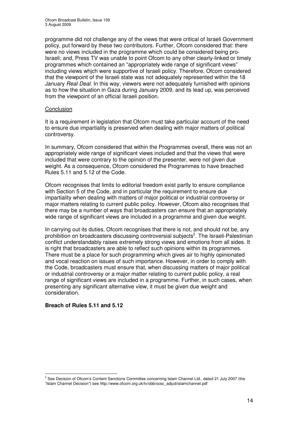programme did not challenge any of the views that were critical of Israeli Government policy, put forward by these two contributors. Further, Ofcom considered that: there were no views included in the programme which could be considered being pro-Israeli; and, Press TV was unable to point Ofcom to any other clearly-linked or timely programmes which contained an "appropriately wide range of significant views" including views whjch were supportive of Israeli policy. Therefore, Ofcom considered that the viewpoint of the Israeli state was not adequately represented within the 18 January *Real Deal.* In this way, viewers were not adequately furnished with opinions as to how the situation in Gaza during January 2009, and its lead up, was perceived from the viewpoint of an official Israeli position.

### Conclusion

It is a requirement in legislation that Ofcom must take particular account of the need to ensure due impartiality is preserved when dealing with major matters of political controversy.

In summary, Ofcom considered that within the Programmes overall, there was not an appropriately wide range of significant views included and that the views that were included that were contrary to the opinion of the presenter, were not given due weight. As a consequence, Ofcom considered the Programmes to have breached Rules 5.11 and 5.12 of the Code.

Ofcom recognises that limits to editorial freedom exist partly to ensure compliance with Section 5 of the Code, and in particular the requirement to ensure due impartiality when dealing with matters of major political or industrial controversy or major matters relating to current public policy. However, Ofcom also recognises that there may be a number of ways that broadcasters can ensure that an appropriately wide range of significant views are included in a programme and given due weight.

In carrying out its duties, Ofcom recognises that there is not, and should not be, any prohibition on broadcasters discussing controversial subjects<sup>2</sup>. The Israeli-Palestinian conflict understandably raises extremely strong views and emotions from all sides. It is right that broadcasters are able to reflect such opinions within its programmes. There must be a place for such programming which gives air to highly opinionated and vocal reaction on issues of such importance. However, in order to comply with the Code, broadcasters must ensure that, when discussing matters of major political or industrial controversy or a major matter relating to current public policy, a real range of significant views are included in a programme. Further, in such cases, when presenting any significant alternative view, it must be given due weight and consideration.

### **Breach of Rules 5.11 and 5.12**

<sup>&</sup>lt;sup>2</sup> See Decision of Ofcom's Content Sanctions Committee concerning Islam Channel Ltd., dated 21 July 2007 (the "Islam Channel Decision") see http://www.ofcom.org.uk/tv/obb/ocsc\_adjud/islamchannel.pdf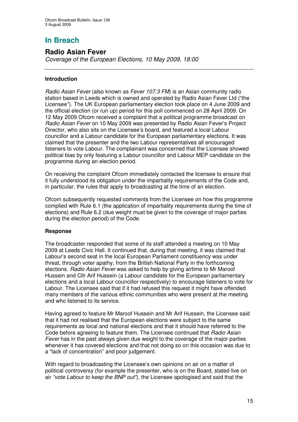# **In Breach**

## **Radio Asian Fever**

*Coverage of the European Elections, 10 May 2009, 18:00*

### **Introduction**

*Radio Asian Fever* (also known as *Fever 107.3 FM*) is an Asian community radio station based in Leeds which is owned and operated by Radio Asian Fever Ltd ("the Licensee"). The UK European parliamentary election took place on 4 June 2009 and the official election (or run up) period for this poll commenced on 28 April 2009. On 12 May 2009 Ofcom received a complaint that a political programme broadcast on *Radio Asian Fever* on 10 May 2009 was presented by Radio Asian Fever's Project Director, who also sits on the Licensee's board, and featured a local Labour councillor and a Labour candidate for the European parliamentary elections. It was claimed that the presenter and the two Labour representatives all encouraged listeners to vote Labour. The complainant was concerned that the Licensee showed political bias by only featuring a Labour councillor and Labour MEP candidate on the programme during an election period.

On receiving the complaint Ofcom immediately contacted the licensee to ensure that it fully understood its obligation under the impartiality requirements of the Code and, in particular, the rules that apply to broadcasting at the time of an election.

Ofcom subsequently requested comments from the Licensee on how this programme complied with Rule 6.1 (the application of impartiality requirements during the time of elections) and Rule 6.2 (due weight must be given to the coverage of major parties during the election period) of the Code.

### **Response**

The broadcaster responded that some of its staff attended a meeting on 10 May 2009 at Leeds Civic Hall. It continued that, during that meeting, it was claimed that Labour's second seat in the local European Parliament constituency was under threat, through voter apathy, from the British National Party in the forthcoming elections. *Radio Asian Fever* was asked to help by giving airtime to Mr Maroof Hussein and Cllr Arif Hussein (a Labour candidate for the European parliamentary elections and a local Labour councillor respectively) to encourage listeners to vote for Labour. The Licensee said that if it had refused this request it might have offended many members of the various ethnic communities who were present at the meeting and who listened to its service.

Having agreed to feature Mr Maroof Hussein and Mr Arif Hussein, the Licensee said that it had not realised that the European elections were subject to the same requirements as local and national elections and that it should have referred to the Code before agreeing to feature them. The Licensee continued that *Radio Asian Fever* has in the past always given due weight to the coverage of the major parties whenever it has covered elections and that not doing so on this occasion was due to a "lack of concentration" and poor judgement.

With regard to broadcasting the Licensee's own opinions on air on a matter of political controversy (for example the presenter, who is on the Board, stated live on air *"vote Labour to keep the BNP out"*), the Licensee apologised and said that the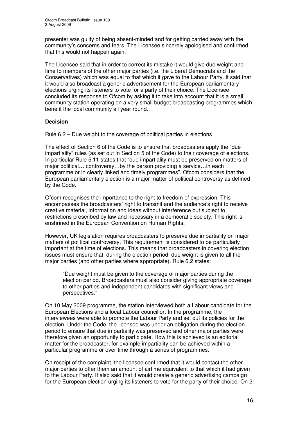presenter was guilty of being absent-minded and for getting carried away with the community's concerns and fears. The Licensee sincerely apologised and confirmed that this would not happen again.

The Licensee said that in order to correct its mistake it would give due weight and time to members of the other major parties (i.e. the Liberal Democrats and the Conservatives) which was equal to that which it gave to the Labour Party. It said that it would also broadcast a generic advertisement for the European parliamentary elections urging its listeners to vote for a party of their choice. The Licensee concluded its response to Ofcom by asking it to take into account that it is a small community station operating on a very small budget broadcasting programmes which benefit the local community all year round.

### **Decision**

### Rule 6.2 – Due weight to the coverage of political parties in elections

The effect of Section 6 of the Code is to ensure that broadcasters apply the "due impartiality" rules (as set out in Section 5 of the Code) to their coverage of elections. In particular Rule 5.11 states that "due impartiality must be preserved on matters of major political… controversy…by the person providing a service…in each programme or in clearly linked and timely programmes". Ofcom considers that the European parliamentary election is a major matter of political controversy as defined by the Code.

Ofcom recognises the importance to the right to freedom of expression. This encompasses the broadcasters' right to transmit and the audience's right to receive creative material, information and ideas without interference but subject to restrictions prescribed by law and necessary in a democratic society. This right is enshrined in the European Convention on Human Rights.

However, UK legislation requires broadcasters to preserve due impartiality on major matters of political controversy. This requirement is considered to be particularly important at the time of elections. This means that broadcasters in covering election issues must ensure that, during the election period, due weight is given to all the major parties (and other parties where appropriate). Rule 6.2 states:

"Due weight must be given to the coverage of major parties during the election period. Broadcasters must also consider giving appropriate coverage to other parties and independent candidates with significant views and perspectives."

On 10 May 2009 programme, the station interviewed both a Labour candidate for the European Elections and a local Labour councillor. In the programme, the interviewees were able to promote the Labour Party and set out its policies for the election. Under the Code, the licensee was under an obligation during the election period to ensure that due impartiality was preserved and other major parties were therefore given an opportunity to participate. How this is achieved is an editorial matter for the broadcaster, for example impartiality can be achieved within a particular programme or over time through a series of programmes.

On receipt of the complaint, the licensee confirmed that it would contact the other major parties to offer them an amount of airtime equivalent to that which it had given to the Labour Party. It also said that it would create a generic advertising campaign for the European election urging its listeners to vote for the party of their choice. On 2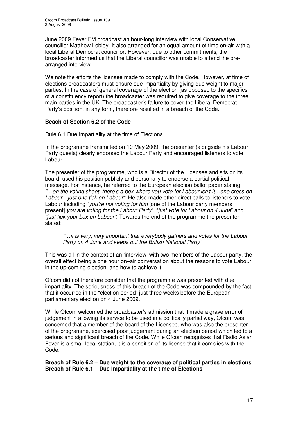June 2009 Fever FM broadcast an hour-long interview with local Conservative councillor Matthew Lobley. It also arranged for an equal amount of time on-air with a local Liberal Democrat councillor. However, due to other commitments, the broadcaster informed us that the Liberal councillor was unable to attend the prearranged interview.

We note the efforts the licensee made to comply with the Code. However, at time of elections broadcasters must ensure due impartiality by giving due weight to major parties. In the case of general coverage of the election (as opposed to the specifics of a constituency report) the broadcaster was required to give coverage to the three main parties in the UK. The broadcaster's failure to cover the Liberal Democrat Party's position, in any form, therefore resulted in a breach of the Code.

### **Beach of Section 6.2 of the Code**

### Rule 6.1 Due Impartiality at the time of Elections

In the programme transmitted on 10 May 2009, the presenter (alongside his Labour Party guests) clearly endorsed the Labour Party and encouraged listeners to vote Labour.

The presenter of the programme, who is a Director of the Licensee and sits on its board, used his position publicly and personally to endorse a partial political message. For instance, he referred to the European election ballot paper stating *"…on the voting sheet, there's a box where you vote for Labour isn't it…one cross on Labour…just one tick on Labour"*. He also made other direct calls to listeners to vote Labour including *"you're not voting for him* [one of the Labour party members present] *you are voting for the Labour Party*", "*just vote for Labour on 4 June*" and *"just tick your box on Labour"*. Towards the end of the programme the presenter stated:

### *"…it is very, very important that everybody gathers and votes for the Labour Party on 4 June and keeps out the British National Party"*

This was all in the context of an 'interview' with two members of the Labour party, the overall effect being a one hour on–air conversation about the reasons to vote Labour in the up-coming election, and how to achieve it.

Ofcom did not therefore consider that the programme was presented with due impartiality. The seriousness of this breach of the Code was compounded by the fact that it occurred in the "election period" just three weeks before the European parliamentary election on 4 June 2009.

While Ofcom welcomed the broadcaster's admission that it made a grave error of judgement in allowing its service to be used in a politically partial way, Ofcom was concerned that a member of the board of the Licensee, who was also the presenter of the programme, exercised poor judgement during an election period which led to a serious and significant breach of the Code. While Ofcom recognises that Radio Asian Fever is a small local station, it is a condition of its licence that it complies with the Code.

**Breach of Rule 6.2 – Due weight to the coverage of political parties in elections Breach of Rule 6.1 – Due Impartiality at the time of Elections**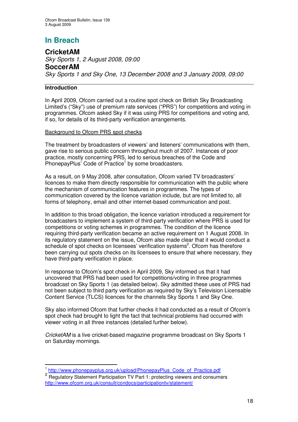# **In Breach**

**CricketAM** *Sky Sports 1, 2 August 2008, 09:00* **SoccerAM** *Sky Sports 1 and Sky One, 13 December 2008 and 3 January 2009, 09:00*

### **Introduction**

In April 2009, Ofcom carried out a routine spot check on British Sky Broadcasting Limited's ("Sky") use of premium rate services ("PRS") for competitions and voting in programmes. Ofcom asked Sky if it was using PRS for competitions and voting and, if so, for details of its third-party verification arrangements.

### Background to Ofcom PRS spot checks

The treatment by broadcasters of viewers' and listeners' communications with them, gave rise to serious public concern throughout much of 2007. Instances of poor practice, mostly concerning PRS, led to serious breaches of the Code and PhonepayPlus' Code of Practice<sup>1</sup> by some broadcasters.

As a result, on 9 May 2008, after consultation, Ofcom varied TV broadcasters' licences to make them directly responsible for communication with the public where the mechanism of communication features in programmes. The types of communication covered by the licence variation include, but are not limited to, all forms of telephony, email and other internet-based communication and post.

In addition to this broad obligation, the licence variation introduced a requirement for broadcasters to implement a system of third-party verification where PRS is used for competitions or voting schemes in programmes. The condition of the licence requiring third-party verification became an active requirement on 1 August 2008. In its regulatory statement on the issue, Ofcom also made clear that it would conduct a schedule of spot checks on licensees' verification systems<sup>2</sup>. Ofcom has therefore been carrying out spots checks on its licensees to ensure that where necessary, they have third-party verification in place.

In response to Ofcom's spot check in April 2009, Sky informed us that it had uncovered that PRS had been used for competitions/voting in three programmes broadcast on Sky Sports 1 (as detailed below). Sky admitted these uses of PRS had not been subject to third party verification as required by Sky's Television Licensable Content Service (TLCS) licences for the channels Sky Sports 1 and Sky One.

Sky also informed Ofcom that further checks it had conducted as a result of Ofcom's spot check had brought to light the fact that technical problems had occurred with viewer voting in all three instances (detailed further below).

*CricketAM* is a live cricket-based magazine programme broadcast on Sky Sports 1 on Saturday mornings.

<sup>1</sup> http://www.phonepayplus.org.uk/upload/PhonepayPlus\_Code\_of\_Practice.pdf

<sup>&</sup>lt;sup>2</sup> Regulatory Statement Participation TV Part 1: protecting viewers and consumers http://www.ofcom.org.uk/consult/condocs/participationtv/statement/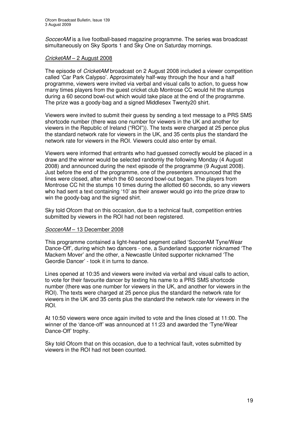*SoccerAM* is a live football-based magazine programme. The series was broadcast simultaneously on Sky Sports 1 and Sky One on Saturday mornings.

### *CricketAM* – 2 August 2008

The episode of *CricketAM* broadcast on 2 August 2008 included a viewer competition called 'Car Park Calypso'. Approximately half-way through the hour and a half programme, viewers were invited via verbal and visual calls to action, to guess how many times players from the guest cricket club Montrose CC would hit the stumps during a 60 second bowl-out which would take place at the end of the programme. The prize was a goody-bag and a signed Middlesex Twenty20 shirt.

Viewers were invited to submit their guess by sending a text message to a PRS SMS shortcode number (there was one number for viewers in the UK and another for viewers in the Republic of Ireland ("ROI")). The texts were charged at 25 pence plus the standard network rate for viewers in the UK, and 35 cents plus the standard the network rate for viewers in the ROI. Viewers could also enter by email.

Viewers were informed that entrants who had guessed correctly would be placed in a draw and the winner would be selected randomly the following Monday (4 August 2008) and announced during the next episode of the programme (9 August 2008). Just before the end of the programme, one of the presenters announced that the lines were closed, after which the 60 second bowl-out began. The players from Montrose CC hit the stumps 10 times during the allotted 60 seconds, so any viewers who had sent a text containing '10' as their answer would go into the prize draw to win the goody-bag and the signed shirt.

Sky told Ofcom that on this occasion, due to a technical fault, competition entries submitted by viewers in the ROI had not been registered.

### *SoccerAM* – 13 December 2008

This programme contained a light-hearted segment called 'SoccerAM Tyne/Wear Dance-Off', during which two dancers - one, a Sunderland supporter nicknamed 'The Mackem Mover' and the other, a Newcastle United supporter nicknamed 'The Geordie Dancer' - took it in turns to dance.

Lines opened at 10:35 and viewers were invited via verbal and visual calls to action, to vote for their favourite dancer by texting his name to a PRS SMS shortcode number (there was one number for viewers in the UK, and another for viewers in the ROI). The texts were charged at 25 pence plus the standard the network rate for viewers in the UK and 35 cents plus the standard the network rate for viewers in the ROI.

At 10:50 viewers were once again invited to vote and the lines closed at 11:00. The winner of the 'dance-off' was announced at 11:23 and awarded the 'Tyne/Wear Dance-Off' trophy.

Sky told Ofcom that on this occasion, due to a technical fault, votes submitted by viewers in the ROI had not been counted.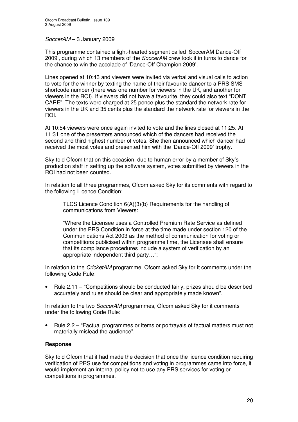### *SoccerAM* – 3 January 2009

This programme contained a light-hearted segment called 'SoccerAM Dance-Off 2009', during which 13 members of the *SoccerAM* crew took it in turns to dance for the chance to win the accolade of 'Dance-Off Champion 2009'.

Lines opened at 10:43 and viewers were invited via verbal and visual calls to action to vote for the winner by texting the name of their favourite dancer to a PRS SMS shortcode number (there was one number for viewers in the UK, and another for viewers in the ROI). If viewers did not have a favourite, they could also text "DONT CARE". The texts were charged at 25 pence plus the standard the network rate for viewers in the UK and 35 cents plus the standard the network rate for viewers in the ROI.

At 10:54 viewers were once again invited to vote and the lines closed at 11:25. At 11:31 one of the presenters announced which of the dancers had received the second and third highest number of votes. She then announced which dancer had received the most votes and presented him with the 'Dance-Off 2009' trophy.

Sky told Ofcom that on this occasion, due to human error by a member of Sky's production staff in setting up the software system, votes submitted by viewers in the ROI had not been counted.

In relation to all three programmes, Ofcom asked Sky for its comments with regard to the following Licence Condition:

TLCS Licence Condition 6(A)(3)(b) Requirements for the handling of communications from Viewers:

"Where the Licensee uses a Controlled Premium Rate Service as defined under the PRS Condition in force at the time made under section 120 of the Communications Act 2003 as the method of communication for voting or competitions publicised within programme time, the Licensee shall ensure that its compliance procedures include a system of verification by an appropriate independent third party…";

In relation to the *CricketAM* programme, Ofcom asked Sky for it comments under the following Code Rule:

• Rule 2.11 – "Competitions should be conducted fairly, prizes should be described accurately and rules should be clear and appropriately made known".

In relation to the two *SoccerAM* programmes, Ofcom asked Sky for it comments under the following Code Rule:

• Rule 2.2 – "Factual programmes or items or portrayals of factual matters must not materially mislead the audience".

### **Response**

Sky told Ofcom that it had made the decision that once the licence condition requiring verification of PRS use for competitions and voting in programmes came into force, it would implement an internal policy not to use any PRS services for voting or competitions in programmes.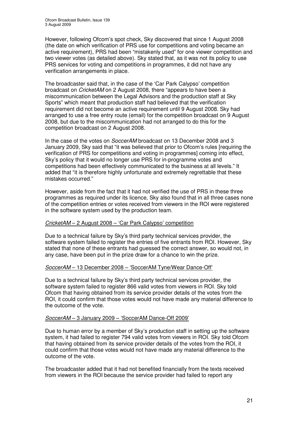However, following Ofcom's spot check, Sky discovered that since 1 August 2008 (the date on which verification of PRS use for competitions and voting became an active requirement), PRS had been "mistakenly used" for one viewer competition and two viewer votes (as detailed above). Sky stated that, as it was not its policy to use PRS services for voting and competitions in programmes, it did not have any verification arrangements in place.

The broadcaster said that, in the case of the 'Car Park Calypso' competition broadcast on *CricketAM* on 2 August 2008, there "appears to have been a miscommunication between the Legal Advisors and the production staff at Sky Sports" which meant that production staff had believed that the verification requirement did not become an active requirement until 9 August 2008. Sky had arranged to use a free entry route (email) for the competition broadcast on 9 August 2008, but due to the miscommunication had not arranged to do this for the competition broadcast on 2 August 2008.

In the case of the votes on *SoccerAM* broadcast on 13 December 2008 and 3 January 2009, Sky said that "it was believed that prior to Ofcom's rules [requiring the verification of PRS for competitions and voting in programmes] coming into effect, Sky's policy that it would no longer use PRS for in-programme votes and competitions had been effectively communicated to the business at all levels." It added that "it is therefore highly unfortunate and extremely regrettable that these mistakes occurred."

However, aside from the fact that it had not verified the use of PRS in these three programmes as required under its licence, Sky also found that in all three cases none of the competition entries or votes received from viewers in the ROI were registered in the software system used by the production team.

### *CricketAM* – 2 August 2008 – 'Car Park Calypso' competition

Due to a technical failure by Sky's third party technical services provider, the software system failed to register the entries of five entrants from ROI. However, Sky stated that none of these entrants had guessed the correct answer, so would not, in any case, have been put in the prize draw for a chance to win the prize.

### *SoccerAM* – 13 December 2008 – 'SoccerAM Tyne/Wear Dance-Off'

Due to a technical failure by Sky's third party technical services provider, the software system failed to register 866 valid votes from viewers in ROI. Sky told Ofcom that having obtained from its service provider details of the votes from the ROI, it could confirm that those votes would not have made any material difference to the outcome of the vote.

### *SoccerAM* – 3 January 2009 – 'SoccerAM Dance-Off 2009'

Due to human error by a member of Sky's production staff in setting up the software system, it had failed to register 794 valid votes from viewers in ROI. Sky told Ofcom that having obtained from its service provider details of the votes from the ROI, it could confirm that those votes would not have made any material difference to the outcome of the vote.

The broadcaster added that it had not benefited financially from the texts received from viewers in the ROI because the service provider had failed to report any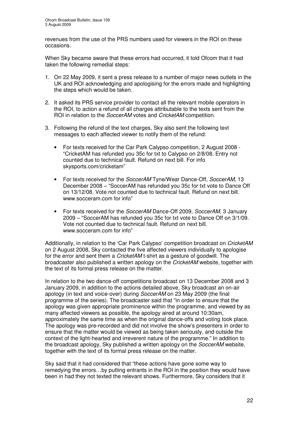revenues from the use of the PRS numbers used for viewers in the ROI on these occasions.

When Sky became aware that these errors had occurred, it told Ofcom that it had taken the following remedial steps:

- 1. On 22 May 2009, it sent a press release to a number of major news outlets in the UK and ROI acknowledging and apologising for the errors made and highlighting the steps which would be taken.
- 2. It asked its PRS service provider to contact all the relevant mobile operators in the ROI, to action a refund of all charges attributable to the texts sent from the ROI in relation to the *SoccerAM* votes and *CricketAM* competition.
- 3. Following the refund of the text charges, Sky also sent the following text messages to each affected viewer to notify them of the refund:
	- For texts received for the Car Park Calypso competition, 2 August 2008 "CricketAM has refunded you 35c for txt to Calypso on 2/8/08. Entry not counted due to technical fault. Refund on next bill. For info skysports.com/cricketam"
	- For texts received for the *SoccerAM* Tyne/Wear Dance-Off, *SoccerAM,* 13 December 2008 – "SoccerAM has refunded you 35c for txt vote to Dance Off on 13/12/08. Vote not counted due to technical fault. Refund on next bill. www.socceram.com for info"
	- For texts received for the *SoccerAM* Dance-Off 2009, *SoccerAM,* 3 January 2009 – "SoccerAM has refunded you 35c for txt vote to Dance Off on 3/1/09. Vote not counted due to technical fault. Refund on next bill. www.socceram.com for info"

Additionally, in relation to the 'Car Park Calypso' competition broadcast on *CricketAM* on 2 August 2008, Sky contacted the five affected viewers individually to apologise for the error and sent them a *CricketAM* t-shirt as a gesture of goodwill. The broadcaster also published a written apology on the *CricketAM* website, together with the text of its formal press release on the matter.

In relation to the two dance-off competitions broadcast on 13 December 2008 and 3 January 2009, in addition to the actions detailed above, Sky broadcast an on-air apology (in text and voice-over) during *SoccerAM* on 23 May 2009 (the final programme of the series). The broadcaster said that "in order to ensure that the apology was given appropriate prominence within the programme, and viewed by as many affected viewers as possible, the apology aired at around 10:30am, approximately the same time as when the original dance-offs and voting took place. The apology was pre-recorded and did not involve the show's presenters in order to ensure that the matter would be viewed as being taken seriously, and outside the context of the light-hearted and irreverent nature of the programme." In addition to the broadcast apology, Sky published a written apology on the *SoccerAM* website, together with the text of its formal press release on the matter.

Sky said that it had considered that "these actions have gone some way to remedying the errors…by putting entrants in the ROI in the position they would have been in had they not texted the relevant shows. Furthermore, Sky considers that it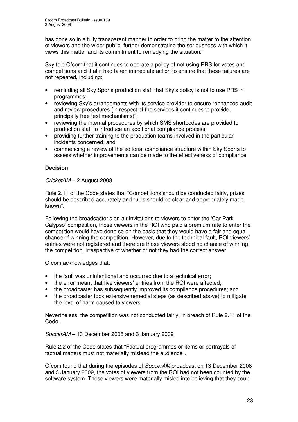has done so in a fully transparent manner in order to bring the matter to the attention of viewers and the wider public, further demonstrating the seriousness with which it views this matter and its commitment to remedying the situation."

Sky told Ofcom that it continues to operate a policy of not using PRS for votes and competitions and that it had taken immediate action to ensure that these failures are not repeated, including:

- reminding all Sky Sports production staff that Sky's policy is not to use PRS in programmes;
- reviewing Sky's arrangements with its service provider to ensure "enhanced audit and review procedures (in respect of the services it continues to provide, principally free text mechanisms)";
- reviewing the internal procedures by which SMS shortcodes are provided to production staff to introduce an additional compliance process;
- providing further training to the production teams involved in the particular incidents concerned; and
- commencing a review of the editorial compliance structure within Sky Sports to assess whether improvements can be made to the effectiveness of compliance.

### **Decision**

### *CricketAM* – 2 August 2008

Rule 2.11 of the Code states that "Competitions should be conducted fairly, prizes should be described accurately and rules should be clear and appropriately made known".

Following the broadcaster's on air invitations to viewers to enter the 'Car Park Calypso' competition, those viewers in the ROI who paid a premium rate to enter the competition would have done so on the basis that they would have a fair and equal chance of winning the competition. However, due to the technical fault, ROI viewers' entries were not registered and therefore those viewers stood no chance of winning the competition, irrespective of whether or not they had the correct answer.

Ofcom acknowledges that:

- the fault was unintentional and occurred due to a technical error;
- the error meant that five viewers' entries from the ROI were affected;
- the broadcaster has subsequently improved its compliance procedures; and
- the broadcaster took extensive remedial steps (as described above) to mitigate the level of harm caused to viewers.

Nevertheless, the competition was not conducted fairly, in breach of Rule 2.11 of the Code.

### *SoccerAM* – 13 December 2008 and 3 January 2009

Rule 2.2 of the Code states that "Factual programmes or items or portrayals of factual matters must not materially mislead the audience".

Ofcom found that during the episodes of *SoccerAM* broadcast on 13 December 2008 and 3 January 2009, the votes of viewers from the ROI had not been counted by the software system. Those viewers were materially misled into believing that they could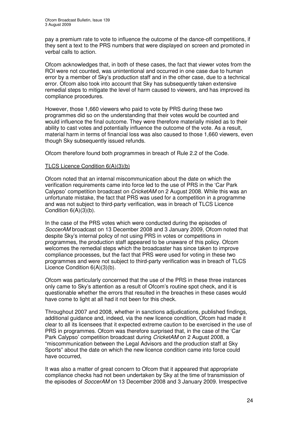pay a premium rate to vote to influence the outcome of the dance-off competitions, if they sent a text to the PRS numbers that were displayed on screen and promoted in verbal calls to action.

Ofcom acknowledges that, in both of these cases, the fact that viewer votes from the ROI were not counted, was unintentional and occurred in one case due to human error by a member of Sky's production staff and in the other case, due to a technical error. Ofcom also took into account that Sky has subsequently taken extensive remedial steps to mitigate the level of harm caused to viewers, and has improved its compliance procedures.

However, those 1,660 viewers who paid to vote by PRS during these two programmes did so on the understanding that their votes would be counted and would influence the final outcome. They were therefore materially misled as to their ability to cast votes and potentially influence the outcome of the vote. As a result, material harm in terms of financial loss was also caused to those 1,660 viewers, even though Sky subsequently issued refunds.

Ofcom therefore found both programmes in breach of Rule 2.2 of the Code.

### TLCS Licence Condition 6(A)(3)(b)

Ofcom noted that an internal miscommunication about the date on which the verification requirements came into force led to the use of PRS in the 'Car Park Calypso' competition broadcast on *CricketAM* on 2 August 2008. While this was an unfortunate mistake, the fact that PRS was used for a competition in a programme and was not subject to third-party verification, was in breach of TLCS Licence Condition  $6(A)(3)(b)$ .

In the case of the PRS votes which were conducted during the episodes of *SoccerAM* broadcast on 13 December 2008 and 3 January 2009, Ofcom noted that despite Sky's internal policy of not using PRS in votes or competitions in programmes, the production staff appeared to be unaware of this policy. Ofcom welcomes the remedial steps which the broadcaster has since taken to improve compliance processes, but the fact that PRS were used for voting in these two programmes and were not subject to third-party verification was in breach of TLCS Licence Condition 6(A)(3)(b).

Ofcom was particularly concerned that the use of the PRS in these three instances only came to Sky's attention as a result of Ofcom's routine spot check, and it is questionable whether the errors that resulted in the breaches in these cases would have come to light at all had it not been for this check.

Throughout 2007 and 2008, whether in sanctions adjudications, published findings, additional guidance and, indeed, via the new licence condition, Ofcom had made it clear to all its licensees that it expected extreme caution to be exercised in the use of PRS in programmes. Ofcom was therefore surprised that, in the case of the 'Car Park Calypso' competition broadcast during *CricketAM* on 2 August 2008, a "miscommunication between the Legal Advisors and the production staff at Sky Sports" about the date on which the new licence condition came into force could have occurred,

It was also a matter of great concern to Ofcom that it appeared that appropriate compliance checks had not been undertaken by Sky at the time of transmission of the episodes of *SoccerAM* on 13 December 2008 and 3 January 2009. Irrespective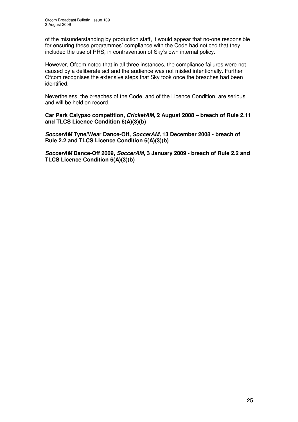of the misunderstanding by production staff, it would appear that no-one responsible for ensuring these programmes' compliance with the Code had noticed that they included the use of PRS, in contravention of Sky's own internal policy.

However, Ofcom noted that in all three instances, the compliance failures were not caused by a deliberate act and the audience was not misled intentionally. Further Ofcom recognises the extensive steps that Sky took once the breaches had been identified.

Nevertheless, the breaches of the Code, and of the Licence Condition, are serious and will be held on record.

**Car Park Calypso competition,** *CricketAM***, 2 August 2008 – breach of Rule 2.11 and TLCS Licence Condition 6(A)(3)(b)**

*SoccerAM* **Tyne/Wear Dance-Off,** *SoccerAM,* **13 December 2008 - breach of Rule 2.2 and TLCS Licence Condition 6(A)(3)(b)**

*SoccerAM* **Dance-Off 2009,** *SoccerAM***, 3 January 2009 - breach of Rule 2.2 and TLCS Licence Condition 6(A)(3)(b)**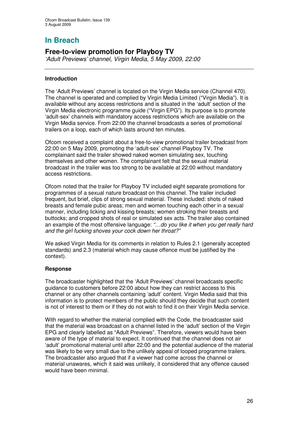# **In Breach**

# **Free-to-view promotion for Playboy TV**

*'Adult Previews' channel, Virgin Media, 5 May 2009, 22:00*

### **Introduction**

The 'Adult Previews' channel is located on the Virgin Media service (Channel 470). The channel is operated and complied by Virgin Media Limited ("Virgin Media"). It is available without any access restrictions and is situated in the 'adult' section of the Virgin Media electronic programme guide ("Virgin EPG"). Its purpose is to promote 'adult-sex' channels with mandatory access restrictions which are available on the Virgin Media service. From 22:00 the channel broadcasts a series of promotional trailers on a loop, each of which lasts around ten minutes.

Ofcom received a complaint about a free-to-view promotional trailer broadcast from 22:00 on 5 May 2009, promoting the 'adult-sex' channel Playboy TV. The complainant said the trailer showed naked women simulating sex, touching themselves and other women. The complainant felt that the sexual material broadcast in the trailer was too strong to be available at 22:00 without mandatory access restrictions.

Ofcom noted that the trailer for Playboy TV included eight separate promotions for programmes of a sexual nature broadcast on this channel. The trailer included frequent, but brief, clips of strong sexual material. These included: shots of naked breasts and female pubic areas; men and women touching each other in a sexual manner, including licking and kissing breasts; women stroking their breasts and buttocks; and cropped shots of real or simulated sex acts. The trailer also contained an example of the most offensive language: *"…do you like it when you get really hard and the girl fucking shoves your cock down her throat?"*

We asked Virgin Media for its comments in relation to Rules 2.1 (generally accepted standards) and 2.3 (material which may cause offence must be justified by the context).

### **Response**

The broadcaster highlighted that the 'Adult Previews' channel broadcasts specific guidance to customers before 22:00 about how they can restrict access to this channel or any other channels containing 'adult' content. Virgin Media said that this information is to protect members of the public should they decide that such content is not of interest to them or if they do not wish to find it on their Virgin Media service.

With regard to whether the material complied with the Code, the broadcaster said that the material was broadcast on a channel listed in the 'adult' section of the Virgin EPG and clearly labelled as "Adult Previews". Therefore, viewers would have been aware of the type of material to expect. It continued that the channel does not air 'adult' promotional material until after 22:00 and the potential audience of the material was likely to be very small due to the unlikely appeal of looped programme trailers. The broadcaster also argued that if a viewer had come across the channel or material unawares, which it said was unlikely, it considered that any offence caused would have been minimal.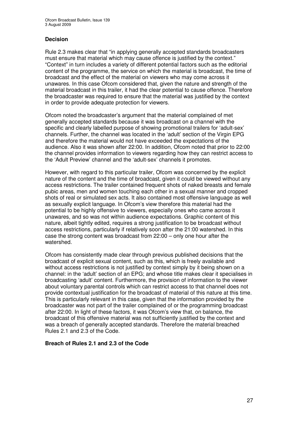### **Decision**

Rule 2.3 makes clear that "in applying generally accepted standards broadcasters must ensure that material which may cause offence is justified by the context." "Context" in turn includes a variety of different potential factors such as the editorial content of the programme, the service on which the material is broadcast, the time of broadcast and the effect of the material on viewers who may come across it unawares. In this case Ofcom considered that, given the nature and strength of the material broadcast in this trailer, it had the clear potential to cause offence. Therefore the broadcaster was required to ensure that the material was justified by the context in order to provide adequate protection for viewers.

Ofcom noted the broadcaster's argument that the material complained of met generally accepted standards because it was broadcast on a channel with the specific and clearly labelled purpose of showing promotional trailers for 'adult-sex' channels. Further, the channel was located in the 'adult' section of the Virgin EPG and therefore the material would not have exceeded the expectations of the audience. Also it was shown after 22:00. In addition, Ofcom noted that prior to 22:00 the channel provides information to viewers regarding how they can restrict access to the 'Adult Preview' channel and the 'adult-sex' channels it promotes.

However, with regard to this particular trailer, Ofcom was concerned by the explicit nature of the content and the time of broadcast, given it could be viewed without any access restrictions. The trailer contained frequent shots of naked breasts and female pubic areas, men and women touching each other in a sexual manner and cropped shots of real or simulated sex acts. It also contained most offensive language as well as sexually explicit language. In Ofcom's view therefore this material had the potential to be highly offensive to viewers, especially ones who came across it unawares, and so was not within audience expectations. Graphic content of this nature, albeit tightly edited, requires a strong justification to be broadcast without access restrictions, particularly if relatively soon after the 21:00 watershed. In this case the strong content was broadcast from 22:00 – only one hour after the watershed.

Ofcom has consistently made clear through previous published decisions that the broadcast of explicit sexual content, such as this, which is freely available and without access restrictions is not justified by context simply by it being shown on a channel: in the 'adult' section of an EPG; and whose title makes clear it specialises in broadcasting 'adult' content. Furthermore, the provision of information to the viewer about voluntary parental controls which can restrict access to that channel does not provide contextual justification for the broadcast of material of this nature at this time. This is particularly relevant in this case, given that the information provided by the broadcaster was not part of the trailer complained of or the programming broadcast after 22:00. In light of these factors, it was Ofcom's view that, on balance, the broadcast of this offensive material was not sufficiently justified by the context and was a breach of generally accepted standards. Therefore the material breached Rules 2.1 and 2.3 of the Code.

### **Breach of Rules 2.1 and 2.3 of the Code**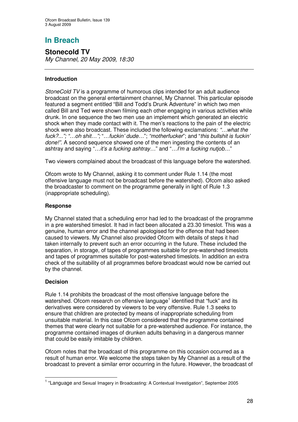# **In Breach**

**Stonecold TV** *My Channel, 20 May 2009, 18:30*

### **Introduction**

*StoneCold TV* is a programme of humorous clips intended for an adult audience broadcast on the general entertainment channel, My Channel. This particular episode featured a segment entitled "Bill and Todd's Drunk Adventure" in which two men called Bill and Ted were shown filming each other engaging in various activities while drunk. In one sequence the two men use an implement which generated an electric shock when they made contact with it. The men's reactions to the pain of the electric shock were also broadcast. These included the following exclamations: *"…what the fuck?..."; "…oh shit…";* "…*fuckin' dude…*"; *"motherfucker*"; and "*this bullshit is fuckin' done!".* A second sequence showed one of the men ingesting the contents of an ashtray and saying "…*it's a fucking ashtray…*" and "…*I'm a fucking nutjob…*"

Two viewers complained about the broadcast of this language before the watershed.

Ofcom wrote to My Channel, asking it to comment under Rule 1.14 (the most offensive language must not be broadcast before the watershed). Ofcom also asked the broadcaster to comment on the programme generally in light of Rule 1.3 (inappropriate scheduling).

### **Response**

My Channel stated that a scheduling error had led to the broadcast of the programme in a pre watershed timeslot. It had in fact been allocated a 23.30 timeslot. This was a genuine, human error and the channel apologised for the offence that had been caused to viewers. My Channel also provided Ofcom with details of steps it had taken internally to prevent such an error occurring in the future. These included the separation, in storage, of tapes of programmes suitable for pre-watershed timeslots and tapes of programmes suitable for post-watershed timeslots. In addition an extra check of the suitability of all programmes before broadcast would now be carried out by the channel.

### **Decision**

Rule 1.14 prohibits the broadcast of the most offensive language before the watershed. Ofcom research on offensive language<sup>1</sup> identified that "fuck" and its derivatives were considered by viewers to be very offensive. Rule 1.3 seeks to ensure that children are protected by means of inappropriate scheduling from unsuitable material. In this case Ofcom considered that the programme contained themes that were clearly not suitable for a pre-watershed audience. For instance, the programme contained images of drunken adults behaving in a dangerous manner that could be easily imitable by children.

Ofcom notes that the broadcast of this programme on this occasion occurred as a result of human error. We welcome the steps taken by My Channel as a result of the broadcast to prevent a similar error occurring in the future. However, the broadcast of

<sup>&</sup>lt;sup>1</sup> "Language and Sexual Imagery in Broadcasting: A Contextual Investigation", September 2005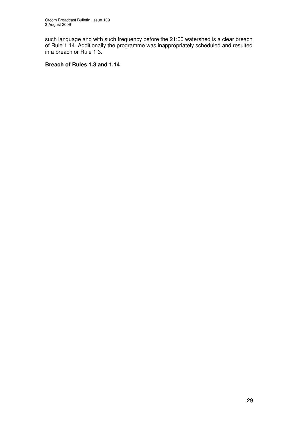such language and with such frequency before the 21:00 watershed is a clear breach of Rule 1.14. Additionally the programme was inappropriately scheduled and resulted in a breach or Rule 1.3.

### **Breach of Rules 1.3 and 1.14**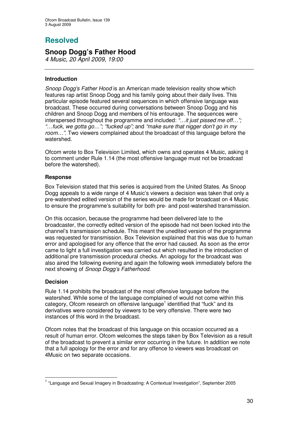# **Resolved**

# **Snoop Dogg's Father Hood**

*4 Music, 20 April 2009, 19:00*

### **Introduction**

*Snoop Dogg's Father Hood* is an American made television reality show which features rap artist Snoop Dogg and his family going about their daily lives. This particular episode featured several sequences in which offensive language was broadcast. These occurred during conversations between Snoop Dogg and his children and Snoop Dogg and members of his entourage. The sequences were interspersed throughout the programme and included: *"…it just pissed me off…"; "…fuck, we gotta go…"; "fucked up";* and *"make sure that nigger don't go in my room…".* Two viewers complained about the broadcast of this language before the watershed.

Ofcom wrote to Box Television Limited, which owns and operates 4 Music, asking it to comment under Rule 1.14 (the most offensive language must not be broadcast before the watershed).

### **Response**

Box Television stated that this series is acquired from the United States. As Snoop Dogg appeals to a wide range of 4 Music's viewers a decision was taken that only a pre-watershed edited version of the series would be made for broadcast on 4 Music to ensure the programme's suitability for both pre- and post-watershed transmission.

On this occasion, because the programme had been delivered late to the broadcaster, the correctly edited version of the episode had not been locked into the channel's transmission schedule. This meant the unedited version of the programme was requested for transmission. Box Television explained that this was due to human error and apologised for any offence that the error had caused. As soon as the error came to light a full investigation was carried out which resulted in the introduction of additional pre transmission procedural checks. An apology for the broadcast was also aired the following evening and again the following week immediately before the next showing of *Snoop Dogg's Fatherhood*.

### **Decision**

Rule 1.14 prohibits the broadcast of the most offensive language before the watershed. While some of the language complained of would not come within this category, Ofcom research on offensive language<sup>1</sup> identified that "fuck" and its derivatives were considered by viewers to be very offensive. There were two instances of this word in the broadcast.

Ofcom notes that the broadcast of this language on this occasion occurred as a result of human error. Ofcom welcomes the steps taken by Box Television as a result of the broadcast to prevent a similar error occurring in the future. In addition we note that a full apology for the error and for any offence to viewers was broadcast on 4Music on two separate occasions.

<sup>&</sup>lt;sup>1</sup> "Language and Sexual Imagery in Broadcasting: A Contextual Investigation", September 2005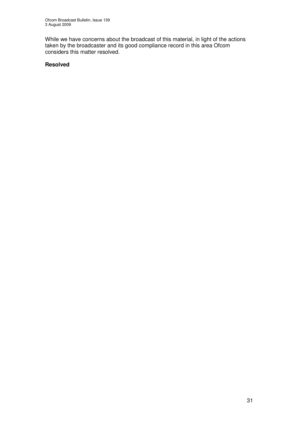While we have concerns about the broadcast of this material, in light of the actions taken by the broadcaster and its good compliance record in this area Ofcom considers this matter resolved.

### **Resolved**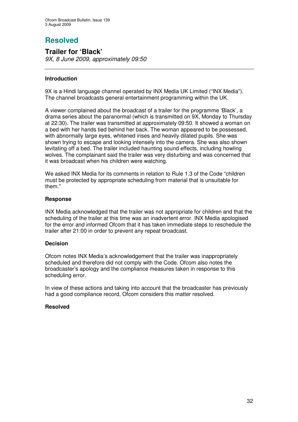# **Resolved**

### **Trailer for 'Black'** *9X, 8 June 2009, approximately 09:50*

### **Introduction**

9X is a Hindi language channel operated by INX Media UK Limited ("INX Media"). The channel broadcasts general entertainment programming within the UK.

A viewer complained about the broadcast of a trailer for the programme 'Black', a drama series about the paranormal (which is transmitted on 9X, Monday to Thursday at 22:30). The trailer was transmitted at approximately 09:50. It showed a woman on a bed with her hands tied behind her back. The woman appeared to be possessed, with abnormally large eyes, whitened irises and heavily dilated pupils. She was shown trying to escape and looking intensely into the camera. She was also shown levitating off a bed. The trailer included haunting sound effects, including howling wolves. The complainant said the trailer was very disturbing and was concerned that it was broadcast when his children were watching.

We asked INX Media for its comments in relation to Rule 1.3 of the Code "children must be protected by appropriate scheduling from material that is unsuitable for them."

### **Response**

INX Media acknowledged that the trailer was not appropriate for children and that the scheduling of the trailer at this time was an inadvertent error. INX Media apologised for the error and informed Ofcom that it has taken immediate steps to reschedule the trailer after 21:00 in order to prevent any repeat broadcast.

### **Decision**

Ofcom notes INX Media's acknowledgement that the trailer was inappropriately scheduled and therefore did not comply with the Code. Ofcom also notes the broadcaster's apology and the compliance measures taken in response to this scheduling error.

In view of these actions and taking into account that the broadcaster has previously had a good compliance record, Ofcom considers this matter resolved.

### **Resolved**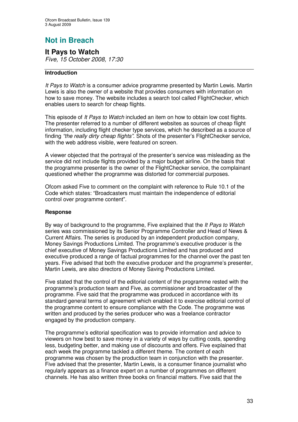# **Not in Breach**

### **It Pays to Watch** *Five, 15 October 2008, 17:30*

### **Introduction**

*It Pays to Watch* is a consumer advice programme presented by Martin Lewis. Martin Lewis is also the owner of a website that provides consumers with information on how to save money. The website includes a search tool called FlightChecker, which enables users to search for cheap flights*.*

This episode of *It Pays to Watch* included an item on how to obtain low cost flights. The presenter referred to a number of different websites as sources of cheap flight information, including flight checker type services, which he described as a source of finding *"the really dirty cheap flights"*. Shots of the presenter's FlightChecker service, with the web address visible, were featured on screen.

A viewer objected that the portrayal of the presenter's service was misleading as the service did not include flights provided by a major budget airline. On the basis that the programme presenter is the owner of the FlightChecker service, the complainant questioned whether the programme was distorted for commercial purposes.

Ofcom asked Five to comment on the complaint with reference to Rule 10.1 of the Code which states: "Broadcasters must maintain the independence of editorial control over programme content".

### **Response**

By way of background to the programme, Five explained that the *It Pays to Watch* series was commissioned by its Senior Programme Controller and Head of News & Current Affairs. The series is produced by an independent production company, Money Savings Productions Limited. The programme's executive producer is the chief executive of Money Savings Productions Limited and has produced and executive produced a range of factual programmes for the channel over the past ten years. Five advised that both the executive producer and the programme's presenter, Martin Lewis, are also directors of Money Saving Productions Limited.

Five stated that the control of the editorial content of the programme rested with the programme's production team and Five, as commissioner and broadcaster of the programme. Five said that the programme was produced in accordance with its standard general terms of agreement which enabled it to exercise editorial control of the programme content to ensure compliance with the Code. The programme was written and produced by the series producer who was a freelance contractor engaged by the production company.

The programme's editorial specification was to provide information and advice to viewers on how best to save money in a variety of ways by cutting costs, spending less, budgeting better, and making use of discounts and offers. Five explained that each week the programme tackled a different theme. The content of each programme was chosen by the production team in conjunction with the presenter. Five advised that the presenter, Martin Lewis, is a consumer finance journalist who regularly appears as a finance expert on a number of programmes on different channels. He has also written three books on financial matters. Five said that the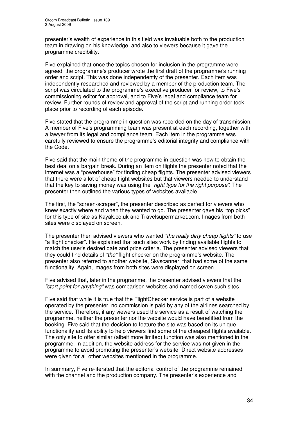presenter's wealth of experience in this field was invaluable both to the production team in drawing on his knowledge, and also to viewers because it gave the programme credibility.

Five explained that once the topics chosen for inclusion in the programme were agreed, the programme's producer wrote the first draft of the programme's running order and script. This was done independently of the presenter. Each item was independently researched and reviewed by a member of the production team. The script was circulated to the programme's executive producer for review, to Five's commissioning editor for approval, and to Five's legal and compliance team for review. Further rounds of review and approval of the script and running order took place prior to recording of each episode.

Five stated that the programme in question was recorded on the day of transmission. A member of Five's programming team was present at each recording, together with a lawyer from its legal and compliance team. Each item in the programme was carefully reviewed to ensure the programme's editorial integrity and compliance with the Code.

Five said that the main theme of the programme in question was how to obtain the best deal on a bargain break. During an item on flights the presenter noted that the internet was a "powerhouse" for finding cheap flights. The presenter advised viewers that there were a lot of cheap flight websites but that viewers needed to understand that the key to saving money was using the *"right type for the right purpose".* The presenter then outlined the various types of websites available.

The first, the "screen-scraper", the presenter described as perfect for viewers who knew exactly where and when they wanted to go. The presenter gave his "top picks" for this type of site as Kayak.co.uk and Travelsupermarket.com. Images from both sites were displayed on screen.

The presenter then advised viewers who wanted *"the really dirty cheap flights"* to use "a flight checker". He explained that such sites work by finding available flights to match the user's desired date and price criteria. The presenter advised viewers that they could find details of *"the"* flight checker on the programme's website. The presenter also referred to another website, Skyscanner, that had some of the same functionality. Again, images from both sites were displayed on screen.

Five advised that, later in the programme, the presenter advised viewers that the *"start point for anything"* was comparison websites and named seven such sites.

Five said that while it is true that the FlightChecker service is part of a website operated by the presenter, no commission is paid by any of the airlines searched by the service. Therefore, if any viewers used the service as a result of watching the programme, neither the presenter nor the website would have benefitted from the booking. Five said that the decision to feature the site was based on its unique functionality and its ability to help viewers find some of the cheapest flights available. The only site to offer similar (albeit more limited) function was also mentioned in the programme. In addition, the website address for the service was not given in the programme to avoid promoting the presenter's website. Direct website addresses were given for all other websites mentioned in the programme.

In summary, Five re-iterated that the editorial control of the programme remained with the channel and the production company. The presenter's experience and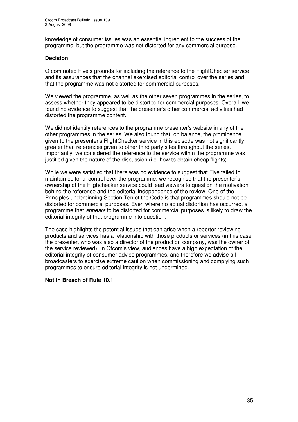knowledge of consumer issues was an essential ingredient to the success of the programme, but the programme was not distorted for any commercial purpose.

### **Decision**

Ofcom noted Five's grounds for including the reference to the FlightChecker service and its assurances that the channel exercised editorial control over the series and that the programme was not distorted for commercial purposes.

We viewed the programme, as well as the other seven programmes in the series, to assess whether they appeared to be distorted for commercial purposes. Overall, we found no evidence to suggest that the presenter's other commercial activities had distorted the programme content.

We did not identify references to the programme presenter's website in any of the other programmes in the series. We also found that, on balance, the prominence given to the presenter's FlightChecker service in this episode was not significantly greater than references given to other third party sites throughout the series. Importantly, we considered the reference to the service within the programme was justified given the nature of the discussion (i.e. how to obtain cheap flights).

While we were satisfied that there was no evidence to suggest that Five failed to maintain editorial control over the programme, we recognise that the presenter's ownership of the Flighchecker service could lead viewers to question the motivation behind the reference and the editorial independence of the review. One of the Principles underpinning Section Ten of the Code is that programmes should not be distorted for commercial purposes. Even where no actual distortion has occurred, a programme that *appears* to be distorted for commercial purposes is likely to draw the editorial integrity of that programme into question.

The case highlights the potential issues that can arise when a reporter reviewing products and services has a relationship with those products or services (in this case the presenter, who was also a director of the production company, was the owner of the service reviewed). In Ofcom's view, audiences have a high expectation of the editorial integrity of consumer advice programmes, and therefore we advise all broadcasters to exercise extreme caution when commissioning and complying such programmes to ensure editorial integrity is not undermined.

### **Not in Breach of Rule 10.1**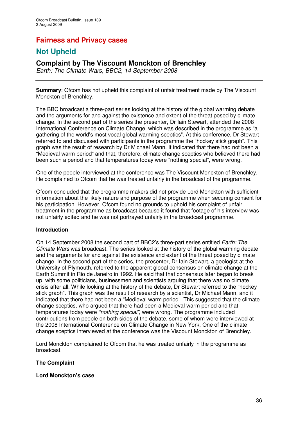# **Fairness and Privacy cases**

# **Not Upheld**

# **Complaint by The Viscount Monckton of Brenchley**

*Earth: The Climate Wars, BBC2, 14 September 2008*

**Summary:** Ofcom has not upheld this complaint of unfair treatment made by The Viscount Monckton of Brenchley.

The BBC broadcast a three-part series looking at the history of the global warming debate and the arguments for and against the existence and extent of the threat posed by climate change. In the second part of the series the presenter, Dr Iain Stewart, attended the 2008 International Conference on Climate Change, which was described in the programme as "a gathering of the world's most vocal global warming sceptics". At this conference, Dr Stewart referred to and discussed with participants in the programme the "hockey stick graph". This graph was the result of research by Dr Michael Mann. It indicated that there had not been a "Medieval warm period" and that, therefore, climate change sceptics who believed there had been such a period and that temperatures today were "nothing special", were wrong.

One of the people interviewed at the conference was The Viscount Monckton of Brenchley. He complained to Ofcom that he was treated unfairly in the broadcast of the programme.

Ofcom concluded that the programme makers did not provide Lord Monckton with sufficient information about the likely nature and purpose of the programme when securing consent for his participation. However, Ofcom found no grounds to uphold his complaint of unfair treatment in the programme as broadcast because it found that footage of his interview was not unfairly edited and he was not portrayed unfairly in the broadcast programme.

### **Introduction**

On 14 September 2008 the second part of BBC2's three-part series entitled *Earth: The Climate Wars* was broadcast. The series looked at the history of the global warming debate and the arguments for and against the existence and extent of the threat posed by climate change. In the second part of the series, the presenter, Dr Iain Stewart, a geologist at the University of Plymouth, referred to the apparent global consensus on climate change at the Earth Summit in Rio de Janeiro in 1992. He said that that consensus later began to break up, with some politicians, businessmen and scientists arguing that there was no climate crisis after all. While looking at the history of the debate, Dr Stewart referred to the "hockey stick graph". This graph was the result of research by a scientist, Dr Michael Mann, and it indicated that there had not been a "Medieval warm period". This suggested that the climate change sceptics, who argued that there had been a Medieval warm period and that temperatures today were *"nothing special"*, were wrong. The programme included contributions from people on both sides of the debate, some of whom were interviewed at the 2008 International Conference on Climate Change in New York. One of the climate change sceptics interviewed at the conference was the Viscount Monckton of Brenchley.

Lord Monckton complained to Ofcom that he was treated unfairly in the programme as broadcast.

### **The Complaint**

### **Lord Monckton's case**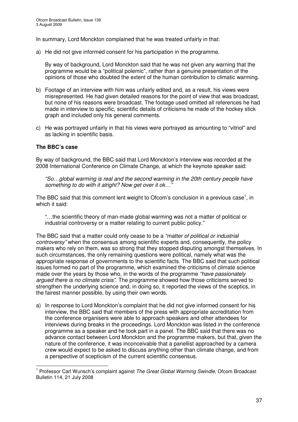In summary, Lord Monckton complained that he was treated unfairly in that:

a) He did not give informed consent for his participation in the programme.

By way of background, Lord Monckton said that he was not given any warning that the programme would be a "political polemic", rather than a genuine presentation of the opinions of those who doubted the extent of the human contribution to climatic warming.

- b) Footage of an interview with him was unfairly edited and, as a result, his views were misrepresented. He had given detailed reasons for the point of view that was broadcast, but none of his reasons were broadcast. The footage used omitted all references he had made in interview to specific, scientific details of criticisms he made of the hockey stick graph and included only his general comments.
- c) He was portrayed unfairly in that his views were portrayed as amounting to "vitriol" and as lacking in scientific basis.

# **The BBC's case**

By way of background, the BBC said that Lord Monckton's interview was recorded at the 2008 International Conference on Climate Change, at which the keynote speaker said:

*"So…global warming is real and the second warming in the 20th century people have something to do with it alright? Now get over it ok…"*

The BBC said that this comment lent weight to Ofcom's conclusion in a previous case<sup>1</sup>, in which it said:

"…the scientific theory of man-made global warming was not a matter of political or industrial controversy or a matter relating to current public policy."

The BBC said that a matter could only cease to be a *"matter of political or industrial controversy"* when the consensus among scientific experts and, consequently, the policy makers who rely on them, was so strong that they stopped disputing amongst themselves. In such circumstances, the only remaining questions were political, namely what was the appropriate response of governments to the scientific facts. The BBC said that such political issues formed no part of the programme, which examined the criticisms of climate science made over the years by those who, in the words of the programme *"have passionately argued there is no climate crisis"*. The programme showed how those criticisms served to strengthen the underlying science and, in doing so, it reported the views of the sceptics, in the fairest manner possible, by using their own words.

a) In response to Lord Monckton's complaint that he did not give informed consent for his interview, the BBC said that members of the press with appropriate accreditation from the conference organisers were able to approach speakers and other attendees for interviews during breaks in the proceedings. Lord Monckton was listed in the conference programme as a speaker and he took part in a panel. The BBC said that there was no advance contact between Lord Monckton and the programme makers, but that, given the nature of the conference, it was inconceivable that a panellist approached by a camera crew would expect to be asked to discuss anything other than climate change, and from a perspective of scepticism of the current scientific consensus.

<sup>1</sup> Professor Carl Wunsch's complaint against *The Great Global Warming Swindle*, Ofcom Broadcast Bulletin 114, 21 July 2008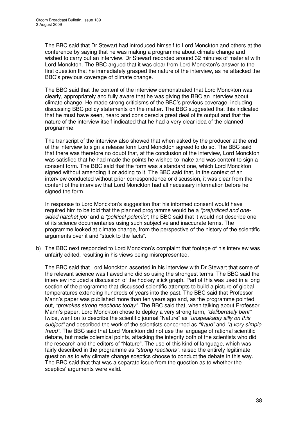The BBC said that Dr Stewart had introduced himself to Lord Monckton and others at the conference by saying that he was making a programme about climate change and wished to carry out an interview. Dr Stewart recorded around 32 minutes of material with Lord Monckton. The BBC argued that it was clear from Lord Monckton's answer to the first question that he immediately grasped the nature of the interview, as he attacked the BBC's previous coverage of climate change.

The BBC said that the content of the interview demonstrated that Lord Monckton was clearly, appropriately and fully aware that he was giving the BBC an interview about climate change. He made strong criticisms of the BBC's previous coverage, including discussing BBC policy statements on the matter. The BBC suggested that this indicated that he must have seen, heard and considered a great deal of its output and that the nature of the interview itself indicated that he had a very clear idea of the planned programme.

The transcript of the interview also showed that when asked by the producer at the end of the interview to sign a release form Lord Monckton agreed to do so. The BBC said that there was therefore no doubt that, at the conclusion of the interview, Lord Monckton was satisfied that he had made the points he wished to make and was content to sign a consent form. The BBC said that the form was a standard one, which Lord Monckton signed without amending it or adding to it. The BBC said that, in the context of an interview conducted without prior correspondence or discussion, it was clear from the content of the interview that Lord Monckton had all necessary information before he signed the form.

In response to Lord Monckton's suggestion that his informed consent would have required him to be told that the planned programme would be a *"prejudiced and onesided hatchet job"* and a *"political polemic"*, the BBC said that it would not describe one of its science documentaries using such subjective and inaccurate terms. The programme looked at climate change, from the perspective of the history of the scientific arguments over it and "stuck to the facts".

b) The BBC next responded to Lord Monckton's complaint that footage of his interview was unfairly edited, resulting in his views being misrepresented.

The BBC said that Lord Monckton asserted in his interview with Dr Stewart that some of the relevant science was flawed and did so using the strongest terms. The BBC said the interview included a discussion of the hockey stick graph. Part of this was used in a long section of the programme that discussed scientific attempts to build a picture of global temperatures extending hundreds of years into the past. The BBC said that Professor Mann's paper was published more than ten years ago and, as the programme pointed out, *"provokes strong reactions today"*. The BBC said that, when talking about Professor Mann's paper, Lord Monckton chose to deploy a very strong term, *"deliberately bent"* twice, went on to describe the scientific journal "Nature" as *"unspeakably silly on this subject"* and described the work of the scientists concerned as *"fraud"* and *"a very simple fraud"*. The BBC said that Lord Monckton did not use the language of rational scientific debate, but made polemical points, attacking the integrity both of the scientists who did the research and the editors of "Nature". The use of this kind of language, which was fairly described in the programme as *"strong reactions"*, raised the entirely legitimate question as to why climate change sceptics choose to conduct the debate in this way. The BBC said that that was a separate issue from the question as to whether the sceptics' arguments were valid.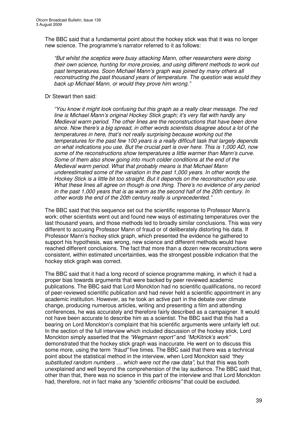The BBC said that a fundamental point about the hockey stick was that it was no longer new science. The programme's narrator referred to it as follows:

*"But whilst the sceptics were busy attacking Mann, other researchers were doing their own science, hunting for more proxies, and using different methods to work out past temperatures. Soon Michael Mann's graph was joined by many others all reconstructing the past thousand years of temperature. The question was would they back up Michael Mann, or would they prove him wrong."*

#### Dr Stewart then said:

*"You know it might look confusing but this graph as a really clear message. The red line is Michael Mann's original Hockey Stick graph; it's very flat with hardly any Medieval warm period. The other lines are the reconstructions that have been done since. Now there's a big spread, in other words scientists disagree about a lot of the temperatures in here, that's not really surprising because working out the temperatures for the past few 100 years is a really difficult task that largely depends on what indications you use. But the crucial part is over here. This is 1,000 AD, now some of the reconstructions show temperatures a little warmer than Mann's curve. Some of them also show going into much colder conditions at the end of the Medieval warm period. What that probably means is that Michael Mann underestimated some of the variation in the past 1,000 years. In other words the Hockey Stick is a little bit too straight. But it depends on the reconstruction you use. What these lines all agree on though is one thing. There's no evidence of any period in the past 1,000 years that is as warm as the second half of the 20th century. In other words the end of the 20th century really is unprecedented."*

The BBC said that this sequence set out the scientific response to Professor Mann's work: other scientists went out and found new ways of estimating temperatures over the last thousand years, and those methods led to broadly similar conclusions. This was very different to accusing Professor Mann of fraud or of deliberately distorting his data. If Professor Mann's hockey stick graph, which presented the evidence he gathered to support his hypothesis, was wrong, new science and different methods would have reached different conclusions. The fact that more than a dozen new reconstructions were consistent, within estimated uncertainties, was the strongest possible indication that the hockey stick graph was correct.

The BBC said that it had a long record of science programme making, in which it had a proper bias towards arguments that were backed by peer reviewed academic publications. The BBC said that Lord Monckton had no scientific qualifications, no record of peer-reviewed scientific publication and had never held a scientific appointment in any academic institution. However, as he took an active part in the debate over climate change, producing numerous articles, writing and presenting a film and attending conferences, he was accurately and therefore fairly described as a campaigner. It would not have been accurate to describe him as a scientist. The BBC said that this had a bearing on Lord Monckton's complaint that his scientific arguments were unfairly left out. In the section of the full interview which included discussion of the hockey stick, Lord Monckton simply asserted that the *"Wegmann report"* and *"McKitrick's work"* demonstrated that the hockey stick graph was inaccurate. He went on to discuss this some more, using the term *"fraud"* five times. The BBC said that there was a technical point about the statistical method in the interview, when Lord Monckton said *"they substituted random numbers … which were not the raw data"*, but that this was both unexplained and well beyond the comprehension of the lay audience. The BBC said that, other than that, there was no science in this part of the interview and that Lord Monckton had, therefore, not in fact make any *"scientific criticisms"* that could be excluded.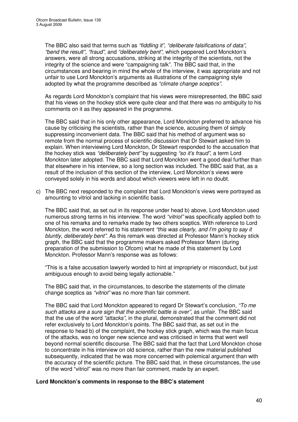The BBC also said that terms such as *"fiddling it"*, *"deliberate falsifications of data"*, *"bend the result"*, *"fraud"*, and *"deliberately bent"*, which peppered Lord Monckton's answers, were all strong accusations, striking at the integrity of the scientists, not the integrity of the science and were "campaigning talk". The BBC said that, in the circumstances and bearing in mind the whole of the interview, it was appropriate and not unfair to use Lord Monckton's arguments as illustrations of the campaigning style adopted by what the programme described as *"climate change sceptics"*.

As regards Lord Monckton's complaint that his views were misrepresented, the BBC said that his views on the hockey stick were quite clear and that there was no ambiguity to his comments on it as they appeared in the programme.

The BBC said that in his only other appearance, Lord Monckton preferred to advance his cause by criticising the scientists, rather than the science, accusing them of simply suppressing inconvenient data. The BBC said that his method of argument was so remote from the normal process of scientific discussion that Dr Stewart asked him to explain. When interviewing Lord Monckton, Dr Stewart responded to the accusation that the hockey stick was *"deliberately bent"* by suggesting *"so it's fraud",* a term Lord Monckton later adopted. The BBC said that Lord Monckton went a good deal further than that elsewhere in his interview, so a long section was included. The BBC said that, as a result of the inclusion of this section of the interview, Lord Monckton's views were conveyed solely in his words and about which viewers were left in no doubt.

c) The BBC next responded to the complaint that Lord Monckton's views were portrayed as amounting to vitriol and lacking in scientific basis.

The BBC said that, as set out in its response under head b) above, Lord Monckton used numerous strong terms in his interview. The word *"vitriol"* was specifically applied both to one of his remarks and to remarks made by two others sceptics. With reference to Lord Monckton, the word referred to his statement *"this was clearly, and I'm going to say it bluntly, deliberately bent"*. As this remark was directed at Professor Mann's hockey stick graph, the BBC said that the programme makers asked Professor Mann (during preparation of the submission to Ofcom) what he made of this statement by Lord Monckton. Professor Mann's response was as follows:

"This is a false accusation lawyerly worded to hint at impropriety or misconduct, but just ambiguous enough to avoid being legally actionable."

The BBC said that, in the circumstances, to describe the statements of the climate change sceptics as *"vitriol"* was no more than fair comment.

The BBC said that Lord Monckton appeared to regard Dr Stewart's conclusion, *"To me such attacks are a sure sign that the scientific battle is over",* as unfair. The BBC said that the use of the word *"attacks"*, in the plural, demonstrated that the comment did not refer exclusively to Lord Monckton's points. The BBC said that, as set out in the response to head b) of the complaint, the hockey stick graph, which was the main focus of the attacks, was no longer new science and was criticised in terms that went well beyond normal scientific discourse. The BBC said that the fact that Lord Monckton chose to concentrate in his interview on old science, rather than the new material published subsequently, indicated that he was more concerned with polemical argument than with the accuracy of the scientific picture. The BBC said that, in these circumstances, the use of the word "vitriol" was no more than fair comment, made by an expert.

# **Lord Monckton's comments in response to the BBC's statement**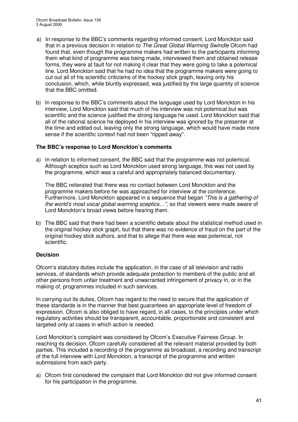- a) In response to the BBC's comments regarding informed consent, Lord Monckton said that in a previous decision in relation to *The Great Global Warming Swindle* Ofcom had found that, even though the programme makers had written to the participants informing them what kind of programme was being made, interviewed them and obtained release forms, they were at fault for not making it clear that they were going to take a polemical line. Lord Monckton said that he had no idea that the programme makers were going to cut out all of his scientific criticisms of the hockey stick graph, leaving only his conclusion, which, while bluntly expressed, was justified by the large quantity of science that the BBC omitted.
- b) In response to the BBC's comments about the language used by Lord Monckton in his interview, Lord Monckton said that much of his interview was not polemical but was scientific and the science justified the strong language he used. Lord Monckton said that all of the rational science he deployed in his interview was ignored by the presenter at the time and edited out, leaving only the strong language, which would have made more sense if the scientific context had not been "ripped away".

# **The BBC's response to Lord Monckton's comments**

a) In relation to informed consent, the BBC said that the programme was not polemical. Although sceptics such as Lord Monckton used strong language, this was not used by the programme, which was a careful and appropriately balanced documentary.

The BBC reiterated that there was no contact between Lord Monckton and the programme makers before he was approached for interview at the conference. Furthermore, Lord Monckton appeared in a sequence that began *"This is a gathering of the world's most vocal global warming sceptics…"*, so that viewers were made aware of Lord Monckton's broad views before hearing them.

b) The BBC said that there had been a scientific debate about the statistical method used in the original hockey stick graph, but that there was no evidence of fraud on the part of the original hockey stick authors, and that to allege that there was was polemical, not scientific.

# **Decision**

Ofcom's statutory duties include the application, in the case of all television and radio services, of standards which provide adequate protection to members of the public and all other persons from unfair treatment and unwarranted infringement of privacy in, or in the making of, programmes included in such services.

In carrying out its duties, Ofcom has regard to the need to secure that the application of these standards is in the manner that best guarantees an appropriate level of freedom of expression. Ofcom is also obliged to have regard, in all cases, to the principles under which regulatory activities should be transparent, accountable, proportionate and consistent and targeted only at cases in which action is needed.

Lord Monckton's complaint was considered by Ofcom's Executive Fairness Group. In reaching its decision, Ofcom carefully considered all the relevant material provided by both parties. This included a recording of the programme as broadcast, a recording and transcript of the full interview with Lord Monckton, a transcript of the programme and written submissions from each party.

a) Ofcom first considered the complaint that Lord Monckton did not give informed consent for his participation in the programme.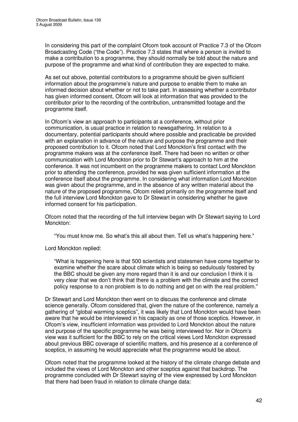In considering this part of the complaint Ofcom took account of Practice 7.3 of the Ofcom Broadcasting Code ("the Code"). Practice 7.3 states that where a person is invited to make a contribution to a programme, they should normally be told about the nature and purpose of the programme and what kind of contribution they are expected to make.

As set out above, potential contributors to a programme should be given sufficient information about the programme's nature and purpose to enable them to make an informed decision about whether or not to take part. In assessing whether a contributor has given informed consent, Ofcom will look at information that was provided to the contributor prior to the recording of the contribution, untransmitted footage and the programme itself.

In Ofcom's view an approach to participants at a conference, without prior communication, is usual practice in relation to newsgathering. In relation to a documentary, potential participants should where possible and practicable be provided with an explanation in advance of the nature and purpose the programme and their proposed contribution to it. Ofcom noted that Lord Monckton's first contact with the programme makers was at the conference itself. There had been no written or other communication with Lord Monckton prior to Dr Stewart's approach to him at the conference. It was not incumbent on the programme makers to contact Lord Monckton prior to attending the conference, provided he was given sufficient information at the conference itself about the programme. In considering what information Lord Monckton was given about the programme, and in the absence of any written material about the nature of the proposed programme, Ofcom relied primarily on the programme itself and the full interview Lord Monckton gave to Dr Stewart in considering whether he gave informed consent for his participation.

Ofcom noted that the recording of the full interview began with Dr Stewart saying to Lord Monckton:

"You must know me. So what's this all about then. Tell us what's happening here."

Lord Monckton replied:

"What is happening here is that 500 scientists and statesmen have come together to examine whether the scare about climate which is being so sedulously fostered by the BBC should be given any more regard than it is and our conclusion I think it is very clear that we don't think that there is a problem with the climate and the correct policy response to a non problem is to do nothing and get on with the real problem."

Dr Stewart and Lord Monckton then went on to discuss the conference and climate science generally. Ofcom considered that, given the nature of the conference, namely a gathering of "global warming sceptics", it was likely that Lord Monckton would have been aware that he would be interviewed in his capacity as one of those sceptics. However, in Ofcom's view, insufficient information was provided to Lord Monckton about the nature and purpose of the specific programme he was being interviewed for. Nor in Ofcom's view was it sufficient for the BBC to rely on the critical views Lord Monckton expressed about previous BBC coverage of scientific matters, and his presence at a conference of sceptics, in assuming he would appreciate what the programme would be about.

Ofcom noted that the programme looked at the history of the climate change debate and included the views of Lord Monckton and other sceptics against that backdrop. The programme concluded with Dr Stewart saying of the view expressed by Lord Monckton that there had been fraud in relation to climate change data: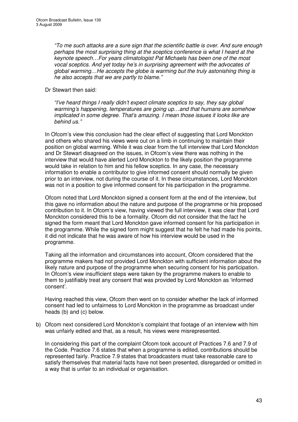*"To me such attacks are a sure sign that the scientific battle is over. And sure enough perhaps the most surprising thing at the sceptics conference is what I heard at the keynote speech…For years climatologist Pat Michaels has been one of the most vocal sceptics. And yet today he's in surprising agreement with the advocates of global warming…He accepts the globe is warming but the truly astonishing thing is he also accepts that we are partly to blame."*

# Dr Stewart then said:

*"I've heard things I really didn't expect climate sceptics to say, they say global warming's happening, temperatures are going up…and that humans are somehow implicated in some degree. That's amazing. I mean those issues it looks like are behind us."*

In Ofcom's view this conclusion had the clear effect of suggesting that Lord Monckton and others who shared his views were out on a limb in continuing to maintain their position on global warming. While it was clear from the full interview that Lord Monckton and Dr Stewart disagreed on the issues, in Ofcom's view there was nothing in the interview that would have alerted Lord Monckton to the likely position the programme would take in relation to him and his fellow sceptics. In any case, the necessary information to enable a contributor to give informed consent should normally be given prior to an interview, not during the course of it. In these circumstances, Lord Monckton was not in a position to give informed consent for his participation in the programme.

Ofcom noted that Lord Monckton signed a consent form at the end of the interview, but this gave no information about the nature and purpose of the programme or his proposed contribution to it. In Ofcom's view, having viewed the full interview, it was clear that Lord Monckton considered this to be a formality. Ofcom did not consider that the fact he signed the form meant that Lord Monckton gave informed consent for his participation in the programme. While the signed form might suggest that he felt he had made his points, it did not indicate that he was aware of how his interview would be used in the programme.

Taking all the information and circumstances into account, Ofcom considered that the programme makers had not provided Lord Monckton with sufficient information about the likely nature and purpose of the programme when securing consent for his participation. In Ofcom's view insufficient steps were taken by the programme makers to enable to them to justifiably treat any consent that was provided by Lord Monckton as 'informed consent'.

Having reached this view, Ofcom then went on to consider whether the lack of informed consent had led to unfairness to Lord Monckton in the programme as broadcast under heads (b) and (c) below.

b) Ofcom next considered Lord Monckton's complaint that footage of an interview with him was unfairly edited and that, as a result, his views were misrepresented.

In considering this part of the complaint Ofcom took account of Practices 7.6 and 7.9 of the Code. Practice 7.6 states that when a programme is edited, contributions should be represented fairly. Practice 7.9 states that broadcasters must take reasonable care to satisfy themselves that material facts have not been presented, disregarded or omitted in a way that is unfair to an individual or organisation.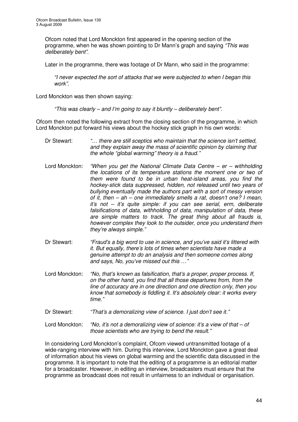Ofcom noted that Lord Monckton first appeared in the opening section of the programme, when he was shown pointing to Dr Mann's graph and saying *"This was deliberately bent".*

Later in the programme, there was footage of Dr Mann, who said in the programme:

*"I never expected the sort of attacks that we were subjected to when I began this work".*

Lord Monckton was then shown saying:

*"This was clearly – and I'm going to say it bluntly – deliberately bent".*

Ofcom then noted the following extract from the closing section of the programme, in which Lord Monckton put forward his views about the hockey stick graph in his own words:

- Dr Stewart: *"… there are still sceptics who maintain that the science isn't settled, and they explain away the mass of scientific opinion by claiming that the whole "global warming" theory is a fraud."*
- Lord Monckton: *"When you get the National Climate Data Centre – er – withholding the locations of its temperature stations the moment one or two of them were found to be in urban heat-island areas, you find the hockey-stick data suppressed, hidden, not released until two years of bullying eventually made the authors part with a sort of messy version of it, then – ah – one immediately smells a rat, doesn't one? I mean, it's not – it's quite simple: if you can see serial, erm, deliberate falsifications of data, withholding of data, manipulation of data, these are simple matters to track. The great thing about all frauds is, however complex they look to the outsider, once you understand them they're always simple."*
- Dr Stewart: *"Fraud's a big word to use in science, and you've said it's littered with it. But equally, there's lots of times when scientists have made a genuine attempt to do an analysis and then someone comes along and says, No, you've missed out this …"*
- Lord Monckton: *"No, that's known as falsification, that's a proper, proper process. If, on the other hand, you find that all those departures from, from the line of accuracy are in one direction and one direction only, then you know that somebody is fiddling it. It's absolutely clear: it works every time."*
- Dr Stewart: *"That's a demoralizing view of science. I just don't see it."*
- Lord Monckton: *"No, it's not a demoralizing view of science: it's a view of that – of those scientists who are trying to bend the result."*

In considering Lord Monckton's complaint, Ofcom viewed untransmitted footage of a wide-ranging interview with him. During this interview, Lord Monckton gave a great deal of information about his views on global warming and the scientific data discussed in the programme. It is important to note that the editing of a programme is an editorial matter for a broadcaster. However, in editing an interview, broadcasters must ensure that the programme as broadcast does not result in unfairness to an individual or organisation.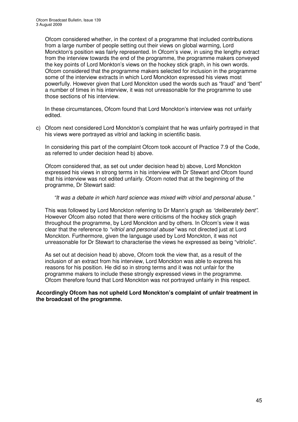Ofcom considered whether, in the context of a programme that included contributions from a large number of people setting out their views on global warming, Lord Monckton's position was fairly represented. In Ofcom's view, in using the lengthy extract from the interview towards the end of the programme, the programme makers conveyed the key points of Lord Monkton's views on the hockey stick graph, in his own words. Ofcom considered that the programme makers selected for inclusion in the programme some of the interview extracts in which Lord Monckton expressed his views most powerfully. However given that Lord Monckton used the words such as "fraud" and "bent" a number of times in his interview, it was not unreasonable for the programme to use those sections of his interview.

In these circumstances, Ofcom found that Lord Monckton's interview was not unfairly edited.

c) Ofcom next considered Lord Monckton's complaint that he was unfairly portrayed in that his views were portrayed as vitriol and lacking in scientific basis.

In considering this part of the complaint Ofcom took account of Practice 7.9 of the Code, as referred to under decision head b) above.

Ofcom considered that, as set out under decision head b) above, Lord Monckton expressed his views in strong terms in his interview with Dr Stewart and Ofcom found that his interview was not edited unfairly. Ofcom noted that at the beginning of the programme, Dr Stewart said:

#### *"It was a debate in which hard science was mixed with vitriol and personal abuse."*

This was followed by Lord Monckton referring to Dr Mann's graph as *"deliberately bent"*. However Ofcom also noted that there were criticisms of the hockey stick graph throughout the programme, by Lord Monckton and by others. In Ofcom's view it was clear that the reference to *"vitriol and personal abuse"* was not directed just at Lord Monckton. Furthermore, given the language used by Lord Monckton, it was not unreasonable for Dr Stewart to characterise the views he expressed as being "vitriolic".

As set out at decision head b) above, Ofcom took the view that, as a result of the inclusion of an extract from his interview, Lord Monckton was able to express his reasons for his position. He did so in strong terms and it was not unfair for the programme makers to include these strongly expressed views in the programme. Ofcom therefore found that Lord Monckton was not portrayed unfairly in this respect.

#### **Accordingly Ofcom has not upheld Lord Monckton's complaint of unfair treatment in the broadcast of the programme.**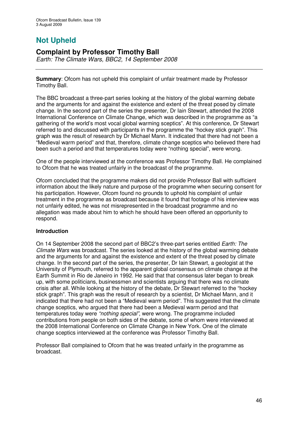# **Not Upheld**

# **Complaint by Professor Timothy Ball**

*Earth: The Climate Wars, BBC2, 14 September 2008*

**Summary**: Ofcom has not upheld this complaint of unfair treatment made by Professor Timothy Ball.

The BBC broadcast a three-part series looking at the history of the global warming debate and the arguments for and against the existence and extent of the threat posed by climate change. In the second part of the series the presenter, Dr Iain Stewart, attended the 2008 International Conference on Climate Change, which was described in the programme as "a gathering of the world's most vocal global warming sceptics". At this conference, Dr Stewart referred to and discussed with participants in the programme the "hockey stick graph". This graph was the result of research by Dr Michael Mann. It indicated that there had not been a "Medieval warm period" and that, therefore, climate change sceptics who believed there had been such a period and that temperatures today were "nothing special", were wrong.

One of the people interviewed at the conference was Professor Timothy Ball. He complained to Ofcom that he was treated unfairly in the broadcast of the programme.

Ofcom concluded that the programme makers did not provide Professor Ball with sufficient information about the likely nature and purpose of the programme when securing consent for his participation. However, Ofcom found no grounds to uphold his complaint of unfair treatment in the programme as broadcast because it found that footage of his interview was not unfairly edited, he was not misrepresented in the broadcast programme and no allegation was made about him to which he should have been offered an opportunity to respond.

# **Introduction**

On 14 September 2008 the second part of BBC2's three-part series entitled *Earth: The Climate Wars* was broadcast. The series looked at the history of the global warming debate and the arguments for and against the existence and extent of the threat posed by climate change. In the second part of the series, the presenter, Dr Iain Stewart, a geologist at the University of Plymouth, referred to the apparent global consensus on climate change at the Earth Summit in Rio de Janeiro in 1992. He said that that consensus later began to break up, with some politicians, businessmen and scientists arguing that there was no climate crisis after all. While looking at the history of the debate, Dr Stewart referred to the "hockey stick graph". This graph was the result of research by a scientist, Dr Michael Mann, and it indicated that there had not been a "Medieval warm period". This suggested that the climate change sceptics, who argued that there had been a Medieval warm period and that temperatures today were *"nothing special"*, were wrong. The programme included contributions from people on both sides of the debate, some of whom were interviewed at the 2008 International Conference on Climate Change in New York. One of the climate change sceptics interviewed at the conference was Professor Timothy Ball.

Professor Ball complained to Ofcom that he was treated unfairly in the programme as broadcast.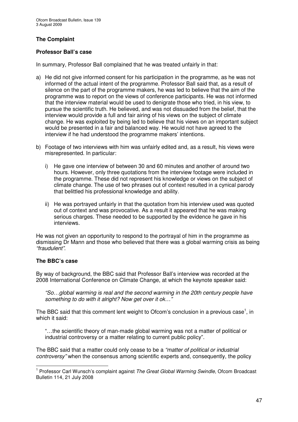# **The Complaint**

# **Professor Ball's case**

In summary, Professor Ball complained that he was treated unfairly in that:

- a) He did not give informed consent for his participation in the programme, as he was not informed of the actual intent of the programme. Professor Ball said that, as a result of silence on the part of the programme makers, he was led to believe that the aim of the programme was to report on the views of conference participants. He was not informed that the interview material would be used to denigrate those who tried, in his view, to pursue the scientific truth. He believed, and was not dissuaded from the belief, that the interview would provide a full and fair airing of his views on the subject of climate change. He was exploited by being led to believe that his views on an important subject would be presented in a fair and balanced way. He would not have agreed to the interview if he had understood the programme makers' intentions.
- b) Footage of two interviews with him was unfairly edited and, as a result, his views were misrepresented. In particular:
	- i) He gave one interview of between 30 and 60 minutes and another of around two hours. However, only three quotations from the interview footage were included in the programme. These did not represent his knowledge or views on the subject of climate change. The use of two phrases out of context resulted in a cynical parody that belittled his professional knowledge and ability.
	- ii) He was portrayed unfairly in that the quotation from his interview used was quoted out of context and was provocative. As a result it appeared that he was making serious charges. These needed to be supported by the evidence he gave in his interviews.

He was not given an opportunity to respond to the portrayal of him in the programme as dismissing Dr Mann and those who believed that there was a global warming crisis as being *"fraudulent"*.

# **The BBC's case**

By way of background, the BBC said that Professor Ball's interview was recorded at the 2008 International Conference on Climate Change, at which the keynote speaker said:

*"So…global warming is real and the second warming in the 20th century people have something to do with it alright? Now get over it ok…"*

The BBC said that this comment lent weight to Ofcom's conclusion in a previous case<sup>1</sup>, in which it said:

"…the scientific theory of man-made global warming was not a matter of political or industrial controversy or a matter relating to current public policy".

The BBC said that a matter could only cease to be a *"matter of political or industrial controversy"* when the consensus among scientific experts and, consequently, the policy

<sup>1</sup> Professor Carl Wunsch's complaint against *The Great Global Warming Swindle*, Ofcom Broadcast Bulletin 114, 21 July 2008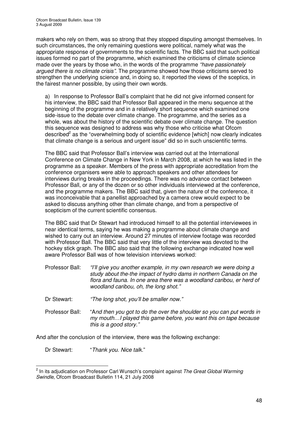makers who rely on them, was so strong that they stopped disputing amongst themselves. In such circumstances, the only remaining questions were political, namely what was the appropriate response of governments to the scientific facts. The BBC said that such political issues formed no part of the programme, which examined the criticisms of climate science made over the years by those who, in the words of the programme *"have passionately argued there is no climate crisis"*. The programme showed how those criticisms served to strengthen the underlying science and, in doing so, it reported the views of the sceptics, in the fairest manner possible, by using their own words.

a) In response to Professor Ball's complaint that he did not give informed consent for his interview, the BBC said that Professor Ball appeared in the menu sequence at the beginning of the programme and in a relatively short sequence which examined one side-issue to the debate over climate change. The programme, and the series as a whole, was about the history of the scientific debate over climate change. The question this sequence was designed to address was why those who criticise what Ofcom described<sup>2</sup> as the "overwhelming body of scientific evidence [which] now clearly indicates that climate change is a serious and urgent issue" did so in such unscientific terms.

The BBC said that Professor Ball's interview was carried out at the International Conference on Climate Change in New York in March 2008, at which he was listed in the programme as a speaker. Members of the press with appropriate accreditation from the conference organisers were able to approach speakers and other attendees for interviews during breaks in the proceedings. There was no advance contact between Professor Ball, or any of the dozen or so other individuals interviewed at the conference, and the programme makers. The BBC said that, given the nature of the conference, it was inconceivable that a panellist approached by a camera crew would expect to be asked to discuss anything other than climate change, and from a perspective of scepticism of the current scientific consensus.

The BBC said that Dr Stewart had introduced himself to all the potential interviewees in near identical terms, saying he was making a programme about climate change and wished to carry out an interview. Around 27 minutes of interview footage was recorded with Professor Ball. The BBC said that very little of the interview was devoted to the hockey stick graph. The BBC also said that the following exchange indicated how well aware Professor Ball was of how television interviews worked:

- Professor Ball: *"I'll give you another example, in my own research we were doing a study about the-the impact of hydro dams in northern Canada on the flora and fauna. In one area there was a woodland caribou, er herd of woodland caribou, oh, the long shot."*
- Dr Stewart: *"The long shot, you'll be smaller now."*
- Professor Ball: "A*nd then you got to do the over the shoulder so you can put words in my mouth…I played this game before, you want this on tape because this is a good story."*

And after the conclusion of the interview, there was the following exchange:

Dr Stewart: "*Thank you. Nice talk*."

<sup>2</sup> In its adjudication on Professor Carl Wunsch's complaint against *The Great Global Warming Swindle*, Ofcom Broadcast Bulletin 114, 21 July 2008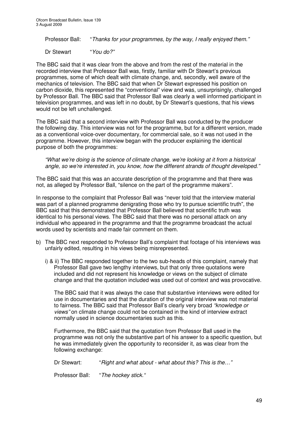Professor Ball: "*Thanks for your programmes, by the way, I really enjoyed them."*

Dr Stewart "*You do?"*

The BBC said that it was clear from the above and from the rest of the material in the recorded interview that Professor Ball was, firstly, familiar with Dr Stewart's previous programmes, some of which dealt with climate change, and, secondly, well aware of the mechanics of television. The BBC said that when Dr Stewart expressed his position on carbon dioxide, this represented the "conventional" view and was, unsurprisingly, challenged by Professor Ball. The BBC said that Professor Ball was clearly a well informed participant in television programmes, and was left in no doubt, by Dr Stewart's questions, that his views would not be left unchallenged.

The BBC said that a second interview with Professor Ball was conducted by the producer the following day. This interview was not for the programme, but for a different version, made as a conventional voice-over documentary, for commercial sale, so it was not used in the programme. However, this interview began with the producer explaining the identical purpose of both the programmes:

*"What we're doing is the science of climate change, we're looking at it from a historical angle, so we're interested in, you know, how the different strands of thought developed."*

The BBC said that this was an accurate description of the programme and that there was not, as alleged by Professor Ball, "silence on the part of the programme makers".

In response to the complaint that Professor Ball was "never told that the interview material was part of a planned programme denigrating those who try to pursue scientific truth", the BBC said that this demonstrated that Professor Ball believed that scientific truth was identical to his personal views. The BBC said that there was no personal attack on any individual who appeared in the programme and that the programme broadcast the actual words used by scientists and made fair comment on them.

- b) The BBC next responded to Professor Ball's complaint that footage of his interviews was unfairly edited, resulting in his views being misrepresented.
	- i) & ii) The BBC responded together to the two sub-heads of this complaint, namely that Professor Ball gave two lengthy interviews, but that only three quotations were included and did not represent his knowledge or views on the subject of climate change and that the quotation included was used out of context and was provocative.

The BBC said that it was always the case that substantive interviews were edited for use in documentaries and that the duration of the original interview was not material to fairness. The BBC said that Professor Ball's clearly very broad *"knowledge or views"* on climate change could not be contained in the kind of interview extract normally used in science documentaries such as this.

Furthermore, the BBC said that the quotation from Professor Ball used in the programme was not only the substantive part of his answer to a specific question, but he was immediately given the opportunity to reconsider it, as was clear from the following exchange:

Dr Stewart: "*Right and what about - what about this? This is the…"*

Professor Ball: "*The hockey stick."*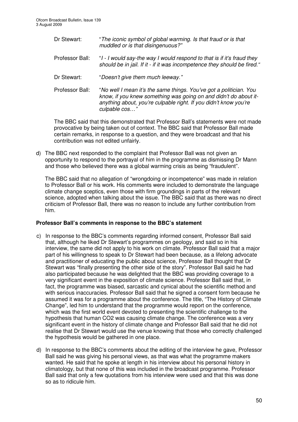- Dr Stewart: "*The iconic symbol of global warming. Is that fraud or is that muddled or is that disingenuous?"*
- Professor Ball: "*I - I would say-the way I would respond to that is if it's fraud they should be in jail. If it - if it was incompetence they should be fired."*
- Dr Stewart: "*Doesn't give them much leeway."*
- Professor Ball: "*No well I mean it's the same things. You've got a politician. You know, if you knew something was going on and didn't do about itanything about, you're culpable right. If you didn't know you're culpable cos…"*

The BBC said that this demonstrated that Professor Ball's statements were not made provocative by being taken out of context. The BBC said that Professor Ball made certain remarks, in response to a question, and they were broadcast and that his contribution was not edited unfairly.

d) The BBC next responded to the complaint that Professor Ball was not given an opportunity to respond to the portrayal of him in the programme as dismissing Dr Mann and those who believed there was a global warming crisis as being "fraudulent".

The BBC said that no allegation of "wrongdoing or incompetence" was made in relation to Professor Ball or his work. His comments were included to demonstrate the language climate change sceptics, even those with firm groundings in parts of the relevant science, adopted when talking about the issue. The BBC said that as there was no direct criticism of Professor Ball, there was no reason to include any further contribution from him.

# **Professor Ball's comments in response to the BBC's statement**

- c) In response to the BBC's comments regarding informed consent, Professor Ball said that, although he liked Dr Stewart's programmes on geology, and said so in his interview, the same did not apply to his work on climate. Professor Ball said that a major part of his willingness to speak to Dr Stewart had been because, as a lifelong advocate and practitioner of educating the public about science, Professor Ball thought that Dr Stewart was "finally presenting the other side of the story". Professor Ball said he had also participated because he was delighted that the BBC was providing coverage to a very significant event in the exposition of climate science. Professor Ball said that, in fact, the programme was biased, sarcastic and cynical about the scientific method and with serious inaccuracies. Professor Ball said that he signed a consent form because he assumed it was for a programme about the conference. The title, "The History of Climate Change", led him to understand that the programme would report on the conference, which was the first world event devoted to presenting the scientific challenge to the hypothesis that human CO2 was causing climate change. The conference was a very significant event in the history of climate change and Professor Ball said that he did not realise that Dr Stewart would use the venue knowing that those who correctly challenged the hypothesis would be gathered in one place.
- d) In response to the BBC's comments about the editing of the interview he gave, Professor Ball said he was giving his personal views, as that was what the programme makers wanted. He said that he spoke at length in his interview about his personal history in climatology, but that none of this was included in the broadcast programme. Professor Ball said that only a few quotations from his interview were used and that this was done so as to ridicule him.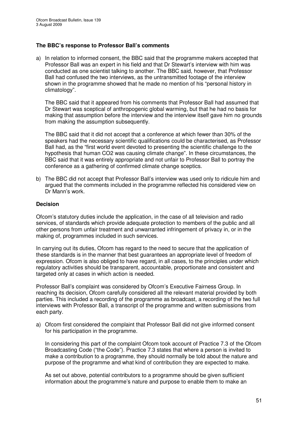# **The BBC's response to Professor Ball's comments**

a) In relation to informed consent, the BBC said that the programme makers accepted that Professor Ball was an expert in his field and that Dr Stewart's interview with him was conducted as one scientist talking to another. The BBC said, however, that Professor Ball had confused the two interviews, as the untransmitted footage of the interview shown in the programme showed that he made no mention of his "personal history in climatology".

The BBC said that it appeared from his comments that Professor Ball had assumed that Dr Stewart was sceptical of anthropogenic global warming, but that he had no basis for making that assumption before the interview and the interview itself gave him no grounds from making the assumption subsequently.

The BBC said that it did not accept that a conference at which fewer than 30% of the speakers had the necessary scientific qualifications could be characterised, as Professor Ball had, as the "first world event devoted to presenting the scientific challenge to the hypothesis that human CO2 was causing climate change". In these circumstances, the BBC said that it was entirely appropriate and not unfair to Professor Ball to portray the conference as a gathering of confirmed climate change sceptics.

b) The BBC did not accept that Professor Ball's interview was used only to ridicule him and argued that the comments included in the programme reflected his considered view on Dr Mann's work.

# **Decision**

Ofcom's statutory duties include the application, in the case of all television and radio services, of standards which provide adequate protection to members of the public and all other persons from unfair treatment and unwarranted infringement of privacy in, or in the making of, programmes included in such services.

In carrying out its duties, Ofcom has regard to the need to secure that the application of these standards is in the manner that best guarantees an appropriate level of freedom of expression. Ofcom is also obliged to have regard, in all cases, to the principles under which regulatory activities should be transparent, accountable, proportionate and consistent and targeted only at cases in which action is needed.

Professor Ball's complaint was considered by Ofcom's Executive Fairness Group. In reaching its decision, Ofcom carefully considered all the relevant material provided by both parties. This included a recording of the programme as broadcast, a recording of the two full interviews with Professor Ball, a transcript of the programme and written submissions from each party.

a) Ofcom first considered the complaint that Professor Ball did not give informed consent for his participation in the programme.

In considering this part of the complaint Ofcom took account of Practice 7.3 of the Ofcom Broadcasting Code ("the Code"). Practice 7.3 states that where a person is invited to make a contribution to a programme, they should normally be told about the nature and purpose of the programme and what kind of contribution they are expected to make.

As set out above, potential contributors to a programme should be given sufficient information about the programme's nature and purpose to enable them to make an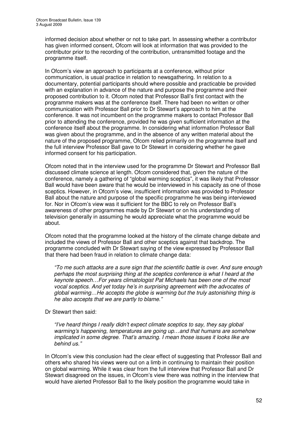informed decision about whether or not to take part. In assessing whether a contributor has given informed consent, Ofcom will look at information that was provided to the contributor prior to the recording of the contribution, untransmitted footage and the programme itself.

In Ofcom's view an approach to participants at a conference, without prior communication, is usual practice in relation to newsgathering. In relation to a documentary, potential participants should where possible and practicable be provided with an explanation in advance of the nature and purpose the programme and their proposed contribution to it. Ofcom noted that Professor Ball's first contact with the programme makers was at the conference itself. There had been no written or other communication with Professor Ball prior to Dr Stewart's approach to him at the conference. It was not incumbent on the programme makers to contact Professor Ball prior to attending the conference, provided he was given sufficient information at the conference itself about the programme. In considering what information Professor Ball was given about the programme, and in the absence of any written material about the nature of the proposed programme, Ofcom relied primarily on the programme itself and the full interview Professor Ball gave to Dr Stewart in considering whether he gave informed consent for his participation.

Ofcom noted that in the interview used for the programme Dr Stewart and Professor Ball discussed climate science at length. Ofcom considered that, given the nature of the conference, namely a gathering of "global warming sceptics", it was likely that Professor Ball would have been aware that he would be interviewed in his capacity as one of those sceptics. However, in Ofcom's view, insufficient information was provided to Professor Ball about the nature and purpose of the specific programme he was being interviewed for. Nor in Ofcom's view was it sufficient for the BBC to rely on Professor Ball's awareness of other programmes made by Dr Stewart or on his understanding of television generally in assuming he would appreciate what the programme would be about.

Ofcom noted that the programme looked at the history of the climate change debate and included the views of Professor Ball and other sceptics against that backdrop. The programme concluded with Dr Stewart saying of the view expressed by Professor Ball that there had been fraud in relation to climate change data:

*"To me such attacks are a sure sign that the scientific battle is over. And sure enough perhaps the most surprising thing at the sceptics conference is what I heard at the keynote speech…For years climatologist Pat Michaels has been one of the most vocal sceptics. And yet today he's in surprising agreement with the advocates of global warming…He accepts the globe is warming but the truly astonishing thing is he also accepts that we are partly to blame."*

Dr Stewart then said:

*"I've heard things I really didn't expect climate sceptics to say, they say global warming's happening, temperatures are going up…and that humans are somehow implicated in some degree. That's amazing. I mean those issues it looks like are behind us."*

In Ofcom's view this conclusion had the clear effect of suggesting that Professor Ball and others who shared his views were out on a limb in continuing to maintain their position on global warming. While it was clear from the full interview that Professor Ball and Dr Stewart disagreed on the issues, in Ofcom's view there was nothing in the interview that would have alerted Professor Ball to the likely position the programme would take in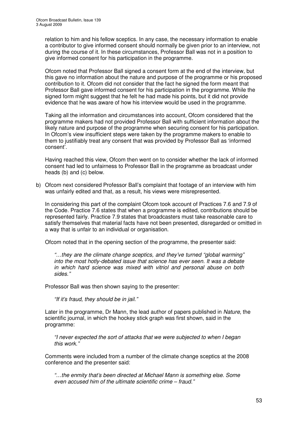relation to him and his fellow sceptics. In any case, the necessary information to enable a contributor to give informed consent should normally be given prior to an interview, not during the course of it. In these circumstances, Professor Ball was not in a position to give informed consent for his participation in the programme.

Ofcom noted that Professor Ball signed a consent form at the end of the interview, but this gave no information about the nature and purpose of the programme or his proposed contribution to it. Ofcom did not consider that the fact he signed the form meant that Professor Ball gave informed consent for his participation in the programme. While the signed form might suggest that he felt he had made his points, but it did not provide evidence that he was aware of how his interview would be used in the programme.

Taking all the information and circumstances into account, Ofcom considered that the programme makers had not provided Professor Ball with sufficient information about the likely nature and purpose of the programme when securing consent for his participation. In Ofcom's view insufficient steps were taken by the programme makers to enable to them to justifiably treat any consent that was provided by Professor Ball as 'informed consent'.

Having reached this view, Ofcom then went on to consider whether the lack of informed consent had led to unfairness to Professor Ball in the programme as broadcast under heads (b) and (c) below.

b) Ofcom next considered Professor Ball's complaint that footage of an interview with him was unfairly edited and that, as a result, his views were misrepresented.

In considering this part of the complaint Ofcom took account of Practices 7.6 and 7.9 of the Code. Practice 7.6 states that when a programme is edited, contributions should be represented fairly. Practice 7.9 states that broadcasters must take reasonable care to satisfy themselves that material facts have not been presented, disregarded or omitted in a way that is unfair to an individual or organisation.

Ofcom noted that in the opening section of the programme, the presenter said:

*"…they are the climate change sceptics, and they've turned "global warming" into the most hotly-debated issue that science has ever seen. It was a debate in which hard science was mixed with vitriol and personal abuse on both sides."*

Professor Ball was then shown saying to the presenter:

*"If it's fraud, they should be in jail."*

Later in the programme, Dr Mann, the lead author of papers published in *Nature*, the scientific journal, in which the hockey stick graph was first shown, said in the programme:

*"I never expected the sort of attacks that we were subjected to when I began this work."*

Comments were included from a number of the climate change sceptics at the 2008 conference and the presenter said:

*"…the enmity that's been directed at Michael Mann is something else. Some even accused him of the ultimate scientific crime – fraud."*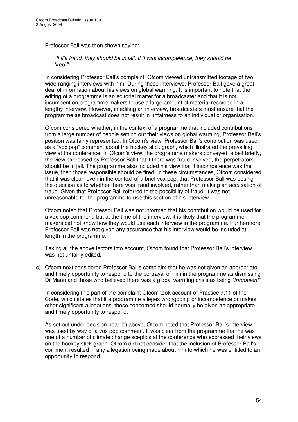Professor Ball was then shown saying:

*"If it's fraud, they should be in jail. If it was incompetence, they should be fired."*

In considering Professor Ball's complaint, Ofcom viewed untransmitted footage of two wide-ranging interviews with him. During these interviews, Professor Ball gave a great deal of information about his views on global warming. It is important to note that the editing of a programme is an editorial matter for a broadcaster and that it is not incumbent on programme makers to use a large amount of material recorded in a lengthy interview. However, in editing an interview, broadcasters must ensure that the programme as broadcast does not result in unfairness to an individual or organisation.

Ofcom considered whether, in the context of a programme that included contributions from a large number of people setting out their views on global warming, Professor Ball's position was fairly represented. In Ofcom's view, Professor Ball's contribution was used as a "vox pop" comment about the hockey stick graph, which illustrated the prevailing view at the conference. In Ofcom's view, the programme makers conveyed, albeit briefly, the view expressed by Professor Ball that if there was fraud involved, the perpetrators should be in jail. The programme also included his view that if incompetence was the issue, then those responsible should be fired. In these circumstances, Ofcom considered that it was clear, even in the context of a brief vox pop, that Professor Ball was posing the question as to whether there was fraud involved, rather than making an accusation of fraud. Given that Professor Ball referred to the possibility of fraud, it was not unreasonable for the programme to use this section of his interview.

Ofcom noted that Professor Ball was not informed that his contribution would be used for a vox pop comment, but at the time of the interview, it is likely that the programme makers did not know how they would use each interview in the programme. Furthermore, Professor Ball was not given any assurance that his interview would be included at length in the programme.

Taking all the above factors into account, Ofcom found that Professor Ball's interview was not unfairly edited.

c) Ofcom next considered Professor Ball's complaint that he was not given an appropriate and timely opportunity to respond to the portrayal of him in the programme as dismissing Dr Mann and those who believed there was a global warming crisis as being *"fraudulent"*.

In considering this part of the complaint Ofcom took account of Practice 7.11 of the Code, which states that if a programme alleges wrongdoing or incompetence or makes other significant allegations, those concerned should normally be given an appropriate and timely opportunity to respond.

As set out under decision head b) above, Ofcom noted that Professor Ball's interview was used by way of a vox pop comment. It was clear from the programme that he was one of a number of climate change sceptics at the conference who expressed their views on the hockey stick graph. Ofcom did not consider that the inclusion of Professor Ball's comment resulted in any allegation being made about him to which he was entitled to an opportunity to respond.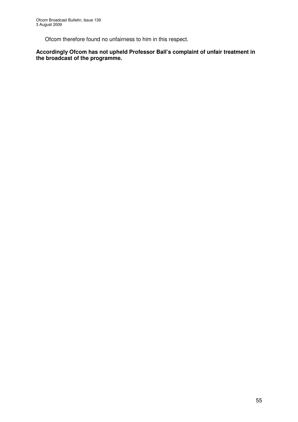Ofcom therefore found no unfairness to him in this respect.

**Accordingly Ofcom has not upheld Professor Ball's complaint of unfair treatment in the broadcast of the programme.**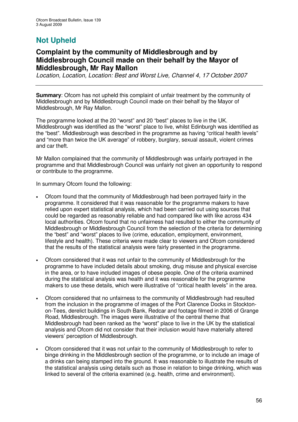# **Not Upheld**

# **Complaint by the community of Middlesbrough and by Middlesbrough Council made on their behalf by the Mayor of Middlesbrough, Mr Ray Mallon**

*Location, Location, Location: Best and Worst Live, Channel 4, 17 October 2007*

**Summary:** Ofcom has not upheld this complaint of unfair treatment by the community of Middlesbrough and by Middlesbrough Council made on their behalf by the Mayor of Middlesbrough, Mr Ray Mallon.

The programme looked at the 20 "worst" and 20 "best" places to live in the UK. Middlesbrough was identified as the "worst" place to live, whilst Edinburgh was identified as the "best". Middlesbrough was described in the programme as having "critical health levels" and "more than twice the UK average" of robbery, burglary, sexual assault, violent crimes and car theft.

Mr Mallon complained that the community of Middlesbrough was unfairly portrayed in the programme and that Middlesbrough Council was unfairly not given an opportunity to respond or contribute to the programme.

In summary Ofcom found the following:

- Ofcom found that the community of Middlesbrough had been portrayed fairly in the programme. It considered that it was reasonable for the programme makers to have relied upon expert statistical analysis, which had been carried out using sources that could be regarded as reasonably reliable and had compared like with like across 434 local authorities. Ofcom found that no unfairness had resulted to either the community of Middlesbrough or Middlesbrough Council from the selection of the criteria for determining the "best" and "worst" places to live (crime, education, employment, environment, lifestyle and health). These criteria were made clear to viewers and Ofcom considered that the results of the statistical analysis were fairly presented in the programme.
- Ofcom considered that it was not unfair to the community of Middlesbrough for the programme to have included details about smoking, drug misuse and physical exercise in the area, or to have included images of obese people. One of the criteria examined during the statistical analysis was health and it was reasonable for the programme makers to use these details, which were illustrative of "critical health levels" in the area.
- Ofcom considered that no unfairness to the community of Middlesbrough had resulted from the inclusion in the programme of images of the Port Clarence Docks in Stocktonon-Tees, derelict buildings in South Bank, Redcar and footage filmed in 2006 of Grange Road, Middlesbrough. The images were illustrative of the central theme that Middlesbrough had been ranked as the "worst" place to live in the UK by the statistical analysis and Ofcom did not consider that their inclusion would have materially altered viewers' perception of Middlesbrough.
- Ofcom considered that it was not unfair to the community of Middlesbrough to refer to binge drinking in the Middlesbrough section of the programme, or to include an image of a drinks can being stamped into the ground. It was reasonable to illustrate the results of the statistical analysis using details such as those in relation to binge drinking, which was linked to several of the criteria examined (e.g. health, crime and environment).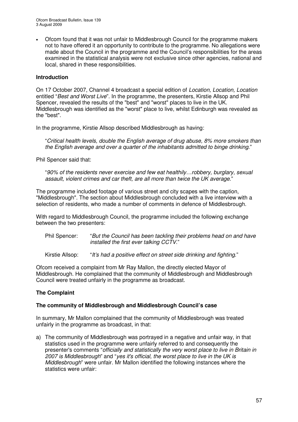• Ofcom found that it was not unfair to Middlesbrough Council for the programme makers not to have offered it an opportunity to contribute to the programme. No allegations were made about the Council in the programme and the Council's responsibilities for the areas examined in the statistical analysis were not exclusive since other agencies, national and local, shared in these responsibilities.

# **Introduction**

On 17 October 2007, Channel 4 broadcast a special edition of *Location, Location, Location* entitled "*Best and Worst Live*"*.* In the programme, the presenters, Kirstie Allsop and Phil Spencer, revealed the results of the "best" and "worst" places to live in the UK. Middlesbrough was identified as the "worst" place to live, whilst Edinburgh was revealed as the "best".

In the programme, Kirstie Allsop described Middlesbrough as having:

"*Critical health levels, double the English average of drug abuse, 8% more smokers than the English average and over a quarter of the inhabitants admitted to binge drinking*."

Phil Spencer said that:

"*90% of the residents never exercise and few eat healthily…robbery, burglary, sexual assault, violent crimes and car theft, are all more than twice the UK average*."

The programme included footage of various street and city scapes with the caption, "Middlesbrough". The section about Middlesbrough concluded with a live interview with a selection of residents, who made a number of comments in defence of Middlesbrough.

With regard to Middlesbrough Council, the programme included the following exchange between the two presenters:

Phil Spencer: "*But the Council has been tackling their problems head on and have installed the first ever talking CCTV*."

Kirstie Allsop: "*It's had a positive effect on street side drinking and fighting*."

Ofcom received a complaint from Mr Ray Mallon, the directly elected Mayor of Middlesbrough. He complained that the community of Middlesbrough and Middlesbrough Council were treated unfairly in the programme as broadcast.

# **The Complaint**

# **The community of Middlesbrough and Middlesbrough Council's case**

In summary, Mr Mallon complained that the community of Middlesbrough was treated unfairly in the programme as broadcast, in that:

a) The community of Middlesbrough was portrayed in a negative and unfair way, in that statistics used in the programme were unfairly referred to and consequently the presenter's comments "*officially and statistically the very worst place to live in Britain in 2007 is Middlesbrough*" and "*yes it's official, the worst place to live in the UK is Middlesbrough*" were unfair. Mr Mallon identified the following instances where the statistics were unfair: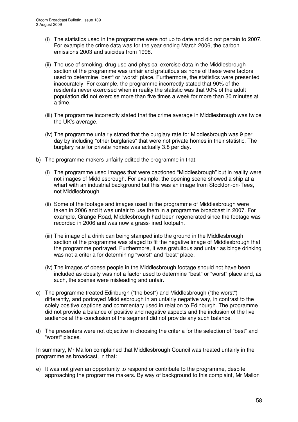- (i) The statistics used in the programme were not up to date and did not pertain to 2007. For example the crime data was for the year ending March 2006, the carbon emissions 2003 and suicides from 1998.
- (ii) The use of smoking, drug use and physical exercise data in the Middlesbrough section of the programme was unfair and gratuitous as none of these were factors used to determine "best" or "worst" place. Furthermore, the statistics were presented inaccurately. For example, the programme incorrectly stated that 90% of the residents never exercised when in reality the statistic was that 90% of the adult population did not exercise more than five times a week for more than 30 minutes at a time.
- (iii) The programme incorrectly stated that the crime average in Middlesbrough was twice the UK's average.
- (iv) The programme unfairly stated that the burglary rate for Middlesbrough was 9 per day by including "other burglaries" that were not private homes in their statistic. The burglary rate for private homes was actually 3.8 per day.
- b) The programme makers unfairly edited the programme in that:
	- (i) The programme used images that were captioned "Middlesbrough" but in reality were not images of Middlesbrough. For example, the opening scene showed a ship at a wharf with an industrial background but this was an image from Stockton-on-Tees, not Middlesbrough.
	- (ii) Some of the footage and images used in the programme of Middlesbrough were taken in 2006 and it was unfair to use them in a programme broadcast in 2007. For example, Grange Road, Middlesbrough had been regenerated since the footage was recorded in 2006 and was now a grass-lined footpath.
	- (iii) The image of a drink can being stamped into the ground in the Middlesbrough section of the programme was staged to fit the negative image of Middlesbrough that the programme portrayed. Furthermore, it was gratuitous and unfair as binge drinking was not a criteria for determining "worst" and "best" place.
	- (iv) The images of obese people in the Middlesbrough footage should not have been included as obesity was not a factor used to determine "best" or "worst" place and, as such, the scenes were misleading and unfair.
- c) The programme treated Edinburgh ("the best") and Middlesbrough ("the worst") differently, and portrayed Middlesbrough in an unfairly negative way, in contrast to the solely positive captions and commentary used in relation to Edinburgh. The programme did not provide a balance of positive and negative aspects and the inclusion of the live audience at the conclusion of the segment did not provide any such balance.
- d) The presenters were not objective in choosing the criteria for the selection of "best" and "worst" places.

In summary, Mr Mallon complained that Middlesbrough Council was treated unfairly in the programme as broadcast, in that:

e) It was not given an opportunity to respond or contribute to the programme, despite approaching the programme makers. By way of background to this complaint, Mr Mallon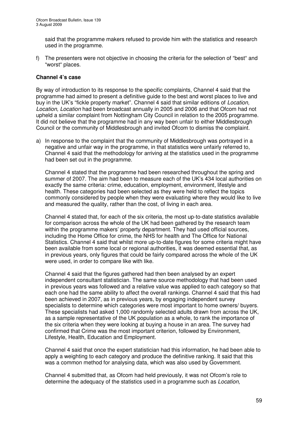said that the programme makers refused to provide him with the statistics and research used in the programme.

f) The presenters were not objective in choosing the criteria for the selection of "best" and "worst" places.

# **Channel 4's case**

By way of introduction to its response to the specific complaints, Channel 4 said that the programme had aimed to present a definitive guide to the best and worst places to live and buy in the UK's "fickle property market". Channel 4 said that similar editions of *Location, Location, Location* had been broadcast annually in 2005 and 2006 and that Ofcom had not upheld a similar complaint from Nottingham City Council in relation to the 2005 programme. It did not believe that the programme had in any way been unfair to either Middlesbrough Council or the community of Middlesbrough and invited Ofcom to dismiss the complaint.

a) In response to the complaint that the community of Middlesbrough was portrayed in a negative and unfair way in the programme, in that statistics were unfairly referred to, Channel 4 said that the methodology for arriving at the statistics used in the programme had been set out in the programme.

Channel 4 stated that the programme had been researched throughout the spring and summer of 2007. The aim had been to measure each of the UK's 434 local authorities on exactly the same criteria: crime, education, employment, environment, lifestyle and health. These categories had been selected as they were held to reflect the topics commonly considered by people when they were evaluating where they would like to live and measured the quality, rather than the cost, of living in each area.

Channel 4 stated that, for each of the six criteria, the most up-to-date statistics available for comparison across the whole of the UK had been gathered by the research team within the programme makers' property department. They had used official sources, including the Home Office for crime, the NHS for health and The Office for National Statistics. Channel 4 said that whilst more up-to-date figures for some criteria might have been available from some local or regional authorities, it was deemed essential that, as in previous years, only figures that could be fairly compared across the whole of the UK were used, in order to compare like with like.

Channel 4 said that the figures gathered had then been analysed by an expert independent consultant statistician. The same source methodology that had been used in previous years was followed and a relative value was applied to each category so that each one had the same ability to affect the overall rankings. Channel 4 said that this had been achieved in 2007, as in previous years, by engaging independent survey specialists to determine which categories were most important to home owners/ buyers. These specialists had asked 1,000 randomly selected adults drawn from across the UK, as a sample representative of the UK population as a whole, to rank the importance of the six criteria when they were looking at buying a house in an area. The survey had confirmed that Crime was the most important criterion, followed by Environment, Lifestyle, Health, Education and Employment.

Channel 4 said that once the expert statistician had this information, he had been able to apply a weighting to each category and produce the definitive ranking. It said that this was a common method for analysing data, which was also used by Government.

Channel 4 submitted that, as Ofcom had held previously, it was not Ofcom's role to determine the adequacy of the statistics used in a programme such as *Location,*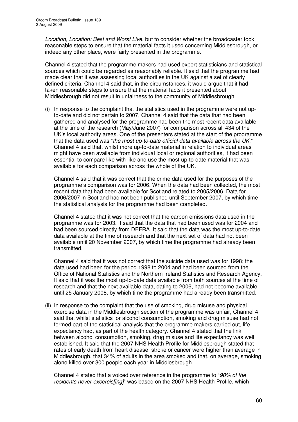*Location, Location: Best and Worst Live*, but to consider whether the broadcaster took reasonable steps to ensure that the material facts it used concerning Middlesbrough, or indeed any other place, were fairly presented in the programme.

Channel 4 stated that the programme makers had used expert statisticians and statistical sources which could be regarded as reasonably reliable. It said that the programme had made clear that it was assessing local authorities in the UK against a set of clearly defined criteria. Channel 4 said that, in the circumstances, it would argue that it had taken reasonable steps to ensure that the material facts it presented about Middlesbrough did not result in unfairness to the community of Middlesbrough.

(i) In response to the complaint that the statistics used in the programme were not upto-date and did not pertain to 2007, Channel 4 said that the data that had been gathered and analysed for the programme had been the most recent data available at the time of the research (May/June 2007) for comparison across all 434 of the UK's local authority areas. One of the presenters stated at the start of the programme that the data used was "*the most up-to-date official data available across the UK*." Channel 4 said that, whilst more up-to-date material in relation to individual areas might have been available from individual local or regional authorities, it had been essential to compare like with like and use the most up-to-date material that was available for each comparison across the whole of the UK.

Channel 4 said that it was correct that the crime data used for the purposes of the programme's comparison was for 2006. When the data had been collected, the most recent data that had been available for Scotland related to 2005/2006. Data for 2006/2007 in Scotland had not been published until September 2007, by which time the statistical analysis for the programme had been completed.

Channel 4 stated that it was not correct that the carbon emissions data used in the programme was for 2003. It said that the data that had been used was for 2004 and had been sourced directly from DEFRA. It said that the data was the most up-to-date data available at the time of research and that the next set of data had not been available until 20 November 2007, by which time the programme had already been transmitted.

Channel 4 said that it was not correct that the suicide data used was for 1998; the data used had been for the period 1998 to 2004 and had been sourced from the Office of National Statistics and the Northern Ireland Statistics and Research Agency. It said that it was the most up-to-date data available from both sources at the time of research and that the next available data, dating to 2006, had not become available until 25 January 2008, by which time the programme had already been transmitted.

(ii) In response to the complaint that the use of smoking, drug misuse and physical exercise data in the Middlesbrough section of the programme was unfair, Channel 4 said that whilst statistics for alcohol consumption, smoking and drug misuse had not formed part of the statistical analysis that the programme makers carried out, life expectancy had, as part of the health category. Channel 4 stated that the link between alcohol consumption, smoking, drug misuse and life expectancy was well established. It said that the 2007 NHS Health Profile for Middlesbrough stated that rates of early death from heart disease, stroke or cancer were higher than average in Middlesbrough, that 34% of adults in the area smoked and that, on average, smoking alone killed over 300 people each year in Middlesbrough.

Channel 4 stated that a voiced over reference in the programme to "*90% of the residents never excercis[ing]*" was based on the 2007 NHS Health Profile, which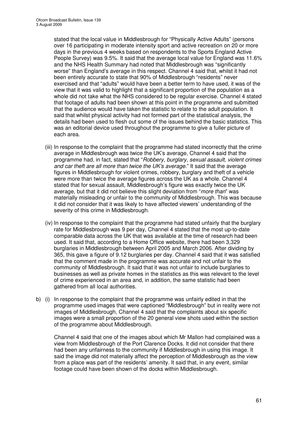stated that the local value in Middlesbrough for "Physically Active Adults" (persons over 16 participating in moderate intensity sport and active recreation on 20 or more days in the previous 4 weeks based on respondents to the Sports England Active People Survey) was 9.5%. It said that the average local value for England was 11.6% and the NHS Health Summary had noted that Middlesbrough was "significantly worse" than England's average in this respect. Channel 4 said that, whilst it had not been entirely accurate to state that 90% of Middlesbrough "residents" never exercised and that "adults" would have been a better term to have used, it was of the view that it was valid to highlight that a significant proportion of the population as a whole did not take what the NHS considered to be regular exercise. Channel 4 stated that footage of adults had been shown at this point in the programme and submitted that the audience would have taken the statistic to relate to the adult population. It said that whilst physical activity had not formed part of the statistical analysis, the details had been used to flesh out some of the issues behind the basic statistics. This was an editorial device used throughout the programme to give a fuller picture of each area.

- (iii) In response to the complaint that the programme had stated incorrectly that the crime average in Middlesbrough was twice the UK's average, Channel 4 said that the programme had, in fact, stated that "*Robbery, burglary, sexual assault, violent crimes and car theft are all more than twice the UK's average*." It said that the average figures in Middlesbrough for violent crimes, robbery, burglary and theft of a vehicle were more than twice the average figures across the UK as a whole. Channel 4 stated that for sexual assault, Middlesbrough's figure was exactly twice the UK average, but that it did not believe this slight deviation from "*more than*" was materially misleading or unfair to the community of Middlesbrough. This was because it did not consider that it was likely to have affected viewers' understanding of the severity of this crime in Middlesbrough.
- (iv) In response to the complaint that the programme had stated unfairly that the burglary rate for Middlesbrough was 9 per day, Channel 4 stated that the most up-to-date comparable data across the UK that was available at the time of research had been used. It said that, according to a Home Office website, there had been 3,329 burglaries in Middlesbrough between April 2005 and March 2006. After dividing by 365, this gave a figure of 9.12 burglaries per day. Channel 4 said that it was satisfied that the comment made in the programme was accurate and not unfair to the community of Middlesbrough. It said that it was not unfair to include burglaries to businesses as well as private homes in the statistics as this was relevant to the level of crime experienced in an area and, in addition, the same statistic had been gathered from all local authorities.
- b) (i) In response to the complaint that the programme was unfairly edited in that the programme used images that were captioned "Middlesbrough" but in reality were not images of Middlesbrough, Channel 4 said that the complaints about six specific images were a small proportion of the 20 general view shots used within the section of the programme about Middlesbrough.

Channel 4 said that one of the images about which Mr Mallon had complained was a view from Middlesbrough of the Port Clarence Docks. It did not consider that there had been any unfairness to the community if Middlesbrough in using this image. It said the image did not materially affect the perception of Middlesbrough as the view from a place was part of the residents' amenity. It said that, in any event, similar footage could have been shown of the docks within Middlesbrough.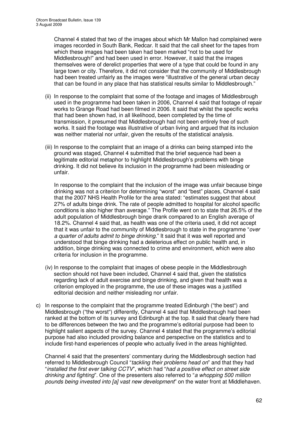Channel 4 stated that two of the images about which Mr Mallon had complained were images recorded in South Bank, Redcar. It said that the call sheet for the tapes from which these images had been taken had been marked "not to be used for Middlesbrough!" and had been used in error. However, it said that the images themselves were of derelict properties that were of a type that could be found in any large town or city. Therefore, it did not consider that the community of Middlesbrough had been treated unfairly as the images were "illustrative of the general urban decay that can be found in any place that has statistical results similar to Middlesbrough."

- (ii) In response to the complaint that some of the footage and images of Middlesbrough used in the programme had been taken in 2006, Channel 4 said that footage of repair works to Grange Road had been filmed in 2006. It said that whilst the specific works that had been shown had, in all likelihood, been completed by the time of transmission, it presumed that Middlesbrough had not been entirely free of such works. It said the footage was illustrative of urban living and argued that its inclusion was neither material nor unfair, given the results of the statistical analysis.
- (iii) In response to the complaint that an image of a drinks can being stamped into the ground was staged, Channel 4 submitted that the brief sequence had been a legitimate editorial metaphor to highlight Middlesbrough's problems with binge drinking. It did not believe its inclusion in the programme had been misleading or unfair.

In response to the complaint that the inclusion of the image was unfair because binge drinking was not a criterion for determining "worst" and "best" places, Channel 4 said that the 2007 NHS Health Profile for the area stated: "estimates suggest that about 27% of adults binge drink. The rate of people admitted to hospital for alcohol specific conditions is also higher than average." The Profile went on to state that 26.5% of the adult population of Middlesbrough binge drank compared to an English average of 18.2%. Channel 4 said that, as health was one of the criteria used, it did not accept that it was unfair to the community of Middlesbrough to state in the programme "*over a quarter of adults admit to binge drinking*." It said that it was well reported and understood that binge drinking had a deleterious effect on public health and, in addition, binge drinking was connected to crime and environment, which were also criteria for inclusion in the programme.

- (iv) In response to the complaint that images of obese people in the Middlesbrough section should not have been included, Channel 4 said that, given the statistics regarding lack of adult exercise and binge drinking, and given that health was a criterion employed in the programme, the use of these images was a justified editorial decision and neither misleading nor unfair.
- c) In response to the complaint that the programme treated Edinburgh ("the best") and Middlesbrough ("the worst") differently, Channel 4 said that Middlesbrough had been ranked at the bottom of its survey and Edinburgh at the top. It said that clearly there had to be differences between the two and the programme's editorial purpose had been to highlight salient aspects of the survey. Channel 4 stated that the programme's editorial purpose had also included providing balance and perspective on the statistics and to include first-hand experiences of people who actually lived in the areas highlighted.

Channel 4 said that the presenters' commentary during the Middlesbrough section had referred to Middlesbrough Council "*tackling their problems head on*" and that they had "*installed the first ever talking CCTV*", which had "*had a positive effect on street side drinking and fighting*". One of the presenters also referred to "*a whopping 500 million pounds being invested into [a] vast new development*" on the water front at Middlehaven.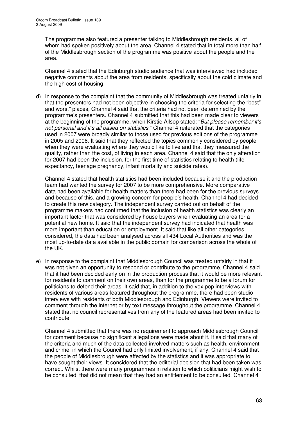The programme also featured a presenter talking to Middlesbrough residents, all of whom had spoken positively about the area. Channel 4 stated that in total more than half of the Middlesbrough section of the programme was positive about the people and the area.

Channel 4 stated that the Edinburgh studio audience that was interviewed had included negative comments about the area from residents, specifically about the cold climate and the high cost of housing.

d) In response to the complaint that the community of Middlesbrough was treated unfairly in that the presenters had not been objective in choosing the criteria for selecting the "best" and worst" places, Channel 4 said that the criteria had not been determined by the programme's presenters. Channel 4 submitted that this had been made clear to viewers at the beginning of the programme, when Kirstie Allsop stated: "*But please remember it's not personal and it's all based on statistics*." Channel 4 reiterated that the categories used in 2007 were broadly similar to those used for previous editions of the programme in 2005 and 2006. It said that they reflected the topics commonly considered by people when they were evaluating where they would like to live and that they measured the quality, rather than the cost, of living in each area. Channel 4 said that the only alteration for 2007 had been the inclusion, for the first time of statistics relating to health (life expectancy, teenage pregnancy, infant mortality and suicide rates).

Channel 4 stated that health statistics had been included because it and the production team had wanted the survey for 2007 to be more comprehensive. More comparative data had been available for health matters than there had been for the previous surveys and because of this, and a growing concern for people's health, Channel 4 had decided to create this new category. The independent survey carried out on behalf of the programme makers had confirmed that the inclusion of health statistics was clearly an important factor that was considered by house buyers when evaluating an area for a potential new home. It said that the independent survey had indicated that health was more important than education or employment. It said that like all other categories considered, the data had been analysed across all 434 Local Authorities and was the most up-to-date data available in the public domain for comparison across the whole of the UK.

e) In response to the complaint that Middlesbrough Council was treated unfairly in that it was not given an opportunity to respond or contribute to the programme, Channel 4 said that it had been decided early on in the production process that it would be more relevant for residents to comment on their own areas, than for the programme to be a forum for politicians to defend their areas. It said that, in addition to the vox pop interviews with residents of various areas featured throughout the programme, there had been studio interviews with residents of both Middlesbrough and Edinburgh. Viewers were invited to comment through the internet or by text message throughout the programme. Channel 4 stated that no council representatives from any of the featured areas had been invited to contribute.

Channel 4 submitted that there was no requirement to approach Middlesbrough Council for comment because no significant allegations were made about it. It said that many of the criteria and much of the data collected involved matters such as health, environment and crime, in which the Council had only limited involvement, if any. Channel 4 said that the people of Middlesbrough were affected by the statistics and it was appropriate to have sought their views. It considered that the editorial decision that had been taken was correct. Whilst there were many programmes in relation to which politicians might wish to be consulted, that did not mean that they had an entitlement to be consulted. Channel 4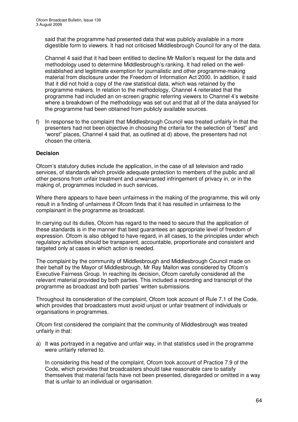said that the programme had presented data that was publicly available in a more digestible form to viewers. It had not criticised Middlesbrough Council for any of the data.

Channel 4 said that it had been entitled to decline Mr Mallon's request for the data and methodology used to determine Middlesbrough's ranking. It had relied on the wellestablished and legitimate exemption for journalistic and other programme-making material from disclosure under the Freedom of Information Act 2000. In addition, it said that it did not hold a copy of the raw statistical data, which was retained by the programme makers. In relation to the methodology, Channel 4 reiterated that the programme had included an on-screen graphic referring viewers to Channel 4's website where a breakdown of the methodology was set out and that all of the data analysed for the programme had been obtained from publicly available sources.

f) In response to the complaint that Middlesbrough Council was treated unfairly in that the presenters had not been objective in choosing the criteria for the selection of "best" and "worst" places, Channel 4 said that, as outlined at d) above, the presenters had not chosen the criteria.

# **Decision**

Ofcom's statutory duties include the application, in the case of all television and radio services, of standards which provide adequate protection to members of the public and all other persons from unfair treatment and unwarranted infringement of privacy in, or in the making of, programmes included in such services.

Where there appears to have been unfairness in the making of the programme, this will only result in a finding of unfairness if Ofcom finds that it has resulted in unfairness to the complainant in the programme as broadcast.

In carrying out its duties, Ofcom has regard to the need to secure that the application of these standards is in the manner that best guarantees an appropriate level of freedom of expression. Ofcom is also obliged to have regard, in all cases, to the principles under which regulatory activities should be transparent, accountable, proportionate and consistent and targeted only at cases in which action is needed.

The complaint by the community of Middlesbrough and Middlesbrough Council made on their behalf by the Mayor of Middlesbrough, Mr Ray Mallon was considered by Ofcom's Executive Fairness Group. In reaching its decision, Ofcom carefully considered all the relevant material provided by both parties. This included a recording and transcript of the programme as broadcast and both parties' written submissions.

Throughout its consideration of the complaint, Ofcom took account of Rule 7.1 of the Code, which provides that broadcasters must avoid unjust or unfair treatment of individuals or organisations in programmes.

Ofcom first considered the complaint that the community of Middlesbrough was treated unfairly in that:

a) It was portrayed in a negative and unfair way, in that statistics used in the programme were unfairly referred to.

In considering this head of the complaint, Ofcom took account of Practice 7.9 of the Code, which provides that broadcasters should take reasonable care to satisfy themselves that material facts have not been presented, disregarded or omitted in a way that is unfair to an individual or organisation.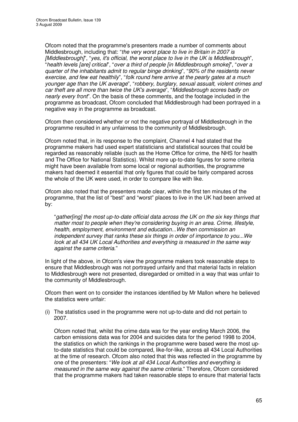Ofcom noted that the programme's presenters made a number of comments about Middlesbrough, including that: "*the very worst place to live in Britain in 2007 is [Middlesbrough]*", "*yes, it's official, the worst place to live in the UK is Middlesbrough*", "*health levels [are] critical*", "*over a third of people [in Middlesbrough smoke]*", "*over a quarter of the inhabitants admit to regular binge drinking*", "*90% of the residents never exercise, and few eat healthily*", "*folk round here arrive at the pearly gates at a much younger age than the UK average*", "*robbery, burglary, sexual assualt, violent crimes and car theft are all more than twice the UK's average*", "*Middlesbrough scores badly on nearly every front*". On the basis of these comments, and the footage included in the programme as broadcast, Ofcom concluded that Middlesbrough had been portrayed in a negative way in the programme as broadcast.

Ofcom then considered whether or not the negative portrayal of Middlesbrough in the programme resulted in any unfairness to the community of Middlesbrough.

Ofcom noted that, in its response to the complaint, Channel 4 had stated that the programme makers had used expert statisticians and statistical sources that could be regarded as reasonably reliable (such as the Home Office for crime, the NHS for health and The Office for National Statistics). Whilst more up-to-date figures for some criteria might have been available from some local or regional authorities, the programme makers had deemed it essential that only figures that could be fairly compared across the whole of the UK were used, in order to compare like with like.

Ofcom also noted that the presenters made clear, within the first ten minutes of the programme, that the list of "best" and "worst" places to live in the UK had been arrived at by:

"*gather[ing] the most up-to-date official data across the UK on the six key things that matter most to people when they're considering buying in an area. Crime, lifestyle, health, employment, environment and education...We then commission an independent survey that ranks these six things in order of importance to you...We look at all 434 UK Local Authorities and everything is measured in the same way against the same criteria*."

In light of the above, in Ofcom's view the programme makers took reasonable steps to ensure that Middlesbrough was not portrayed unfairly and that material facts in relation to Middlesbrough were not presented, disregarded or omitted in a way that was unfair to the community of Middlesbrough.

Ofcom then went on to consider the instances identified by Mr Mallon where he believed the statistics were unfair:

(i) The statistics used in the programme were not up-to-date and did not pertain to 2007.

Ofcom noted that, whilst the crime data was for the year ending March 2006, the carbon emissions data was for 2004 and suicides data for the period 1998 to 2004, the statistics on which the rankings in the programme were based were the most upto-date statistics that could be compared, like-for-like, across all 434 Local Authorities at the time of research. Ofcom also noted that this was reflected in the programme by one of the presenters: "*We look at all 434 Local Authorities and everything is measured in the same way against the same criteria*." Therefore, Ofcom considered that the programme makers had taken reasonable steps to ensure that material facts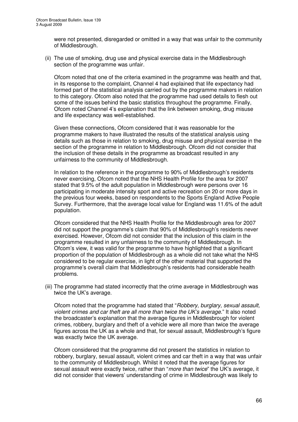were not presented, disregarded or omitted in a way that was unfair to the community of Middlesbrough.

(ii) The use of smoking, drug use and physical exercise data in the Middlesbrough section of the programme was unfair.

Ofcom noted that one of the criteria examined in the programme was health and that, in its response to the complaint, Channel 4 had explained that life expectancy had formed part of the statistical analysis carried out by the programme makers in relation to this category. Ofcom also noted that the programme had used details to flesh out some of the issues behind the basic statistics throughout the programme. Finally, Ofcom noted Channel 4's explanation that the link between smoking, drug misuse and life expectancy was well-established.

Given these connections, Ofcom considered that it was reasonable for the programme makers to have illustrated the results of the statistical analysis using details such as those in relation to smoking, drug misuse and physical exercise in the section of the programme in relation to Middlesbrough. Ofcom did not consider that the inclusion of these details in the programme as broadcast resulted in any unfairness to the community of Middlesbrough.

In relation to the reference in the programme to 90% of Middlesbrough's residents never exercising, Ofcom noted that the NHS Health Profile for the area for 2007 stated that 9.5% of the adult population in Middlesbrough were persons over 16 participating in moderate intensity sport and active recreation on 20 or more days in the previous four weeks, based on respondents to the Sports England Active People Survey. Furthermore, that the average local value for England was 11.6% of the adult population.

Ofcom considered that the NHS Health Profile for the Middlesbrough area for 2007 did not support the programme's claim that 90% of Middlesbrough's residents never exercised. However, Ofcom did not consider that the inclusion of this claim in the programme resulted in any unfairness to the community of Middlesbrough. In Ofcom's view, it was valid for the programme to have highlighted that a significant proportion of the population of Middlesbrough as a whole did not take what the NHS considered to be regular exercise, in light of the other material that supported the programme's overall claim that Middlesbrough's residents had considerable health problems.

(iii) The programme had stated incorrectly that the crime average in Middlesbrough was twice the UK's average.

Ofcom noted that the programme had stated that "*Robbery, burglary, sexual assault, violent crimes and car theft are all more than twice the UK's average.*" It also noted the broadcaster's explanation that the average figures in Middlesbrough for violent crimes, robbery, burglary and theft of a vehicle were all more than twice the average figures across the UK as a whole and that, for sexual assault, Middlesbrough's figure was exactly twice the UK average.

Ofcom considered that the programme did not present the statistics in relation to robbery, burglary, sexual assault, violent crimes and car theft in a way that was unfair to the community of Middlesbrough. Whilst it noted that the average figures for sexual assault were exactly twice, rather than "*more than twice*" the UK's average, it did not consider that viewers' understanding of crime in Middlesbrough was likely to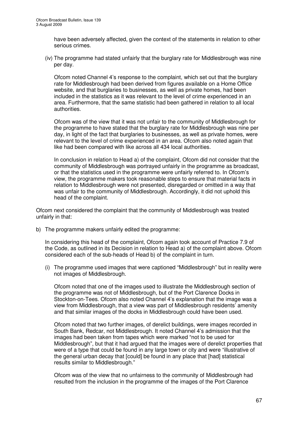have been adversely affected, given the context of the statements in relation to other serious crimes.

(iv) The programme had stated unfairly that the burglary rate for Middlesbrough was nine per day.

Ofcom noted Channel 4's response to the complaint, which set out that the burglary rate for Middlesbrough had been derived from figures available on a Home Office website, and that burglaries to businesses, as well as private homes, had been included in the statistics as it was relevant to the level of crime experienced in an area. Furthermore, that the same statistic had been gathered in relation to all local authorities.

Ofcom was of the view that it was not unfair to the community of Middlesbrough for the programme to have stated that the burglary rate for Middlesbrough was nine per day, in light of the fact that burglaries to businesses, as well as private homes, were relevant to the level of crime experienced in an area. Ofcom also noted again that like had been compared with like across all 434 local authorities.

In conclusion in relation to Head a) of the complaint, Ofcom did not consider that the community of Middlesbrough was portrayed unfairly in the programme as broadcast, or that the statistics used in the programme were unfairly referred to. In Ofcom's view, the programme makers took reasonable steps to ensure that material facts in relation to Middlesbrough were not presented, disregarded or omitted in a way that was unfair to the community of Middlesbrough. Accordingly, it did not uphold this head of the complaint.

Ofcom next considered the complaint that the community of Middlesbrough was treated unfairly in that:

b) The programme makers unfairly edited the programme:

In considering this head of the complaint, Ofcom again took account of Practice 7.9 of the Code, as outlined in its Decision in relation to Head a) of the complaint above. Ofcom considered each of the sub-heads of Head b) of the complaint in turn.

(i) The programme used images that were captioned "Middlesbrough" but in reality were not images of Middlesbrough.

Ofcom noted that one of the images used to illustrate the Middlesbrough section of the programme was not of Middlesbrough, but of the Port Clarence Docks in Stockton-on-Tees. Ofcom also noted Channel 4's explanation that the image was a view from Middlesbrough, that a view was part of Middlesbrough residents' amenity and that similar images of the docks in Middlesbrough could have been used.

Ofcom noted that two further images, of derelict buildings, were images recorded in South Bank, Redcar, not Middlesbrough. It noted Channel 4's admission that the images had been taken from tapes which were marked "not to be used for Middlesbrough", but that it had argued that the images were of derelict properties that were of a type that could be found in any large town or city and were "illustrative of the general urban decay that [could] be found in any place that [had] statistical results similar to Middlesbrough."

Ofcom was of the view that no unfairness to the community of Middlesbrough had resulted from the inclusion in the programme of the images of the Port Clarence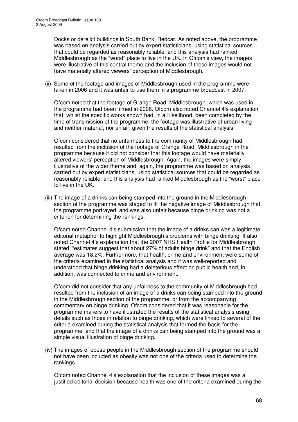Docks or derelict buildings in South Bank, Redcar. As noted above, the programme was based on analysis carried out by expert statisticians, using statistical sources that could be regarded as reasonably reliable, and this analysis had ranked Middlesbrough as the "worst" place to live in the UK. In Ofcom's view, the images were illustrative of this central theme and the inclusion of these images would not have materially altered viewers' perception of Middlesbrough.

(ii) Some of the footage and images of Middlesbrough used in the programme were taken in 2006 and it was unfair to use them in a programme broadcast in 2007.

Ofcom noted that the footage of Grange Road, Middlesbrough, which was used in the programme had been filmed in 2006. Ofcom also noted Channel 4's explanation that, whilst the specific works shown had, in all likelihood, been completed by the time of transmission of the programme, the footage was illustrative of urban living and neither material, nor unfair, given the results of the statistical analysis.

Ofcom considered that no unfairness to the community of Middlesbrough had resulted from the inclusion of the footage of Grange Road, Middlesbrough in the programme because it did not consider that this footage would have materially altered viewers' perception of Middlesbrough. Again, the images were simply illustrative of the wider theme and, again, the programme was based on analysis carried out by expert statisticians, using statistical sources that could be regarded as reasonably reliable, and this analysis had ranked Middlesbrough as the "worst" place to live in the UK.

(iii) The image of a drinks can being stamped into the ground in the Middlesbrough section of the programme was staged to fit the negative image of Middlesbrough that the programme portrayed, and was also unfair because binge drinking was not a criterion for determining the rankings.

Ofcom noted Channel 4's submission that the image of a drinks can was a legitimate editorial metaphor to highlight Middlesbrough's problems with binge drinking. It also noted Channel 4's explanation that the 2007 NHS Health Profile for Middlesbrough stated: "estimates suggest that about 27% of adults binge drink" and that the English average was 18.2%. Furthermore, that health, crime and environment were some of the criteria examined in the statistical analysis and it was well-reported and understood that binge drinking had a deleterious effect on public health and, in addition, was connected to crime and environment.

Ofcom did not consider that any unfairness to the community of Middlesbrough had resulted from the inclusion of an image of a drinks can being stamped into the ground in the Middlesbrough section of the programme, or from the accompanying commentary on binge drinking. Ofcom considered that it was reasonable for the programme makers to have illustrated the results of the statistical analysis using details such as those in relation to binge drinking, which were linked to several of the criteria examined during the statistical analysis that formed the basis for the programme, and that the image of a drinks can being stamped into the ground was a simple visual illustration of binge drinking.

(iv) The images of obese people in the Middlesbrough section of the programme should not have been included as obesity was not one of the criteria used to determine the rankings.

Ofcom noted Channel 4's explanation that the inclusion of these images was a justified editorial decision because health was one of the criteria examined during the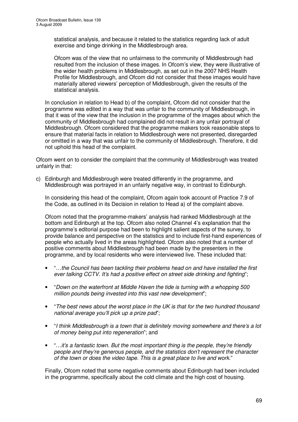statistical analysis, and because it related to the statistics regarding lack of adult exercise and binge drinking in the Middlesbrough area.

Ofcom was of the view that no unfairness to the community of Middlesbrough had resulted from the inclusion of these images. In Ofcom's view, they were illustrative of the wider health problems in Middlesbrough, as set out in the 2007 NHS Health Profile for Middlesbrough, and Ofcom did not consider that these images would have materially altered viewers' perception of Middlesbrough, given the results of the statistical analysis.

In conclusion in relation to Head b) of the complaint, Ofcom did not consider that the programme was edited in a way that was unfair to the community of Middlesbrough, in that it was of the view that the inclusion in the programme of the images about which the community of Middlesbrough had complained did not result in any unfair portrayal of Middlesbrough. Ofcom considered that the programme makers took reasonable steps to ensure that material facts in relation to Middlesbrough were not presented, disregarded or omitted in a way that was unfair to the community of Middlesbrough. Therefore, it did not uphold this head of the complaint.

Ofcom went on to consider the complaint that the community of Middlesbrough was treated unfairly in that:

c) Edinburgh and Middlesbrough were treated differently in the programme, and Middlesbrough was portrayed in an unfairly negative way, in contrast to Edinburgh.

In considering this head of the complaint, Ofcom again took account of Practice 7.9 of the Code, as outlined in its Decision in relation to Head a) of the complaint above.

Ofcom noted that the programme-makers' analysis had ranked Middlesbrough at the bottom and Edinburgh at the top. Ofcom also noted Channel 4's explanation that the programme's editorial purpose had been to highlight salient aspects of the survey, to provide balance and perspective on the statistics and to include first-hand experiences of people who actually lived in the areas highlighted. Ofcom also noted that a number of positive comments about Middlesbrough had been made by the presenters in the programme, and by local residents who were interviewed live. These included that:

- "*…the Council has been tackling their problems head on and have installed the first ever talking CCTV. It's had a positive effect on street side drinking and fighting*";
- "*Down on the waterfront at Middle Haven the tide is turning with a whopping 500 million pounds being invested into this vast new development*";
- "*The best news about the worst place in the UK is that for the two hundred thousand national average you'll pick up a prize pad*";
- "*I think Middlesbrough is a town that is definitely moving somewhere and there's a lot of money being put into regeneration*"; and
- "*…it's a fantastic town. But the most important thing is the people, they're friendly people and they're generous people, and the statistics don't represent the character of the town or does the video tape. This is a great place to live and work.*"

Finally, Ofcom noted that some negative comments about Edinburgh had been included in the programme, specifically about the cold climate and the high cost of housing.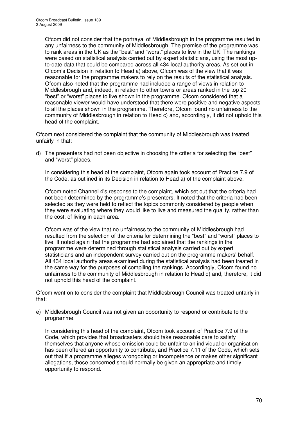Ofcom did not consider that the portrayal of Middlesbrough in the programme resulted in any unfairness to the community of Middlesbrough. The premise of the programme was to rank areas in the UK as the "best" and "worst" places to live in the UK. The rankings were based on statistical analysis carried out by expert statisticians, using the most upto-date data that could be compared across all 434 local authority areas. As set out in Ofcom's Decision in relation to Head a) above, Ofcom was of the view that it was reasonable for the programme makers to rely on the results of the statistical analysis. Ofcom also noted that the programme had included a range of views in relation to Middlesbrough and, indeed, in relation to other towns or areas ranked in the top 20 "best" or "worst" places to live shown in the programme. Ofcom considered that a reasonable viewer would have understood that there were positive and negative aspects to all the places shown in the programme. Therefore, Ofcom found no unfairness to the community of Middlesbrough in relation to Head c) and, accordingly, it did not uphold this head of the complaint.

Ofcom next considered the complaint that the community of Middlesbrough was treated unfairly in that:

d) The presenters had not been objective in choosing the criteria for selecting the "best" and "worst" places.

In considering this head of the complaint, Ofcom again took account of Practice 7.9 of the Code, as outlined in its Decision in relation to Head a) of the complaint above.

Ofcom noted Channel 4's response to the complaint, which set out that the criteria had not been determined by the programme's presenters. It noted that the criteria had been selected as they were held to reflect the topics commonly considered by people when they were evaluating where they would like to live and measured the quality, rather than the cost, of living in each area.

Ofcom was of the view that no unfairness to the community of Middlesbrough had resulted from the selection of the criteria for determining the "best" and "worst" places to live. It noted again that the programme had explained that the rankings in the programme were determined through statistical analysis carried out by expert statisticians and an independent survey carried out on the programme makers' behalf. All 434 local authority areas examined during the statistical analysis had been treated in the same way for the purposes of compiling the rankings. Accordingly, Ofcom found no unfairness to the community of Middlesbrough in relation to Head d) and, therefore, it did not uphold this head of the complaint.

Ofcom went on to consider the complaint that Middlesbrough Council was treated unfairly in that:

e) Middlesbrough Council was not given an opportunity to respond or contribute to the programme.

In considering this head of the complaint, Ofcom took account of Practice 7.9 of the Code, which provides that broadcasters should take reasonable care to satisfy themselves that anyone whose omission could be unfair to an individual or organisation has been offered an opportunity to contribute, and Practice 7.11 of the Code, which sets out that if a programme alleges wrongdoing or incompetence or makes other significant allegations, those concerned should normally be given an appropriate and timely opportunity to respond.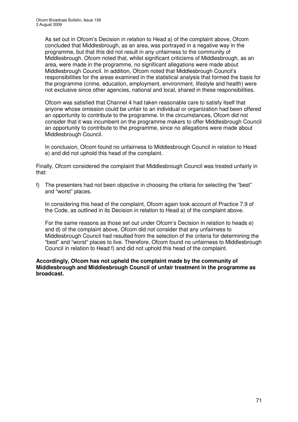As set out in Ofcom's Decision in relation to Head a) of the complaint above, Ofcom concluded that Middlesbrough, as an area, was portrayed in a negative way in the programme, but that this did not result in any unfairness to the community of Middlesbrough. Ofcom noted that, whilst significant criticisms of Middlesbrough, as an area, were made in the programme, no significant allegations were made about Middlesbrough Council. In addition, Ofcom noted that Middlesbrough Council's responsibilities for the areas examined in the statistical analysis that formed the basis for the programme (crime, education, employment, environment, lifestyle and health) were not exclusive since other agencies, national and local, shared in these responsibilities.

Ofcom was satisfied that Channel 4 had taken reasonable care to satisfy itself that anyone whose omission could be unfair to an individual or organization had been offered an opportunity to contribute to the programme. In the circumstances, Ofcom did not consider that it was incumbent on the programme makers to offer Middlesbrough Council an opportunity to contribute to the programme, since no allegations were made about Middlesbrough Council.

In conclusion, Ofcom found no unfairness to Middlesbrough Council in relation to Head e) and did not uphold this head of the complaint.

Finally, Ofcom considered the complaint that Middlesbrough Council was treated unfairly in that:

f) The presenters had not been objective in choosing the criteria for selecting the "best" and "worst" places.

In considering this head of the complaint, Ofcom again took account of Practice 7.9 of the Code, as outlined in its Decision in relation to Head a) of the complaint above.

For the same reasons as those set out under Ofcom's Decision in relation to heads e) and d) of the complaint above, Ofcom did not consider that any unfairness to Middlesbrough Council had resulted from the selection of the criteria for determining the "best" and "worst" places to live. Therefore, Ofcom found no unfairness to Middlesbrough Council in relation to Head f) and did not uphold this head of the complaint.

#### **Accordingly, Ofcom has not upheld the complaint made by the community of Middlesbrough and Middlesbrough Council of unfair treatment in the programme as broadcast.**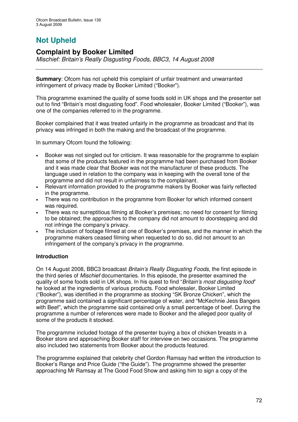# **Not Upheld**

# **Complaint by Booker Limited**

*Mischief: Britain's Really Disgusting Foods, BBC3, 14 August 2008*

**Summary**: Ofcom has not upheld this complaint of unfair treatment and unwarranted infringement of privacy made by Booker Limited ("Booker").

This programme examined the quality of some foods sold in UK shops and the presenter set out to find "Britain's most disgusting food". Food wholesaler, Booker Limited ("Booker"), was one of the companies referred to in the programme.

Booker complained that it was treated unfairly in the programme as broadcast and that its privacy was infringed in both the making and the broadcast of the programme.

In summary Ofcom found the following:

- Booker was not singled out for criticism. It was reasonable for the programme to explain that some of the products featured in the programme had been purchased from Booker and it was made clear that Booker was not the manufacturer of these products. The language used in relation to the company was in keeping with the overall tone of the programme and did not result in unfairness to the complainant.
- Relevant information provided to the programme makers by Booker was fairly reflected in the programme.
- There was no contribution in the programme from Booker for which informed consent was required.
- There was no surreptitious filming at Booker's premises; no need for consent for filming to be obtained; the approaches to the company did not amount to doorstepping and did not infringe the company's privacy.
- The inclusion of footage filmed at one of Booker's premises, and the manner in which the programme makers ceased filming when requested to do so, did not amount to an infringement of the company's privacy in the programme.

# **Introduction**

On 14 August 2008, BBC3 broadcast *Britain's Really Disgusting Foods*, the first episode in the third series of *Mischief* documentaries. In this episode, the presenter examined the quality of some foods sold in UK shops. In his quest to find "*Britain's most disgusting food*" he looked at the ingredients of various products. Food wholesaler, Booker Limited ("Booker"), was identified in the programme as stocking "SK Bronze Chicken", which the programme said contained a significant percentage of water, and "McKechnie Jess Bangers with Beef", which the programme said contained only a small percentage of beef. During the programme a number of references were made to Booker and the alleged poor quality of some of the products it stocked.

The programme included footage of the presenter buying a box of chicken breasts in a Booker store and approaching Booker staff for interview on two occasions. The programme also included two statements from Booker about the products featured.

The programme explained that celebrity chef Gordon Ramsay had written the introduction to Booker's Range and Price Guide ("the Guide"). The programme showed the presenter approaching Mr Ramsay at The Good Food Show and asking him to sign a copy of the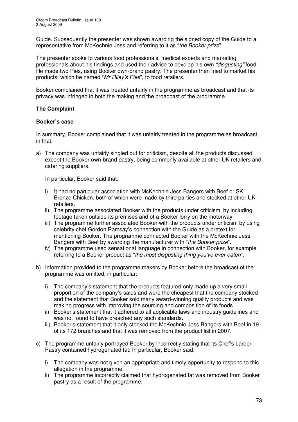Guide. Subsequently the presenter was shown awarding the signed copy of the Guide to a representative from McKechnie Jess and referring to it as "*the Booker prize*".

The presenter spoke to various food professionals, medical experts and marketing professionals about his findings and used their advice to develop his own *"disgusting"* food. He made two Pies, using Booker own-brand pastry. The presenter then tried to market his products, which he named "*Mr Riley's Pies*", to food retailers.

Booker complained that it was treated unfairly in the programme as broadcast and that its privacy was infringed in both the making and the broadcast of the programme.

## **The Complaint**

## **Booker's case**

In summary, Booker complained that it was unfairly treated in the programme as broadcast in that:

a) The company was unfairly singled out for criticism, despite all the products discussed, except the Booker own-brand pastry, being commonly available at other UK retailers and catering suppliers.

In particular, Booker said that:

- i) It had no particular association with McKechnie Jess Bangers with Beef or SK Bronze Chicken, both of which were made by third parties and stocked at other UK retailers.
- ii) The programme associated Booker with the products under criticism, by including footage taken outside its premises and of a Booker lorry on the motorway.
- iii) The programme further associated Booker with the products under criticism by using celebrity chef Gordon Ramsay's connection with the Guide as a pretext for mentioning Booker. The programme connected Booker with the McKechnie Jess Bangers with Beef by awarding the manufacturer with "*the Booker prize*".
- iv) The programme used sensational language in connection with Booker, for example referring to a Booker product as "*the most disgusting thing you've ever eaten*"*.*
- b) Information provided to the programme makers by Booker before the broadcast of the programme was omitted, in particular:
	- i) The company's statement that the products featured only made up a very small proportion of the company's sales and were the cheapest that the company stocked and the statement that Booker sold many award-winning quality products and was making progress with improving the sourcing and composition of its foods.
	- ii) Booker's statement that it adhered to all applicable laws and industry guidelines and was not found to have breached any such standards.
	- iii) Booker's statement that it only stocked the McKechnie Jess Bangers with Beef in 19 of its 172 branches and that it was removed from the product list in 2007.
- c) The programme unfairly portrayed Booker by incorrectly stating that its Chef's Larder Pastry contained hydrogenated fat. In particular, Booker said:
	- i) The company was not given an appropriate and timely opportunity to respond to this allegation in the programme.
	- ii) The programme incorrectly claimed that hydrogenated fat was removed from Booker pastry as a result of the programme.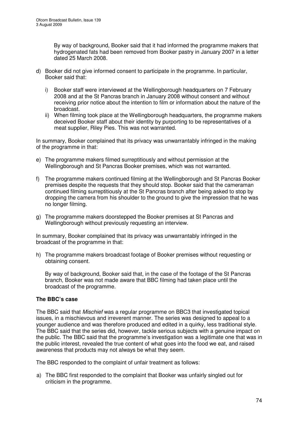By way of background, Booker said that it had informed the programme makers that hydrogenated fats had been removed from Booker pastry in January 2007 in a letter dated 25 March 2008.

- d) Booker did not give informed consent to participate in the programme. In particular, Booker said that:
	- i) Booker staff were interviewed at the Wellingborough headquarters on 7 February 2008 and at the St Pancras branch in January 2008 without consent and without receiving prior notice about the intention to film or information about the nature of the broadcast.
	- ii) When filming took place at the Wellingborough headquarters, the programme makers deceived Booker staff about their identity by purporting to be representatives of a meat supplier, Riley Pies. This was not warranted.

In summary, Booker complained that its privacy was unwarrantably infringed in the making of the programme in that:

- e) The programme makers filmed surreptitiously and without permission at the Wellingborough and St Pancras Booker premises, which was not warranted.
- f) The programme makers continued filming at the Wellingborough and St Pancras Booker premises despite the requests that they should stop. Booker said that the cameraman continued filming surreptitiously at the St Pancras branch after being asked to stop by dropping the camera from his shoulder to the ground to give the impression that he was no longer filming.
- g) The programme makers doorstepped the Booker premises at St Pancras and Wellingborough without previously requesting an interview.

In summary, Booker complained that its privacy was unwarrantably infringed in the broadcast of the programme in that:

h) The programme makers broadcast footage of Booker premises without requesting or obtaining consent.

By way of background, Booker said that, in the case of the footage of the St Pancras branch, Booker was not made aware that BBC filming had taken place until the broadcast of the programme.

## **The BBC's case**

The BBC said that *Mischief* was a regular programme on BBC3 that investigated topical issues, in a mischievous and irreverent manner. The series was designed to appeal to a younger audience and was therefore produced and edited in a quirky, less traditional style. The BBC said that the series did, however, tackle serious subjects with a genuine impact on the public. The BBC said that the programme's investigation was a legitimate one that was in the public interest, revealed the true content of what goes into the food we eat, and raised awareness that products may not always be what they seem.

The BBC responded to the complaint of unfair treatment as follows:

a) The BBC first responded to the complaint that Booker was unfairly singled out for criticism in the programme.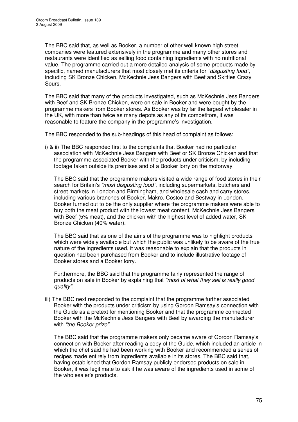The BBC said that, as well as Booker, a number of other well known high street companies were featured extensively in the programme and many other stores and restaurants were identified as selling food containing ingredients with no nutritional value. The programme carried out a more detailed analysis of some products made by specific, named manufacturers that most closely met its criteria for *"disgusting food"*, including SK Bronze Chicken, McKechnie Jess Bangers with Beef and Skittles Crazy Sours.

The BBC said that many of the products investigated, such as McKechnie Jess Bangers with Beef and SK Bronze Chicken, were on sale in Booker and were bought by the programme makers from Booker stores. As Booker was by far the largest wholesaler in the UK, with more than twice as many depots as any of its competitors, it was reasonable to feature the company in the programme's investigation.

The BBC responded to the sub-headings of this head of complaint as follows:

i) & ii) The BBC responded first to the complaints that Booker had no particular association with McKechnie Jess Bangers with Beef or SK Bronze Chicken and that the programme associated Booker with the products under criticism, by including footage taken outside its premises and of a Booker lorry on the motorway.

The BBC said that the programme makers visited a wide range of food stores in their search for Britain's *"most disgusting food"*, including supermarkets, butchers and street markets in London and Birmingham, and wholesale cash and carry stores, including various branches of Booker, Makro, Costco and Bestway in London. Booker turned out to be the only supplier where the programme makers were able to buy both the meat product with the lowest meat content, McKechnie Jess Bangers with Beef (5% meat), and the chicken with the highest level of added water, SK Bronze Chicken (40% water).

The BBC said that as one of the aims of the programme was to highlight products which were widely available but which the public was unlikely to be aware of the true nature of the ingredients used, it was reasonable to explain that the products in question had been purchased from Booker and to include illustrative footage of Booker stores and a Booker lorry.

Furthermore, the BBC said that the programme fairly represented the range of products on sale in Booker by explaining that *"most of what they sell is really good quality"*.

iii) The BBC next responded to the complaint that the programme further associated Booker with the products under criticism by using Gordon Ramsay's connection with the Guide as a pretext for mentioning Booker and that the programme connected Booker with the McKechnie Jess Bangers with Beef by awarding the manufacturer with *"the Booker prize"*.

The BBC said that the programme makers only became aware of Gordon Ramsay's connection with Booker after reading a copy of the Guide, which included an article in which the chef said he had been working with Booker and recommended a series of recipes made entirely from ingredients available in its stores. The BBC said that, having established that Gordon Ramsay publicly endorsed products on sale in Booker, it was legitimate to ask if he was aware of the ingredients used in some of the wholesaler's products.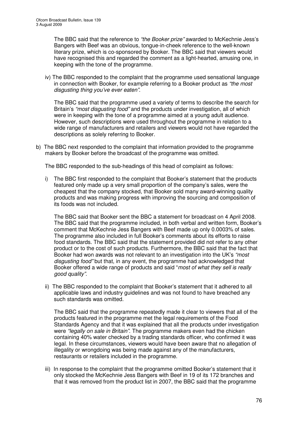The BBC said that the reference to *"the Booker prize"* awarded to McKechnie Jess's Bangers with Beef was an obvious, tongue-in-cheek reference to the well-known literary prize, which is co-sponsored by Booker. The BBC said that viewers would have recognised this and regarded the comment as a light-hearted, amusing one, in keeping with the tone of the programme.

iv) The BBC responded to the complaint that the programme used sensational language in connection with Booker, for example referring to a Booker product as *"the most disgusting thing you've ever eaten"*.

The BBC said that the programme used a variety of terms to describe the search for Britain's *"most disgusting food"* and the products under investigation, all of which were in keeping with the tone of a programme aimed at a young adult audience. However, such descriptions were used throughout the programme in relation to a wide range of manufacturers and retailers and viewers would not have regarded the descriptions as solely referring to Booker.

b) The BBC next responded to the complaint that information provided to the programme makers by Booker before the broadcast of the programme was omitted.

The BBC responded to the sub-headings of this head of complaint as follows:

i) The BBC first responded to the complaint that Booker's statement that the products featured only made up a very small proportion of the company's sales, were the cheapest that the company stocked, that Booker sold many award-winning quality products and was making progress with improving the sourcing and composition of its foods was not included.

The BBC said that Booker sent the BBC a statement for broadcast on 4 April 2008. The BBC said that the programme included, in both verbal and written form, Booker's comment that McKechnie Jess Bangers with Beef made up only 0.0003% of sales. The programme also included in full Booker's comments about its efforts to raise food standards. The BBC said that the statement provided did not refer to any other product or to the cost of such products. Furthermore, the BBC said that the fact that Booker had won awards was not relevant to an investigation into the UK's *"most disgusting food"* but that, in any event, the programme had acknowledged that Booker offered a wide range of products and said "*most of what they sell is really good quality"*.

ii) The BBC responded to the complaint that Booker's statement that it adhered to all applicable laws and industry guidelines and was not found to have breached any such standards was omitted.

The BBC said that the programme repeatedly made it clear to viewers that all of the products featured in the programme met the legal requirements of the Food Standards Agency and that it was explained that all the products under investigation were *"legally on sale in Britain"*. The programme makers even had the chicken containing 40% water checked by a trading standards officer, who confirmed it was legal. In these circumstances, viewers would have been aware that no allegation of illegality or wrongdoing was being made against any of the manufacturers, restaurants or retailers included in the programme.

iii) In response to the complaint that the programme omitted Booker's statement that it only stocked the McKechnie Jess Bangers with Beef in 19 of its 172 branches and that it was removed from the product list in 2007, the BBC said that the programme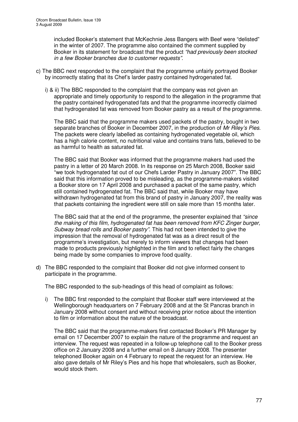included Booker's statement that McKechnie Jess Bangers with Beef were "delisted" in the winter of 2007. The programme also contained the comment supplied by Booker in its statement for broadcast that the product *"had previously been stocked in a few Booker branches due to customer requests"*.

- c) The BBC next responded to the complaint that the programme unfairly portrayed Booker by incorrectly stating that its Chef's larder pastry contained hydrogenated fat.
	- i) & ii) The BBC responded to the complaint that the company was not given an appropriate and timely opportunity to respond to the allegation in the programme that the pastry contained hydrogenated fats and that the programme incorrectly claimed that hydrogenated fat was removed from Booker pastry as a result of the programme.

The BBC said that the programme makers used packets of the pastry, bought in two separate branches of Booker in December 2007, in the production of *Mr Riley's Pies*. The packets were clearly labelled as containing hydrogenated vegetable oil, which has a high calorie content, no nutritional value and contains trans fats, believed to be as harmful to health as saturated fat.

The BBC said that Booker was informed that the programme makers had used the pastry in a letter of 20 March 2008. In its response on 25 March 2008, Booker said "we took hydrogenated fat out of our Chefs Larder Pastry in January 2007". The BBC said that this information proved to be misleading, as the programme-makers visited a Booker store on 17 April 2008 and purchased a packet of the same pastry, which still contained hydrogenated fat. The BBC said that, while Booker may have withdrawn hydrogenated fat from this brand of pastry in January 2007, the reality was that packets containing the ingredient were still on sale more than 15 months later.

The BBC said that at the end of the programme, the presenter explained that *"since the making of this film, hydrogenated fat has been removed from KFC Zinger burger, Subway bread rolls and Booker pastry"*. This had not been intended to give the impression that the removal of hydrogenated fat was as a direct result of the programme's investigation, but merely to inform viewers that changes had been made to products previously highlighted in the film and to reflect fairly the changes being made by some companies to improve food quality.

d) The BBC responded to the complaint that Booker did not give informed consent to participate in the programme.

The BBC responded to the sub-headings of this head of complaint as follows:

i) The BBC first responded to the complaint that Booker staff were interviewed at the Wellingborough headquarters on 7 February 2008 and at the St Pancras branch in January 2008 without consent and without receiving prior notice about the intention to film or information about the nature of the broadcast.

The BBC said that the programme-makers first contacted Booker's PR Manager by email on 17 December 2007 to explain the nature of the programme and request an interview. The request was repeated in a follow-up telephone call to the Booker press office on 2 January 2008 and a further email on 8 January 2008. The presenter telephoned Booker again on 4 February to repeat the request for an interview. He also gave details of Mr Riley's Pies and his hope that wholesalers, such as Booker, would stock them.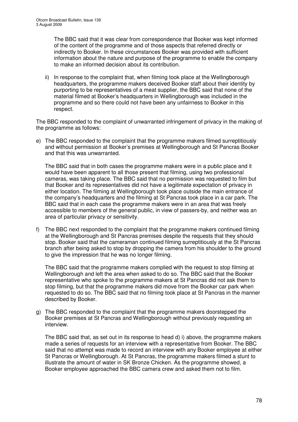The BBC said that it was clear from correspondence that Booker was kept informed of the content of the programme and of those aspects that referred directly or indirectly to Booker. In these circumstances Booker was provided with sufficient information about the nature and purpose of the programme to enable the company to make an informed decision about its contribution.

ii) In response to the complaint that, when filming took place at the Wellingborough headquarters, the programme makers deceived Booker staff about their identity by purporting to be representatives of a meat supplier, the BBC said that none of the material filmed at Booker's headquarters in Wellingborough was included in the programme and so there could not have been any unfairness to Booker in this respect.

The BBC responded to the complaint of unwarranted infringement of privacy in the making of the programme as follows:

e) The BBC responded to the complaint that the programme makers filmed surreptitiously and without permission at Booker's premises at Wellingborough and St Pancras Booker and that this was unwarranted.

The BBC said that in both cases the programme makers were in a public place and it would have been apparent to all those present that filming, using two professional cameras, was taking place. The BBC said that no permission was requested to film but that Booker and its representatives did not have a legitimate expectation of privacy in either location. The filming at Wellingborough took place outside the main entrance of the company's headquarters and the filming at St Pancras took place in a car park. The BBC said that in each case the programme makers were in an area that was freely accessible to members of the general public, in view of passers-by, and neither was an area of particular privacy or sensitivity.

f) The BBC next responded to the complaint that the programme makers continued filming at the Wellingborough and St Pancras premises despite the requests that they should stop. Booker said that the cameraman continued filming surreptitiously at the St Pancras branch after being asked to stop by dropping the camera from his shoulder to the ground to give the impression that he was no longer filming.

The BBC said that the programme makers complied with the request to stop filming at Wellingborough and left the area when asked to do so. The BBC said that the Booker representative who spoke to the programme makers at St Pancras did not ask them to stop filming, but that the programme makers did move from the Booker car park when requested to do so. The BBC said that no filming took place at St Pancras in the manner described by Booker.

g) The BBC responded to the complaint that the programme makers doorstepped the Booker premises at St Pancras and Wellingborough without previously requesting an interview.

The BBC said that, as set out in its response to head d) i) above, the programme makers made a series of requests for an interview with a representative from Booker. The BBC said that no attempt was made to record an interview with any Booker employee at either St Pancras or Wellingborough. At St Pancras, the programme makers filmed a stunt to illustrate the amount of water in SK Bronze Chicken. As the programme showed, a Booker employee approached the BBC camera crew and asked them not to film.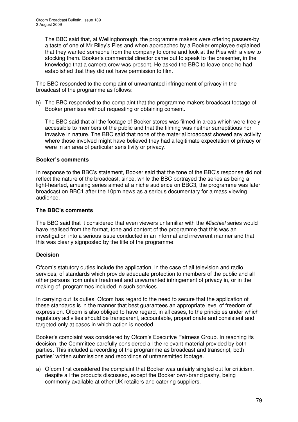The BBC said that, at Wellingborough, the programme makers were offering passers-by a taste of one of Mr Riley's Pies and when approached by a Booker employee explained that they wanted someone from the company to come and look at the Pies with a view to stocking them. Booker's commercial director came out to speak to the presenter, in the knowledge that a camera crew was present. He asked the BBC to leave once he had established that they did not have permission to film.

The BBC responded to the complaint of unwarranted infringement of privacy in the broadcast of the programme as follows:

h) The BBC responded to the complaint that the programme makers broadcast footage of Booker premises without requesting or obtaining consent.

The BBC said that all the footage of Booker stores was filmed in areas which were freely accessible to members of the public and that the filming was neither surreptitious nor invasive in nature. The BBC said that none of the material broadcast showed any activity where those involved might have believed they had a legitimate expectation of privacy or were in an area of particular sensitivity or privacy.

## **Booker's comments**

In response to the BBC's statement, Booker said that the tone of the BBC's response did not reflect the nature of the broadcast, since, while the BBC portrayed the series as being a light-hearted, amusing series aimed at a niche audience on BBC3, the programme was later broadcast on BBC1 after the 10pm news as a serious documentary for a mass viewing audience.

## **The BBC's comments**

The BBC said that it considered that even viewers unfamiliar with the *Mischief* series would have realised from the format, tone and content of the programme that this was an investigation into a serious issue conducted in an informal and irreverent manner and that this was clearly signposted by the title of the programme.

## **Decision**

Ofcom's statutory duties include the application, in the case of all television and radio services, of standards which provide adequate protection to members of the public and all other persons from unfair treatment and unwarranted infringement of privacy in, or in the making of, programmes included in such services.

In carrying out its duties, Ofcom has regard to the need to secure that the application of these standards is in the manner that best guarantees an appropriate level of freedom of expression. Ofcom is also obliged to have regard, in all cases, to the principles under which regulatory activities should be transparent, accountable, proportionate and consistent and targeted only at cases in which action is needed.

Booker's complaint was considered by Ofcom's Executive Fairness Group. In reaching its decision, the Committee carefully considered all the relevant material provided by both parties. This included a recording of the programme as broadcast and transcript, both parties' written submissions and recordings of untransmitted footage.

a) Ofcom first considered the complaint that Booker was unfairly singled out for criticism, despite all the products discussed, except the Booker own-brand pastry, being commonly available at other UK retailers and catering suppliers.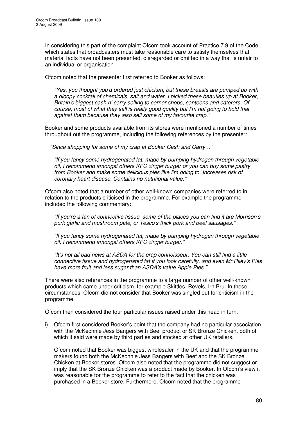In considering this part of the complaint Ofcom took account of Practice 7.9 of the Code, which states that broadcasters must take reasonable care to satisfy themselves that material facts have not been presented, disregarded or omitted in a way that is unfair to an individual or organisation.

Ofcom noted that the presenter first referred to Booker as follows:

*"Yes, you thought you'd ordered just chicken, but these breasts are pumped up with a gloopy cocktail of chemicals, salt and water. I picked these beauties up at Booker, Britain's biggest cash n' carry selling to corner shops, canteens and caterers. Of course, most of what they sell is really good quality but I'm not going to hold that against them because they also sell some of my favourite crap."*

Booker and some products available from its stores were mentioned a number of times throughout out the programme, including the following references by the presenter:

*"Since shopping for some of my crap at Booker Cash and Carry…"*

*"If you fancy some hydrogenated fat, made by pumping hydrogen through vegetable oil, I recommend amongst others KFC zinger burger or you can buy some pastry from Booker and make some delicious pies like I'm going to. Increases risk of coronary heart disease. Contains no nutritional value."*

Ofcom also noted that a number of other well-known companies were referred to in relation to the products criticised in the programme. For example the programme included the following commentary:

*"If you're a fan of connective tissue, some of the places you can find it are Morrison's pork garlic and mushroom pate, or Tesco's thick pork and beef sausages."*

*"If you fancy some hydrogenated fat, made by pumping hydrogen through vegetable oil, I recommend amongst others KFC zinger burger."*

*"It's not all bad news at ASDA for the crap connoisseur. You can still find a little connective tissue and hydrogenated fat if you look carefully, and even Mr Riley's Pies have more fruit and less sugar than ASDA's value Apple Pies."*

There were also references in the programme to a large number of other well-known products which came under criticism, for example Skittles, Revels, Irn Bru. In these circumstances, Ofcom did not consider that Booker was singled out for criticism in the programme.

Ofcom then considered the four particular issues raised under this head in turn.

i) Ofcom first considered Booker's point that the company had no particular association with the McKechnie Jess Bangers with Beef product or SK Bronze Chicken, both of which it said were made by third parties and stocked at other UK retailers.

Ofcom noted that Booker was biggest wholesaler in the UK and that the programme makers found both the McKechnie Jess Bangers with Beef and the SK Bronze Chicken at Booker stores. Ofcom also noted that the programme did not suggest or imply that the SK Bronze Chicken was a product made by Booker. In Ofcom's view it was reasonable for the programme to refer to the fact that the chicken was purchased in a Booker store. Furthermore, Ofcom noted that the programme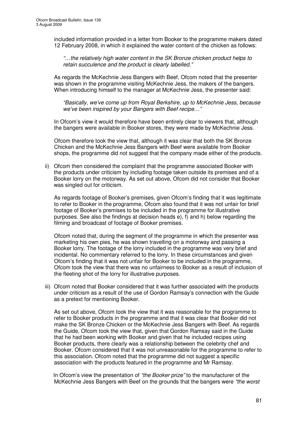included information provided in a letter from Booker to the programme makers dated 12 February 2008, in which it explained the water content of the chicken as follows:

*"…the relatively high water content in the SK Bronze chicken product helps to retain succulence and the product is clearly labelled."*

As regards the McKechnie Jess Bangers with Beef, Ofcom noted that the presenter was shown in the programme visiting McKechnie Jess, the makers of the bangers. When introducing himself to the manager at McKechnie Jess, the presenter said:

*"Basically, we've come up from Royal Berkshire, up to McKechnie Jess, because we've been inspired by your Bangers with Beef recipe…"*

In Ofcom's view it would therefore have been entirely clear to viewers that, although the bangers were available in Booker stores, they were made by McKechnie Jess.

Ofcom therefore took the view that, although it was clear that both the SK Bronze Chicken and the McKechnie Jess Bangers with Beef were available from Booker shops, the programme did not suggest that the company made either of the products.

ii) Ofcom then considered the complaint that the programme associated Booker with the products under criticism by including footage taken outside its premises and of a Booker lorry on the motorway. As set out above, Ofcom did not consider that Booker was singled out for criticism.

As regards footage of Booker's premises, given Ofcom's finding that it was legitimate to refer to Booker in the programme, Ofcom also found that it was not unfair for brief footage of Booker's premises to be included in the programme for illustrative purposes. See also the findings at decision heads e), f) and h) below regarding the filming and broadcast of footage of Booker premises.

Ofcom noted that, during the segment of the programme in which the presenter was marketing his own pies, he was shown travelling on a motorway and passing a Booker lorry. The footage of the lorry included in the programme was very brief and incidental. No commentary referred to the lorry. In these circumstances and given Ofcom's finding that it was not unfair for Booker to be included in the programme, Ofcom took the view that there was no unfairness to Booker as a result of inclusion of the fleeting shot of the lorry for illustrative purposes.

iii) Ofcom noted that Booker considered that it was further associated with the products under criticism as a result of the use of Gordon Ramsay's connection with the Guide as a pretext for mentioning Booker.

As set out above, Ofcom took the view that it was reasonable for the programme to refer to Booker products in the programme and that it was clear that Booker did not make the SK Bronze Chicken or the McKechnie Jess Bangers with Beef. As regards the Guide, Ofcom took the view that, given that Gordon Ramsay said in the Guide that he had been working with Booker and given that he included recipes using Booker products, there clearly was a relationship between the celebrity chef and Booker. Ofcom considered that it was not unreasonable for the programme to refer to this association. Ofcom noted that the programme did not suggest a specific association with the products featured in the programme and Mr Ramsay.

In Ofcom's view the presentation of *"the Booker prize"* to the manufacturer of the McKechnie Jess Bangers with Beef on the grounds that the bangers were *"the worst*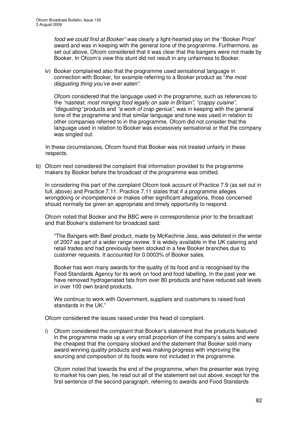*food we could find at Booker" was* clearly a light-hearted play on the "Booker Prize" award and was in keeping with the general tone of the programme. Furthermore, as set out above, Ofcom considered that it was clear that the bangers were not made by Booker. In Ofcom's view this stunt did not result in any unfairness to Booker.

iv) Booker complained also that the programme used sensational language in connection with Booker, for example referring to a Booker product as "*the most disgusting thing you've ever eaten"*.

Ofcom considered that the language used in the programme, such as references to the *"nastiest, most minging food legally on sale in Britain"*, *"crappy cuisine"*, *"disgusting"* products and *"a work of crap genius"*, was in keeping with the general tone of the programme and that similar language and tone was used in relation to other companies referred to in the programme. Ofcom did not consider that the language used in relation to Booker was excessively sensational or that the company was singled out.

In these circumstances, Ofcom found that Booker was not treated unfairly in these respects.

b) Ofcom next considered the complaint that information provided to the programme makers by Booker before the broadcast of the programme was omitted.

In considering this part of the complaint Ofcom took account of Practice 7.9 (as set out in full, above) and Practice 7.11. Practice 7.11 states that if a programme alleges wrongdoing or incompetence or makes other significant allegations, those concerned should normally be given an appropriate and timely opportunity to respond.

Ofcom noted that Booker and the BBC were in correspondence prior to the broadcast and that Booker's statement for broadcast said:

"The Bangers with Beef product, made by McKechnie Jess, was delisted in the winter of 2007 as part of a wider range review. It is widely available in the UK catering and retail trades and had previously been stocked in a few Booker branches due to customer requests. It accounted for 0.0003% of Booker sales.

Booker has won many awards for the quality of its food and is recognised by the Food Standards Agency for its work on food and food labelling. In the past year we have removed hydrogenated fats from over 80 products and have reduced salt levels in over 100 own brand products.

We continue to work with Government, suppliers and customers to raised food standards in the UK."

Ofcom considered the issues raised under this head of complaint.

i) Ofcom considered the complaint that Booker's statement that the products featured in the programme made up a very small proportion of the company's sales and were the cheapest that the company stocked and the statement that Booker sold many award-winning quality products and was making progress with improving the sourcing and composition of its foods were not included in the programme.

Ofcom noted that towards the end of the programme, when the presenter was trying to market his own pies, he read out all of the statement set out above, except for the first sentence of the second paragraph, referring to awards and Food Standards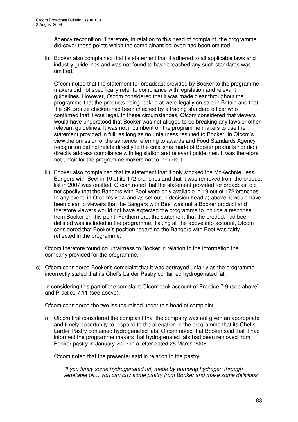Agency recognition. Therefore, in relation to this head of complaint, the programme did cover those points which the complainant believed had been omitted.

ii) Booker also complained that its statement that it adhered to all applicable laws and industry guidelines and was not found to have breached any such standards was omitted.

Ofcom noted that the statement for broadcast provided by Booker to the programme makers did not specifically refer to compliance with legislation and relevant guidelines. However, Ofcom considered that it was made clear throughout the programme that the products being looked at were legally on sale in Britain and that the SK Bronze chicken had been checked by a trading standard officer who confirmed that it was legal. In these circumstances, Ofcom considered that viewers would have understood that Booker was not alleged to be breaking any laws or other relevant guidelines. It was not incumbent on the programme makers to use the statement provided in full, as long as no unfairness resulted to Booker. In Ofcom's view the omission of the sentence referring to awards and Food Standards Agency recognition did not relate directly to the criticisms made of Booker products nor did it directly address compliance with legislation and relevant guidelines. It was therefore not unfair for the programme makers not to include it.

iii) Booker also complained that its statement that it only stocked the McKechnie Jess Bangers with Beef in 19 of its 172 branches and that it was removed from the product list in 2007 was omitted. Ofcom noted that the statement provided for broadcast did not specify that the Bangers with Beef were only available in 19 out of 172 branches. In any event, in Ofcom's view and as set out in decision head a) above, it would have been clear to viewers that the Bangers with Beef was not a Booker product and therefore viewers would not have expected the programme to include a response from Booker on this point. Furthermore, the statement that the product had been delisted was included in the programme. Taking all the above into account, Ofcom considered that Booker's position regarding the Bangers with Beef was fairly reflected in the programme.

Ofcom therefore found no unfairness to Booker in relation to the information the company provided for the programme.

c) Ofcom considered Booker's complaint that it was portrayed unfairly as the programme incorrectly stated that its Chef's Larder Pastry contained hydrogenated fat.

In considering this part of the complaint Ofcom took account of Practice 7.9 (see above) and Practice 7.11 (see above).

Ofcom considered the two issues raised under this head of complaint.

i) Ofcom first considered the complaint that the company was not given an appropriate and timely opportunity to respond to the allegation in the programme that its Chef's Larder Pastry contained hydrogenated fats. Ofcom noted that Booker said that it had informed the programme makers that hydrogenated fats had been removed from Booker pastry in January 2007 in a letter dated 25 March 2008.

Ofcom noted that the presenter said in relation to the pastry:

*"If you fancy some hydrogenated fat, made by pumping hydrogen through vegetable oil… you can buy some pastry from Booker and make some delicious*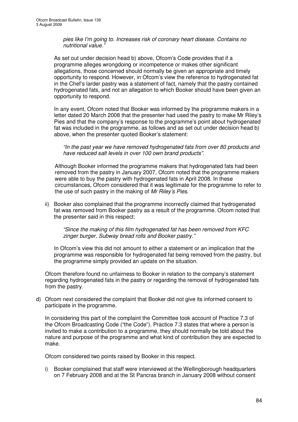*pies like I'm going to. Increases risk of coronary heart disease. Contains no nutritional value."*

As set out under decision head b) above, Ofcom's Code provides that if a programme alleges wrongdoing or incompetence or makes other significant allegations, those concerned should normally be given an appropriate and timely opportunity to respond. However, in Ofcom's view the reference to hydrogenated fat in the Chef's larder pastry was a statement of fact, namely that the pastry contained hydrogenated fats, and not an allegation to which Booker should have been given an opportunity to respond.

In any event, Ofcom noted that Booker was informed by the programme makers in a letter dated 20 March 2008 that the presenter had used the pastry to make Mr Riley's Pies and that the company's response to the programme's point about hydrogenated fat was included in the programme, as follows and as set out under decision head b) above, when the presenter quoted Booker's statement:

*"In the past year we have removed hydrogenated fats from over 80 products and have reduced salt levels in over 100 own brand products"*.

Although Booker informed the programme makers that hydrogenated fats had been removed from the pastry in January 2007, Ofcom noted that the programme makers were able to buy the pastry with hydrogenated fats in April 2008. In these circumstances, Ofcom considered that it was legitimate for the programme to refer to the use of such pastry in the making of *Mr Riley's Pies*.

ii) Booker also complained that the programme incorrectly claimed that hydrogenated fat was removed from Booker pastry as a result of the programme. Ofcom noted that the presenter said in this respect:

*"Since the making of this film hydrogenated fat has been removed from KFC zinger burger, Subway bread rolls and Booker pastry."*

In Ofcom's view this did not amount to either a statement or an implication that the programme was responsible for hydrogenated fat being removed from the pastry, but the programme simply provided an update on the situation.

Ofcom therefore found no unfairness to Booker in relation to the company's statement regarding hydrogenated fats in the pastry or regarding the removal of hydrogenated fats from the pastry.

d) Ofcom next considered the complaint that Booker did not give its informed consent to participate in the programme.

In considering this part of the complaint the Committee took account of Practice 7.3 of the Ofcom Broadcasting Code ("the Code"). Practice 7.3 states that where a person is invited to make a contribution to a programme, they should normally be told about the nature and purpose of the programme and what kind of contribution they are expected to make.

Ofcom considered two points raised by Booker in this respect.

i) Booker complained that staff were interviewed at the Wellingborough headquarters on 7 February 2008 and at the St Pancras branch in January 2008 without consent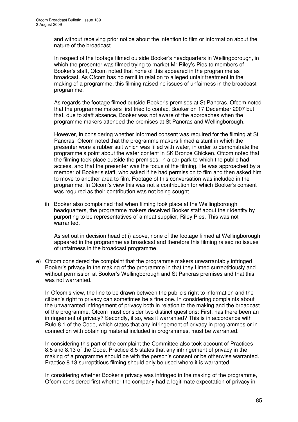and without receiving prior notice about the intention to film or information about the nature of the broadcast.

In respect of the footage filmed outside Booker's headquarters in Wellingborough, in which the presenter was filmed trying to market Mr Riley's Pies to members of Booker's staff, Ofcom noted that none of this appeared in the programme as broadcast. As Ofcom has no remit in relation to alleged unfair treatment in the making of a programme, this filming raised no issues of unfairness in the broadcast programme.

As regards the footage filmed outside Booker's premises at St Pancras, Ofcom noted that the programme makers first tried to contact Booker on 17 December 2007 but that, due to staff absence, Booker was not aware of the approaches when the programme makers attended the premises at St Pancras and Wellingborough.

However, in considering whether informed consent was required for the filming at St Pancras, Ofcom noted that the programme makers filmed a stunt in which the presenter wore a rubber suit which was filled with water, in order to demonstrate the programme's point about the water content in SK Bronze Chicken. Ofcom noted that the filming took place outside the premises, in a car park to which the public had access, and that the presenter was the focus of the filming. He was approached by a member of Booker's staff, who asked if he had permission to film and then asked him to move to another area to film. Footage of this conversation was included in the programme. In Ofcom's view this was not a contribution for which Booker's consent was required as their contribution was not being sought.

ii) Booker also complained that when filming took place at the Wellingborough headquarters, the programme makers deceived Booker staff about their identity by purporting to be representatives of a meat supplier, Riley Pies. This was not warranted.

As set out in decision head d) i) above, none of the footage filmed at Wellingborough appeared in the programme as broadcast and therefore this filming raised no issues of unfairness in the broadcast programme.

e) Ofcom considered the complaint that the programme makers unwarrantably infringed Booker's privacy in the making of the programme in that they filmed surreptitiously and without permission at Booker's Wellingborough and St Pancras premises and that this was not warranted.

In Ofcom's view, the line to be drawn between the public's right to information and the citizen's right to privacy can sometimes be a fine one. In considering complaints about the unwarranted infringement of privacy both in relation to the making and the broadcast of the programme, Ofcom must consider two distinct questions: First, has there been an infringement of privacy? Secondly, if so, was it warranted? This is in accordance with Rule 8.1 of the Code, which states that any infringement of privacy in programmes or in connection with obtaining material included in programmes, must be warranted.

In considering this part of the complaint the Committee also took account of Practices 8.5 and 8.13 of the Code. Practice 8.5 states that any infringement of privacy in the making of a programme should be with the person's consent or be otherwise warranted. Practice 8.13 surreptitious filming should only be used where it is warranted.

In considering whether Booker's privacy was infringed in the making of the programme, Ofcom considered first whether the company had a legitimate expectation of privacy in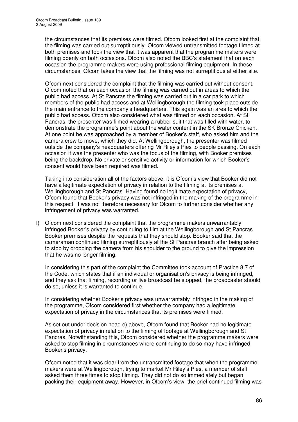the circumstances that its premises were filmed. Ofcom looked first at the complaint that the filming was carried out surreptitiously. Ofcom viewed untransmitted footage filmed at both premises and took the view that it was apparent that the programme makers were filming openly on both occasions. Ofcom also noted the BBC's statement that on each occasion the programme makers were using professional filming equipment. In these circumstances, Ofcom takes the view that the filming was not surreptitious at either site.

Ofcom next considered the complaint that the filming was carried out without consent. Ofcom noted that on each occasion the filming was carried out in areas to which the public had access. At St Pancras the filming was carried out in a car park to which members of the public had access and at Wellingborough the filming took place outside the main entrance to the company's headquarters. This again was an area to which the public had access. Ofcom also considered what was filmed on each occasion. At St Pancras, the presenter was filmed wearing a rubber suit that was filled with water, to demonstrate the programme's point about the water content in the SK Bronze Chicken. At one point he was approached by a member of Booker's staff, who asked him and the camera crew to move, which they did. At Wellingborough, the presenter was filmed outside the company's headquarters offering Mr Riley's Pies to people passing. On each occasion it was the presenter who was the focus of the filming, with Booker premises being the backdrop. No private or sensitive activity or information for which Booker's consent would have been required was filmed.

Taking into consideration all of the factors above, it is Ofcom's view that Booker did not have a legitimate expectation of privacy in relation to the filming at its premises at Wellingborough and St Pancras. Having found no legitimate expectation of privacy, Ofcom found that Booker's privacy was not infringed in the making of the programme in this respect. It was not therefore necessary for Ofcom to further consider whether any infringement of privacy was warranted.

f) Ofcom next considered the complaint that the programme makers unwarrantably infringed Booker's privacy by continuing to film at the Wellingborough and St Pancras Booker premises despite the requests that they should stop. Booker said that the cameraman continued filming surreptitiously at the St Pancras branch after being asked to stop by dropping the camera from his shoulder to the ground to give the impression that he was no longer filming.

In considering this part of the complaint the Committee took account of Practice 8.7 of the Code, which states that if an individual or organisation's privacy is being infringed, and they ask that filming, recording or live broadcast be stopped, the broadcaster should do so, unless it is warranted to continue.

In considering whether Booker's privacy was unwarrantably infringed in the making of the programme, Ofcom considered first whether the company had a legitimate expectation of privacy in the circumstances that its premises were filmed.

As set out under decision head e) above, Ofcom found that Booker had no legitimate expectation of privacy in relation to the filming of footage at Wellingborough and St Pancras. Notwithstanding this, Ofcom considered whether the programme makers were asked to stop filming in circumstances where continuing to do so may have infringed Booker's privacy.

Ofcom noted that it was clear from the untransmitted footage that when the programme makers were at Wellingborough, trying to market Mr Riley's Pies, a member of staff asked them three times to stop filming. They did not do so immediately but began packing their equipment away. However, in Ofcom's view, the brief continued filming was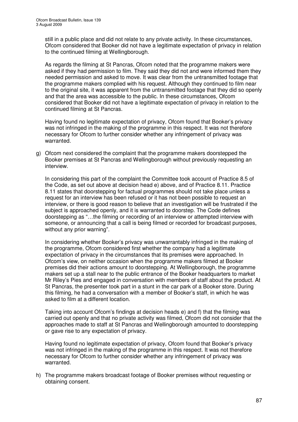still in a public place and did not relate to any private activity. In these circumstances, Ofcom considered that Booker did not have a legitimate expectation of privacy in relation to the continued filming at Wellingborough.

As regards the filming at St Pancras, Ofcom noted that the programme makers were asked if they had permission to film. They said they did not and were informed them they needed permission and asked to move. It was clear from the untransmitted footage that the programme makers complied with his request. Although they continued to film near to the original site, it was apparent from the untransmitted footage that they did so openly and that the area was accessible to the public. In these circumstances, Ofcom considered that Booker did not have a legitimate expectation of privacy in relation to the continued filming at St Pancras.

Having found no legitimate expectation of privacy, Ofcom found that Booker's privacy was not infringed in the making of the programme in this respect. It was not therefore necessary for Ofcom to further consider whether any infringement of privacy was warranted.

g) Ofcom next considered the complaint that the programme makers doorstepped the Booker premises at St Pancras and Wellingborough without previously requesting an interview.

In considering this part of the complaint the Committee took account of Practice 8.5 of the Code, as set out above at decision head e) above, and of Practice 8.11. Practice 8.11 states that doorstepping for factual programmes should not take place unless a request for an interview has been refused or it has not been possible to request an interview, or there is good reason to believe that an investigation will be frustrated if the subject is approached openly, and it is warranted to doorstep. The Code defines doorstepping as "…the filming or recording of an interview or attempted interview with someone, or announcing that a call is being filmed or recorded for broadcast purposes, without any prior warning".

In considering whether Booker's privacy was unwarrantably infringed in the making of the programme, Ofcom considered first whether the company had a legitimate expectation of privacy in the circumstances that its premises were approached. In Ofcom's view, on neither occasion when the programme makers filmed at Booker premises did their actions amount to doorstepping. At Wellingborough, the programme makers set up a stall near to the public entrance of the Booker headquarters to market Mr Riley's Pies and engaged in conversation with members of staff about the product. At St Pancras, the presenter took part in a stunt in the car park of a Booker store. During this filming, he had a conversation with a member of Booker's staff, in which he was asked to film at a different location.

Taking into account Ofcom's findings at decision heads e) and f) that the filming was carried out openly and that no private activity was filmed, Ofcom did not consider that the approaches made to staff at St Pancras and Wellingborough amounted to doorstepping or gave rise to any expectation of privacy.

Having found no legitimate expectation of privacy, Ofcom found that Booker's privacy was not infringed in the making of the programme in this respect. It was not therefore necessary for Ofcom to further consider whether any infringement of privacy was warranted.

h) The programme makers broadcast footage of Booker premises without requesting or obtaining consent.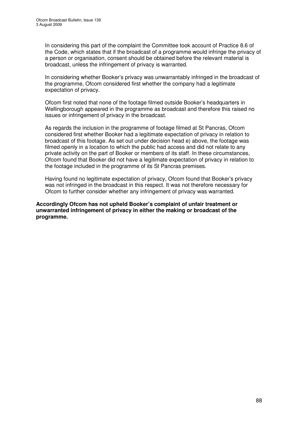In considering this part of the complaint the Committee took account of Practice 8.6 of the Code, which states that if the broadcast of a programme would infringe the privacy of a person or organisation, consent should be obtained before the relevant material is broadcast, unless the infringement of privacy is warranted.

In considering whether Booker's privacy was unwarrantably infringed in the broadcast of the programme, Ofcom considered first whether the company had a legitimate expectation of privacy.

Ofcom first noted that none of the footage filmed outside Booker's headquarters in Wellingborough appeared in the programme as broadcast and therefore this raised no issues or infringement of privacy in the broadcast.

As regards the inclusion in the programme of footage filmed at St Pancras, Ofcom considered first whether Booker had a legitimate expectation of privacy in relation to broadcast of this footage. As set out under decision head e) above, the footage was filmed openly in a location to which the public had access and did not relate to any private activity on the part of Booker or members of its staff. In these circumstances, Ofcom found that Booker did not have a legitimate expectation of privacy in relation to the footage included in the programme of its St Pancras premises.

Having found no legitimate expectation of privacy, Ofcom found that Booker's privacy was not infringed in the broadcast in this respect. It was not therefore necessary for Ofcom to further consider whether any infringement of privacy was warranted.

**Accordingly Ofcom has not upheld Booker's complaint of unfair treatment or unwarranted infringement of privacy in either the making or broadcast of the programme.**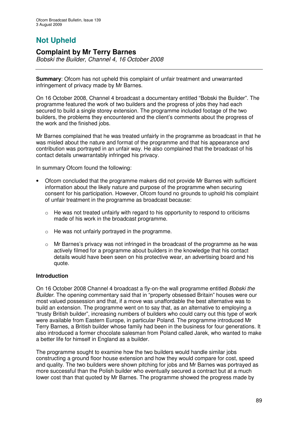# **Not Upheld**

# **Complaint by Mr Terry Barnes**

*Bobski the Builder, Channel 4, 16 October 2008*

**Summary**: Ofcom has not upheld this complaint of unfair treatment and unwarranted infringement of privacy made by Mr Barnes.

On 16 October 2008, Channel 4 broadcast a documentary entitled "Bobski the Builder". The programme featured the work of two builders and the progress of jobs they had each secured to build a single storey extension. The programme included footage of the two builders, the problems they encountered and the client's comments about the progress of the work and the finished jobs.

Mr Barnes complained that he was treated unfairly in the programme as broadcast in that he was misled about the nature and format of the programme and that his appearance and contribution was portrayed in an unfair way. He also complained that the broadcast of his contact details unwarrantably infringed his privacy.

In summary Ofcom found the following:

- Ofcom concluded that the programme makers did not provide Mr Barnes with sufficient information about the likely nature and purpose of the programme when securing consent for his participation. However, Ofcom found no grounds to uphold his complaint of unfair treatment in the programme as broadcast because:
	- o He was not treated unfairly with regard to his opportunity to respond to criticisms made of his work in the broadcast programme.
	- $\circ$  He was not unfairly portrayed in the programme.
	- o Mr Barnes's privacy was not infringed in the broadcast of the programme as he was actively filmed for a programme about builders in the knowledge that his contact details would have been seen on his protective wear, an advertising board and his quote.

## **Introduction**

On 16 October 2008 Channel 4 broadcast a fly-on-the wall programme entitled *Bobski the Builder*. The opening commentary said that in "property obsessed Britain" houses were our most valued possession and that, if a move was unaffordable the best alternative was to build an extension. The programme went on to say that, as an alternative to employing a "trusty British builder", increasing numbers of builders who could carry out this type of work were available from Eastern Europe, in particular Poland. The programme introduced Mr Terry Barnes, a British builder whose family had been in the business for four generations. It also introduced a former chocolate salesman from Poland called Jarek, who wanted to make a better life for himself in England as a builder.

The programme sought to examine how the two builders would handle similar jobs constructing a ground floor house extension and how they would compare for cost, speed and quality. The two builders were shown pitching for jobs and Mr Barnes was portrayed as more successful than the Polish builder who eventually secured a contract but at a much lower cost than that quoted by Mr Barnes. The programme showed the progress made by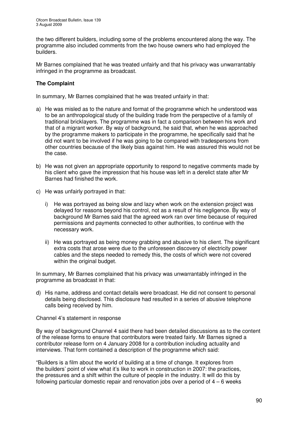the two different builders, including some of the problems encountered along the way. The programme also included comments from the two house owners who had employed the builders.

Mr Barnes complained that he was treated unfairly and that his privacy was unwarrantably infringed in the programme as broadcast.

## **The Complaint**

In summary, Mr Barnes complained that he was treated unfairly in that:

- a) He was misled as to the nature and format of the programme which he understood was to be an anthropological study of the building trade from the perspective of a family of traditional bricklayers. The programme was in fact a comparison between his work and that of a migrant worker. By way of background, he said that, when he was approached by the programme makers to participate in the programme, he specifically said that he did not want to be involved if he was going to be compared with tradespersons from other countries because of the likely bias against him. He was assured this would not be the case.
- b) He was not given an appropriate opportunity to respond to negative comments made by his client who gave the impression that his house was left in a derelict state after Mr Barnes had finished the work.
- c) He was unfairly portrayed in that:
	- i) He was portrayed as being slow and lazy when work on the extension project was delayed for reasons beyond his control, not as a result of his negligence. By way of background Mr Barnes said that the agreed work ran over time because of required permissions and payments connected to other authorities, to continue with the necessary work.
	- ii) He was portrayed as being money grabbing and abusive to his client. The significant extra costs that arose were due to the unforeseen discovery of electricity power cables and the steps needed to remedy this, the costs of which were not covered within the original budget.

In summary, Mr Barnes complained that his privacy was unwarrantably infringed in the programme as broadcast in that:

d) His name, address and contact details were broadcast. He did not consent to personal details being disclosed. This disclosure had resulted in a series of abusive telephone calls being received by him.

Channel 4's statement in response

By way of background Channel 4 said there had been detailed discussions as to the content of the release forms to ensure that contributors were treated fairly. Mr Barnes signed a contributor release form on 4 January 2008 for a contribution including actuality and interviews. That form contained a description of the programme which said:

"Builders is a film about the world of building at a time of change. It explores from the builders' point of view what it's like to work in construction in 2007: the practices, the pressures and a shift within the culture of people in the industry. It will do this by following particular domestic repair and renovation jobs over a period of  $4 - 6$  weeks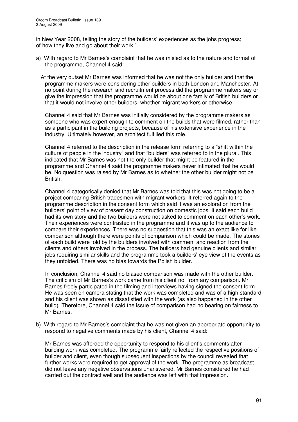in New Year 2008, telling the story of the builders' experiences as the jobs progress; of how they live and go about their work."

- a) With regard to Mr Barnes's complaint that he was misled as to the nature and format of the programme, Channel 4 said:
	- At the very outset Mr Barnes was informed that he was not the only builder and that the programme makers were considering other builders in both London and Manchester. At no point during the research and recruitment process did the programme makers say or give the impression that the programme would be about one family of British builders or that it would not involve other builders, whether migrant workers or otherwise.

Channel 4 said that Mr Barnes was initially considered by the programme makers as someone who was expert enough to comment on the builds that were filmed, rather than as a participant in the building projects, because of his extensive experience in the industry. Ultimately however, an architect fulfilled this role.

Channel 4 referred to the description in the release form referring to a "shift within the culture of people in the industry" and that "builders" was referred to in the plural. This indicated that Mr Barnes was not the only builder that might be featured in the programme and Channel 4 said the programme makers never intimated that he would be. No question was raised by Mr Barnes as to whether the other builder might not be British.

Channel 4 categorically denied that Mr Barnes was told that this was not going to be a project comparing British tradesmen with migrant workers. It referred again to the programme description in the consent form which said it was an exploration from the builders' point of view of present day construction on domestic jobs. It said each build had its own story and the two builders were not asked to comment on each other's work. Their experiences were contrasted in the programme and it was up to the audience to compare their experiences. There was no suggestion that this was an exact like for like comparison although there were points of comparison which could be made. The stories of each build were told by the builders involved with comment and reaction from the clients and others involved in the process. The builders had genuine clients and similar jobs requiring similar skills and the programme took a builders' eye view of the events as they unfolded. There was no bias towards the Polish builder.

In conclusion, Channel 4 said no biased comparison was made with the other builder. The criticism of Mr Barnes's work came from his client not from any comparison. Mr Barnes freely participated in the filming and interviews having signed the consent form. He was seen on camera stating that the work was completed and was of a high standard and his client was shown as dissatisfied with the work (as also happened in the other build). Therefore, Channel 4 said the issue of comparison had no bearing on fairness to Mr Barnes.

b) With regard to Mr Barnes's complaint that he was not given an appropriate opportunity to respond to negative comments made by his client, Channel 4 said:

Mr Barnes was afforded the opportunity to respond to his client's comments after building work was completed. The programme fairly reflected the respective positions of builder and client, even though subsequent inspections by the council revealed that further works were required to get approval of the work. The programme as broadcast did not leave any negative observations unanswered. Mr Barnes considered he had carried out the contract well and the audience was left with that impression.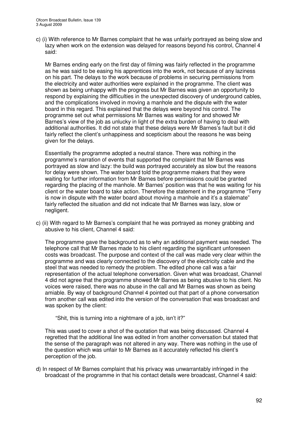c) (i) With reference to Mr Barnes complaint that he was unfairly portrayed as being slow and lazy when work on the extension was delayed for reasons beyond his control, Channel 4 said:

Mr Barnes ending early on the first day of filming was fairly reflected in the programme as he was said to be easing his apprentices into the work, not because of any laziness on his part. The delays to the work because of problems in securing permissions from the electricity and water authorities were explained in the programme. The client was shown as being unhappy with the progress but Mr Barnes was given an opportunity to respond by explaining the difficulties in the unexpected discovery of underground cables, and the complications involved in moving a manhole and the dispute with the water board in this regard. This explained that the delays were beyond his control. The programme set out what permissions Mr Barnes was waiting for and showed Mr Barnes's view of the job as unlucky in light of the extra burden of having to deal with additional authorities. It did not state that these delays were Mr Barnes's fault but it did fairly reflect the client's unhappiness and scepticism about the reasons he was being given for the delays.

Essentially the programme adopted a neutral stance. There was nothing in the programme's narration of events that supported the complaint that Mr Barnes was portrayed as slow and lazy: the build was portrayed accurately as slow but the reasons for delay were shown. The water board told the programme makers that they were waiting for further information from Mr Barnes before permissions could be granted regarding the placing of the manhole. Mr Barnes' position was that he was waiting for his client or the water board to take action. Therefore the statement in the programme "Terry is now in dispute with the water board about moving a manhole and it's a stalemate" fairly reflected the situation and did not indicate that Mr Barnes was lazy, slow or negligent.

c) (ii) With regard to Mr Barnes's complaint that he was portrayed as money grabbing and abusive to his client, Channel 4 said:

The programme gave the background as to why an additional payment was needed. The telephone call that Mr Barnes made to his client regarding the significant unforeseen costs was broadcast. The purpose and context of the call was made very clear within the programme and was clearly connected to the discovery of the electricity cable and the steel that was needed to remedy the problem. The edited phone call was a fair representation of the actual telephone conversation. Given what was broadcast, Channel 4 did not agree that the programme showed Mr Barnes as being abusive to his client. No voices were raised, there was no abuse in the call and Mr Barnes was shown as being amiable. By way of background Channel 4 pointed out that part of a phone conversation from another call was edited into the version of the conversation that was broadcast and was spoken by the client:

"Shit, this is turning into a nightmare of a job, isn't it?"

This was used to cover a shot of the quotation that was being discussed. Channel 4 regretted that the additional line was edited in from another conversation but stated that the sense of the paragraph was not altered in any way. There was nothing in the use of the question which was unfair to Mr Barnes as it accurately reflected his client's perception of the job.

d) In respect of Mr Barnes complaint that his privacy was unwarrantably infringed in the broadcast of the programme in that his contact details were broadcast, Channel 4 said: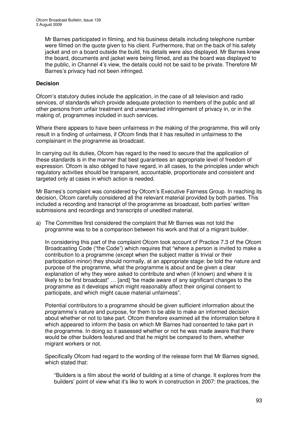Mr Barnes participated in filming, and his business details including telephone number were filmed on the quote given to his client. Furthermore, that on the back of his safety jacket and on a board outside the build, his details were also displayed. Mr Barnes knew the board, documents and jacket were being filmed, and as the board was displayed to the public, in Channel 4's view, the details could not be said to be private. Therefore Mr Barnes's privacy had not been infringed.

## **Decision**

Ofcom's statutory duties include the application, in the case of all television and radio services, of standards which provide adequate protection to members of the public and all other persons from unfair treatment and unwarranted infringement of privacy in, or in the making of, programmes included in such services.

Where there appears to have been unfairness in the making of the programme, this will only result in a finding of unfairness, if Ofcom finds that it has resulted in unfairness to the complainant in the programme as broadcast.

In carrying out its duties, Ofcom has regard to the need to secure that the application of these standards is in the manner that best guarantees an appropriate level of freedom of expression. Ofcom is also obliged to have regard, in all cases, to the principles under which regulatory activities should be transparent, accountable, proportionate and consistent and targeted only at cases in which action is needed.

Mr Barnes's complaint was considered by Ofcom's Executive Fairness Group. In reaching its decision, Ofcom carefully considered all the relevant material provided by both parties. This included a recording and transcript of the programme as broadcast, both parties' written submissions and recordings and transcripts of unedited material.

a) The Committee first considered the complaint that Mr Barnes was not told the programme was to be a comparison between his work and that of a migrant builder.

In considering this part of the complaint Ofcom took account of Practice 7.3 of the Ofcom Broadcasting Code ("the Code") which requires that "where a person is invited to make a contribution to a programme (except when the subject matter is trivial or their participation minor) they should normally, at an appropriate stage: be told the nature and purpose of the programme, what the programme is about and be given a clear explanation of why they were asked to contribute and when (if known) and where it is likely to be first broadcast" … [and] "be made aware of any significant changes to the programme as it develops which might reasonably affect their original consent to participate, and which might cause material unfairness".

Potential contributors to a programme should be given sufficient information about the programme's nature and purpose, for them to be able to make an informed decision about whether or not to take part. Ofcom therefore examined all the information before it which appeared to inform the basis on which Mr Barnes had consented to take part in the programme. In doing so it assessed whether or not he was made aware that there would be other builders featured and that he might be compared to them, whether migrant workers or not.

Specifically Ofcom had regard to the wording of the release form that Mr Barnes signed, which stated that:

"Builders is a film about the world of building at a time of change. It explores from the builders' point of view what it's like to work in construction in 2007: the practices, the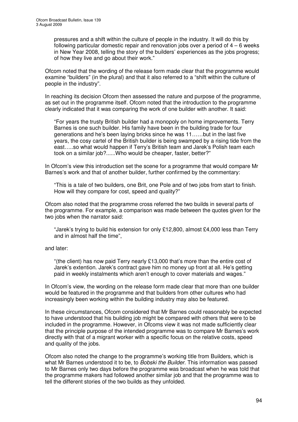pressures and a shift within the culture of people in the industry. It will do this by following particular domestic repair and renovation jobs over a period of  $4 - 6$  weeks in New Year 2008, telling the story of the builders' experiences as the jobs progress; of how they live and go about their work."

Ofcom noted that the wording of the release form made clear that the programme would examine "builders" (in the plural) and that it also referred to a "shift within the culture of people in the industry".

In reaching its decision Ofcom then assessed the nature and purpose of the programme, as set out in the programme itself. Ofcom noted that the introduction to the programme clearly indicated that it was comparing the work of one builder with another. It said:

"For years the trusty British builder had a monopoly on home improvements. Terry Barnes is one such builder. His family have been in the building trade for four generations and he's been laying bricks since he was 11……but in the last five years, the cosy cartel of the British builder is being swamped by a rising tide from the east…..so what would happen if Terry's British team and Jarek's Polish team each took on a similar job?......Who would be cheaper, faster, better?"

In Ofcom's view this introduction set the scene for a programme that would compare Mr Barnes's work and that of another builder, further confirmed by the commentary:

"This is a tale of two builders, one Brit, one Pole and of two jobs from start to finish. How will they compare for cost, speed and quality?"

Ofcom also noted that the programme cross referred the two builds in several parts of the programme. For example, a comparison was made between the quotes given for the two jobs when the narrator said:

"Jarek's trying to build his extension for only £12,800, almost £4,000 less than Terry and in almost half the time",

#### and later:

"(the client) has now paid Terry nearly £13,000 that's more than the entire cost of Jarek's extention. Jarek's contract gave him no money up front at all. He's getting paid in weekly instalments which aren't enough to cover materials and wages."

In Ofcom's view, the wording on the release form made clear that more than one builder would be featured in the programme and that builders from other cultures who had increasingly been working within the building industry may also be featured.

In these circumstances, Ofcom considered that Mr Barnes could reasonably be expected to have understood that his building job might be compared with others that were to be included in the programme. However, in Ofcoms view it was not made sufficiently clear that the principle purpose of the intended programme was to compare Mr Barnes's work directly with that of a migrant worker with a specific focus on the relative costs, speed and quality of the jobs.

Ofcom also noted the change to the programme's working title from Builders, which is what Mr Barnes understood it to be, to *Bobski the Builder*. This information was passed to Mr Barnes only two days before the programme was broadcast when he was told that the programme makers had followed another similar job and that the programme was to tell the different stories of the two builds as they unfolded.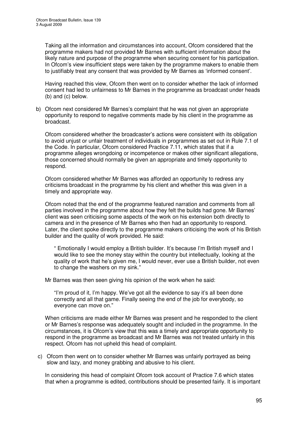Taking all the information and circumstances into account, Ofcom considered that the programme makers had not provided Mr Barnes with sufficient information about the likely nature and purpose of the programme when securing consent for his participation. In Ofcom's view insufficient steps were taken by the programme makers to enable them to justifiably treat any consent that was provided by Mr Barnes as 'informed consent'.

Having reached this view, Ofcom then went on to consider whether the lack of informed consent had led to unfairness to Mr Barnes in the programme as broadcast under heads (b) and (c) below.

b) Ofcom next considered Mr Barnes's complaint that he was not given an appropriate opportunity to respond to negative comments made by his client in the programme as broadcast.

Ofcom considered whether the broadcaster's actions were consistent with its obligation to avoid unjust or unfair treatment of individuals in programmes as set out in Rule 7.1 of the Code. In particular, Ofcom considered Practice 7.11, which states that if a programme alleges wrongdoing or incompetence or makes other significant allegations, those concerned should normally be given an appropriate and timely opportunity to respond.

Ofcom considered whether Mr Barnes was afforded an opportunity to redress any criticisms broadcast in the programme by his client and whether this was given in a timely and appropriate way.

Ofcom noted that the end of the programme featured narration and comments from all parties involved in the programme about how they felt the builds had gone. Mr Barnes' client was seen criticising some aspects of the work on his extension both directly to camera and in the presence of Mr Barnes who then had an opportunity to respond. Later, the client spoke directly to the programme makers criticising the work of his British builder and the quality of work provided. He said:

" Emotionally I would employ a British builder. It's because I'm British myself and I would like to see the money stay within the country but intellectually, looking at the quality of work that he's given me, I would never, ever use a British builder, not even to change the washers on my sink."

Mr Barnes was then seen giving his opinion of the work when he said:

"I'm proud of it, I'm happy. We've got all the evidence to say it's all been done correctly and all that game. Finally seeing the end of the job for everybody, so everyone can move on."

When criticisms are made either Mr Barnes was present and he responded to the client or Mr Barnes's response was adequately sought and included in the programme. In the circumstances, it is Ofcom's view that this was a timely and appropriate opportunity to respond in the programme as broadcast and Mr Barnes was not treated unfairly in this respect. Ofcom has not upheld this head of complaint.

c) Ofcom then went on to consider whether Mr Barnes was unfairly portrayed as being slow and lazy, and money grabbing and abusive to his client.

In considering this head of complaint Ofcom took account of Practice 7.6 which states that when a programme is edited, contributions should be presented fairly. It is important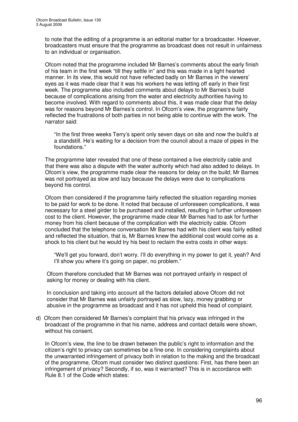to note that the editing of a programme is an editorial matter for a broadcaster. However, broadcasters must ensure that the programme as broadcast does not result in unfairness to an individual or organisation.

Ofcom noted that the programme included Mr Barnes's comments about the early finish of his team in the first week "till they settle in" and this was made in a light hearted manner. In its view, this would not have reflected badly on Mr Barnes in the viewers' eyes as it was made clear that it was his workers he was letting off early in their first week. The programme also included comments about delays to Mr Barnes's build because of complications arising from the water and electricity authorities having to become involved. With regard to comments about this, it was made clear that the delay was for reasons beyond Mr Barnes's control. In Ofcom's view, the programme fairly reflected the frustrations of both parties in not being able to continue with the work. The narrator said:

"In the first three weeks Terry's spent only seven days on site and now the build's at a standstill. He's waiting for a decision from the council about a maze of pipes in the foundations."

The programme later revealed that one of these contained a live electricity cable and that there was also a dispute with the water authority which had also added to delays. In Ofcom's view, the programme made clear the reasons for delay on the build; Mr Barnes was not portrayed as slow and lazy because the delays were due to complications beyond his control.

Ofcom then considered if the programme fairly reflected the situation regarding monies to be paid for work to be done. It noted that because of unforeseen complications, it was necessary for a steel girder to be purchased and installed, resulting in further unforeseen cost to the client. However, the programme made clear Mr Barnes had to ask for further money from his client because of the complication with the electricity cable. Ofcom concluded that the telephone conversation Mr Barnes had with his client was fairly edited and reflected the situation, that is, Mr Barnes knew the additional cost would come as a shock to his client but he would try his best to reclaim the extra costs in other ways:

"We'll get you forward, don't worry. I'll do everything in my power to get it, yeah? And I'll show you where it's going on paper, no problem."

Ofcom therefore concluded that Mr Barnes was not portrayed unfairly in respect of asking for money or dealing with his client.

In conclusion and taking into account all the factors detailed above Ofcom did not consider that Mr Barnes was unfairly portrayed as slow, lazy, money grabbing or abusive in the programme as broadcast and it has not upheld this head of complaint.

d) Ofcom then considered Mr Barnes's complaint that his privacy was infringed in the broadcast of the programme in that his name, address and contact details were shown, without his consent.

In Ofcom's view, the line to be drawn between the public's right to information and the citizen's right to privacy can sometimes be a fine one. In considering complaints about the unwarranted infringement of privacy both in relation to the making and the broadcast of the programme, Ofcom must consider two distinct questions: First, has there been an infringement of privacy? Secondly, if so, was it warranted? This is in accordance with Rule 8.1 of the Code which states: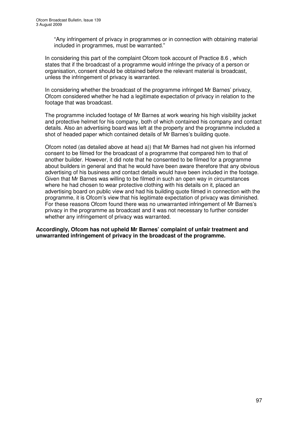"Any infringement of privacy in programmes or in connection with obtaining material included in programmes, must be warranted."

In considering this part of the complaint Ofcom took account of Practice 8.6 , which states that if the broadcast of a programme would infringe the privacy of a person or organisation, consent should be obtained before the relevant material is broadcast, unless the infringement of privacy is warranted.

In considering whether the broadcast of the programme infringed Mr Barnes' privacy, Ofcom considered whether he had a legitimate expectation of privacy in relation to the footage that was broadcast.

The programme included footage of Mr Barnes at work wearing his high visibility jacket and protective helmet for his company, both of which contained his company and contact details. Also an advertising board was left at the property and the programme included a shot of headed paper which contained details of Mr Barnes's building quote.

Ofcom noted (as detailed above at head a)) that Mr Barnes had not given his informed consent to be filmed for the broadcast of a programme that compared him to that of another builder. However, it did note that he consented to be filmed for a programme about builders in general and that he would have been aware therefore that any obvious advertising of his business and contact details would have been included in the footage. Given that Mr Barnes was willing to be filmed in such an open way in circumstances where he had chosen to wear protective clothing with his details on it, placed an advertising board on public view and had his building quote filmed in connection with the programme, it is Ofcom's view that his legitimate expectation of privacy was diminished. For these reasons Ofcom found there was no unwarranted infringement of Mr Barnes's privacy in the programme as broadcast and it was not necessary to further consider whether any infringement of privacy was warranted.

**Accordingly, Ofcom has not upheld Mr Barnes' complaint of unfair treatment and unwarranted infringement of privacy in the broadcast of the programme.**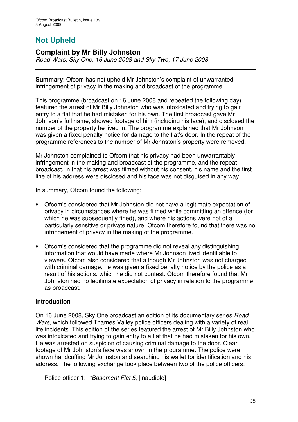# **Not Upheld**

# **Complaint by Mr Billy Johnston**

*Road Wars, Sky One, 16 June 2008 and Sky Two, 17 June 2008*

**Summary**: Ofcom has not upheld Mr Johnston's complaint of unwarranted infringement of privacy in the making and broadcast of the programme.

This programme (broadcast on 16 June 2008 and repeated the following day) featured the arrest of Mr Billy Johnston who was intoxicated and trying to gain entry to a flat that he had mistaken for his own. The first broadcast gave Mr Johnson's full name, showed footage of him (including his face), and disclosed the number of the property he lived in. The programme explained that Mr Johnson was given a fixed penalty notice for damage to the flat's door. In the repeat of the programme references to the number of Mr Johnston's property were removed.

Mr Johnston complained to Ofcom that his privacy had been unwarrantably infringement in the making and broadcast of the programme, and the repeat broadcast, in that his arrest was filmed without his consent, his name and the first line of his address were disclosed and his face was not disguised in any way.

In summary, Ofcom found the following:

- Ofcom's considered that Mr Johnston did not have a legitimate expectation of privacy in circumstances where he was filmed while committing an offence (for which he was subsequently fined), and where his actions were not of a particularly sensitive or private nature. Ofcom therefore found that there was no infringement of privacy in the making of the programme.
- Ofcom's considered that the programme did not reveal any distinguishing information that would have made where Mr Johnson lived identifiable to viewers. Ofcom also considered that although Mr Johnston was not charged with criminal damage, he was given a fixed penalty notice by the police as a result of his actions, which he did not contest. Ofcom therefore found that Mr Johnston had no legitimate expectation of privacy in relation to the programme as broadcast.

## **Introduction**

On 16 June 2008, Sky One broadcast an edition of its documentary series *Road Wars*, which followed Thames Valley police officers dealing with a variety of real life incidents. This edition of the series featured the arrest of Mr Billy Johnston who was intoxicated and trying to gain entry to a flat that he had mistaken for his own. He was arrested on suspicion of causing criminal damage to the door. Clear footage of Mr Johnston's face was shown in the programme. The police were shown handcuffing Mr Johnston and searching his wallet for identification and his address. The following exchange took place between two of the police officers:

Police officer 1: *"Basement Flat 5*, [inaudible]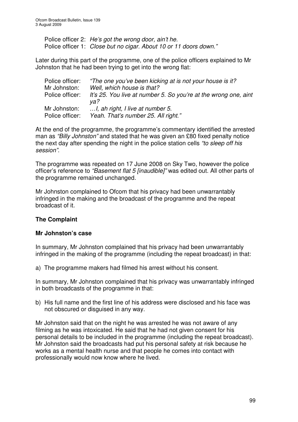Police officer 2: *He's got the wrong door, ain't he.* Police officer 1: *Close but no cigar. About 10 or 11 doors down."*

Later during this part of the programme, one of the police officers explained to Mr Johnston that he had been trying to get into the wrong flat:

| Police officer:<br>Mr Johnston: | "The one you've been kicking at is not your house is it?<br>Well, which house is that? |
|---------------------------------|----------------------------------------------------------------------------------------|
| Police officer:                 | It's 25. You live at number 5. So you're at the wrong one, aint                        |
|                                 | va?                                                                                    |
| Mr Johnston:                    | , ah right, I live at number 5.                                                        |
| Police officer:                 | Yeah. That's number 25. All right."                                                    |
|                                 |                                                                                        |

At the end of the programme, the programme's commentary identified the arrested man as *"Billy Johnston"* and stated that he was given an £80 fixed penalty notice the next day after spending the night in the police station cells *"to sleep off his session"*.

The programme was repeated on 17 June 2008 on Sky Two, however the police officer's reference to *"Basement flat 5 [inaudible]"* was edited out. All other parts of the programme remained unchanged.

Mr Johnston complained to Ofcom that his privacy had been unwarrantably infringed in the making and the broadcast of the programme and the repeat broadcast of it.

# **The Complaint**

# **Mr Johnston's case**

In summary, Mr Johnston complained that his privacy had been unwarrantably infringed in the making of the programme (including the repeat broadcast) in that:

a) The programme makers had filmed his arrest without his consent.

In summary, Mr Johnston complained that his privacy was unwarrantably infringed in both broadcasts of the programme in that:

b) His full name and the first line of his address were disclosed and his face was not obscured or disguised in any way.

Mr Johnston said that on the night he was arrested he was not aware of any filming as he was intoxicated. He said that he had not given consent for his personal details to be included in the programme (including the repeat broadcast). Mr Johnston said the broadcasts had put his personal safety at risk because he works as a mental health nurse and that people he comes into contact with professionally would now know where he lived.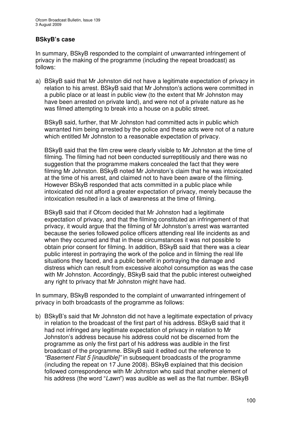## **BSkyB's case**

In summary, BSkyB responded to the complaint of unwarranted infringement of privacy in the making of the programme (including the repeat broadcast) as follows:

a) BSkyB said that Mr Johnston did not have a legitimate expectation of privacy in relation to his arrest. BSkyB said that Mr Johnston's actions were committed in a public place or at least in public view (to the extent that Mr Johnston may have been arrested on private land), and were not of a private nature as he was filmed attempting to break into a house on a public street.

BSkyB said, further, that Mr Johnston had committed acts in public which warranted him being arrested by the police and these acts were not of a nature which entitled Mr Johnston to a reasonable expectation of privacy.

BSkyB said that the film crew were clearly visible to Mr Johnston at the time of filming. The filming had not been conducted surreptitiously and there was no suggestion that the programme makers concealed the fact that they were filming Mr Johnston. BSkyB noted Mr Johnston's claim that he was intoxicated at the time of his arrest, and claimed not to have been aware of the filming. However BSkyB responded that acts committed in a public place while intoxicated did not afford a greater expectation of privacy, merely because the intoxication resulted in a lack of awareness at the time of filming.

BSkyB said that if Ofcom decided that Mr Johnston had a legitimate expectation of privacy, and that the filming constituted an infringement of that privacy, it would argue that the filming of Mr Johnston's arrest was warranted because the series followed police officers attending real life incidents as and when they occurred and that in these circumstances it was not possible to obtain prior consent for filming. In addition, BSkyB said that there was a clear public interest in portraying the work of the police and in filming the real life situations they faced, and a public benefit in portraying the damage and distress which can result from excessive alcohol consumption as was the case with Mr Johnston. Accordingly, BSkyB said that the public interest outweighed any right to privacy that Mr Johnston might have had.

In summary, BSkyB responded to the complaint of unwarranted infringement of privacy in both broadcasts of the programme as follows:

b) BSkyB's said that Mr Johnston did not have a legitimate expectation of privacy in relation to the broadcast of the first part of his address. BSkyB said that it had not infringed any legitimate expectation of privacy in relation to Mr Johnston's address because his address could not be discerned from the programme as only the first part of his address was audible in the first broadcast of the programme. BSkyB said it edited out the reference to *"Basement Flat 5 [inaudible]"* in subsequent broadcasts of the programme (including the repeat on 17 June 2008). BSkyB explained that this decision followed correspondence with Mr Johnston who said that another element of his address (the word "*Lawn*") was audible as well as the flat number. BSkyB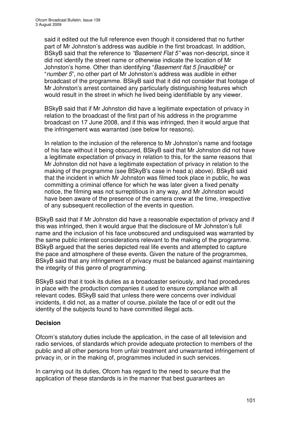said it edited out the full reference even though it considered that no further part of Mr Johnston's address was audible in the first broadcast. In addition, BSkyB said that the reference to *"Basement Flat 5"* was non-descript, since it did not identify the street name or otherwise indicate the location of Mr Johnston's home. Other than identifying "*Basement flat 5 [inaudible]*" or "*number 5*", no other part of Mr Johnston's address was audible in either broadcast of the programme. BSkyB said that it did not consider that footage of Mr Johnston's arrest contained any particularly distinguishing features which would result in the street in which he lived being identifiable by any viewer.

BSkyB said that if Mr Johnston did have a legitimate expectation of privacy in relation to the broadcast of the first part of his address in the programme broadcast on 17 June 2008, and if this was infringed, then it would argue that the infringement was warranted (see below for reasons).

In relation to the inclusion of the reference to Mr Johnston's name and footage of his face without it being obscured, BSkyB said that Mr Johnston did not have a legitimate expectation of privacy in relation to this, for the same reasons that Mr Johnston did not have a legitimate expectation of privacy in relation to the making of the programme (see BSkyB's case in head a) above). BSkyB said that the incident in which Mr Johnston was filmed took place in public, he was committing a criminal offence for which he was later given a fixed penalty notice, the filming was not surreptitious in any way, and Mr Johnston would have been aware of the presence of the camera crew at the time, irrespective of any subsequent recollection of the events in question.

BSkyB said that if Mr Johnston did have a reasonable expectation of privacy and if this was infringed, then it would argue that the disclosure of Mr Johnston's full name and the inclusion of his face unobscured and undisguised was warranted by the same public interest considerations relevant to the making of the programme. BSkyB argued that the series depicted real life events and attempted to capture the pace and atmosphere of these events. Given the nature of the programmes, BSkyB said that any infringement of privacy must be balanced against maintaining the integrity of this genre of programming.

BSkyB said that it took its duties as a broadcaster seriously, and had procedures in place with the production companies it used to ensure compliance with all relevant codes. BSkyB said that unless there were concerns over individual incidents, it did not, as a matter of course, pixilate the face of or edit out the identity of the subjects found to have committed illegal acts.

# **Decision**

Ofcom's statutory duties include the application, in the case of all television and radio services, of standards which provide adequate protection to members of the public and all other persons from unfair treatment and unwarranted infringement of privacy in, or in the making of, programmes included in such services.

In carrying out its duties, Ofcom has regard to the need to secure that the application of these standards is in the manner that best guarantees an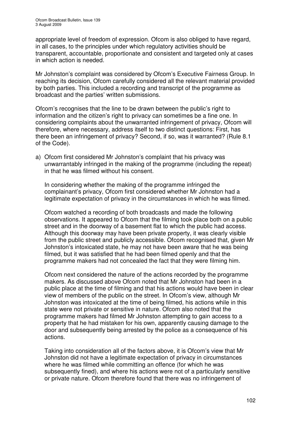appropriate level of freedom of expression. Ofcom is also obliged to have regard, in all cases, to the principles under which regulatory activities should be transparent, accountable, proportionate and consistent and targeted only at cases in which action is needed.

Mr Johnston's complaint was considered by Ofcom's Executive Fairness Group. In reaching its decision, Ofcom carefully considered all the relevant material provided by both parties. This included a recording and transcript of the programme as broadcast and the parties' written submissions.

Ofcom's recognises that the line to be drawn between the public's right to information and the citizen's right to privacy can sometimes be a fine one. In considering complaints about the unwarranted infringement of privacy, Ofcom will therefore, where necessary, address itself to two distinct questions: First, has there been an infringement of privacy? Second, if so, was it warranted? (Rule 8.1 of the Code).

a) Ofcom first considered Mr Johnston's complaint that his privacy was unwarrantably infringed in the making of the programme (including the repeat) in that he was filmed without his consent.

In considering whether the making of the programme infringed the complainant's privacy, Ofcom first considered whether Mr Johnston had a legitimate expectation of privacy in the circumstances in which he was filmed.

Ofcom watched a recording of both broadcasts and made the following observations. It appeared to Ofcom that the filming took place both on a public street and in the doorway of a basement flat to which the public had access. Although this doorway may have been private property, it was clearly visible from the public street and publicly accessible. Ofcom recognised that, given Mr Johnston's intoxicated state, he may not have been aware that he was being filmed, but it was satisfied that he had been filmed openly and that the programme makers had not concealed the fact that they were filming him.

Ofcom next considered the nature of the actions recorded by the programme makers. As discussed above Ofcom noted that Mr Johnston had been in a public place at the time of filming and that his actions would have been in clear view of members of the public on the street. In Ofcom's view, although Mr Johnston was intoxicated at the time of being filmed, his actions while in this state were not private or sensitive in nature. Ofcom also noted that the programme makers had filmed Mr Johnston attempting to gain access to a property that he had mistaken for his own, apparently causing damage to the door and subsequently being arrested by the police as a consequence of his actions.

Taking into consideration all of the factors above, it is Ofcom's view that Mr Johnston did not have a legitimate expectation of privacy in circumstances where he was filmed while committing an offence (for which he was subsequently fined), and where his actions were not of a particularly sensitive or private nature. Ofcom therefore found that there was no infringement of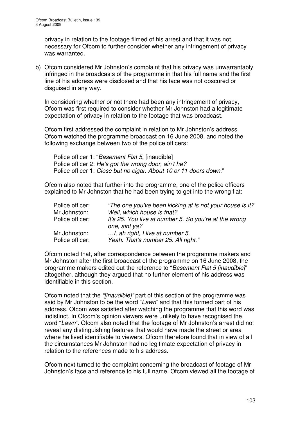privacy in relation to the footage filmed of his arrest and that it was not necessary for Ofcom to further consider whether any infringement of privacy was warranted.

b) Ofcom considered Mr Johnston's complaint that his privacy was unwarrantably infringed in the broadcasts of the programme in that his full name and the first line of his address were disclosed and that his face was not obscured or disguised in any way.

In considering whether or not there had been any infringement of privacy, Ofcom was first required to consider whether Mr Johnston had a legitimate expectation of privacy in relation to the footage that was broadcast.

Ofcom first addressed the complaint in relation to Mr Johnston's address. Ofcom watched the programme broadcast on 16 June 2008, and noted the following exchange between two of the police officers:

Police officer 1: "*Basement Flat 5*, [inaudible] Police officer 2: *He's got the wrong door, ain't he?* Police officer 1: *Close but no cigar. About 10 or 11 doors down*."

Ofcom also noted that further into the programme, one of the police officers explained to Mr Johnston that he had been trying to get into the wrong flat:

| Police officer:                 | "The one you've been kicking at is not your house is it?               |
|---------------------------------|------------------------------------------------------------------------|
| Mr Johnston:                    | Well, which house is that?                                             |
| Police officer:                 | It's 25. You live at number 5. So you're at the wrong<br>one, aint ya? |
| Mr Johnston:<br>Police officer: | , ah right, I live at number 5.<br>Yeah. That's number 25. All right." |

Ofcom noted that, after correspondence between the programme makers and Mr Johnston after the first broadcast of the programme on 16 June 2008, the programme makers edited out the reference to "*Basement Flat 5 [inaudible]*" altogether, although they argued that no further element of his address was identifiable in this section.

Ofcom noted that the *"[inaudible]"* part of this section of the programme was said by Mr Johnston to be the word "*Lawn*" and that this formed part of his address. Ofcom was satisfied after watching the programme that this word was indistinct. In Ofcom's opinion viewers were unlikely to have recognised the word "*Lawn*". Ofcom also noted that the footage of Mr Johnston's arrest did not reveal any distinguishing features that would have made the street or area where he lived identifiable to viewers. Ofcom therefore found that in view of all the circumstances Mr Johnston had no legitimate expectation of privacy in relation to the references made to his address.

Ofcom next turned to the complaint concerning the broadcast of footage of Mr Johnston's face and reference to his full name. Ofcom viewed all the footage of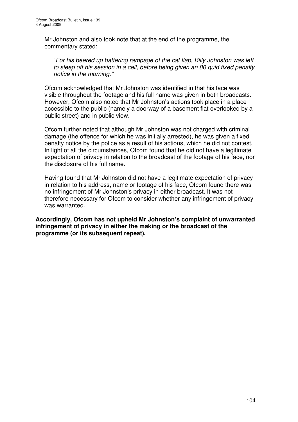Mr Johnston and also took note that at the end of the programme, the commentary stated:

"*For his beered up battering rampage of the cat flap, Billy Johnston was left to sleep off his session in a cell, before being given an 80 quid fixed penalty notice in the morning."*

Ofcom acknowledged that Mr Johnston was identified in that his face was visible throughout the footage and his full name was given in both broadcasts. However, Ofcom also noted that Mr Johnston's actions took place in a place accessible to the public (namely a doorway of a basement flat overlooked by a public street) and in public view.

Ofcom further noted that although Mr Johnston was not charged with criminal damage (the offence for which he was initially arrested), he was given a fixed penalty notice by the police as a result of his actions, which he did not contest. In light of all the circumstances, Ofcom found that he did not have a legitimate expectation of privacy in relation to the broadcast of the footage of his face, nor the disclosure of his full name.

Having found that Mr Johnston did not have a legitimate expectation of privacy in relation to his address, name or footage of his face, Ofcom found there was no infringement of Mr Johnston's privacy in either broadcast. It was not therefore necessary for Ofcom to consider whether any infringement of privacy was warranted.

**Accordingly, Ofcom has not upheld Mr Johnston's complaint of unwarranted infringement of privacy in either the making or the broadcast of the programme (or its subsequent repeat).**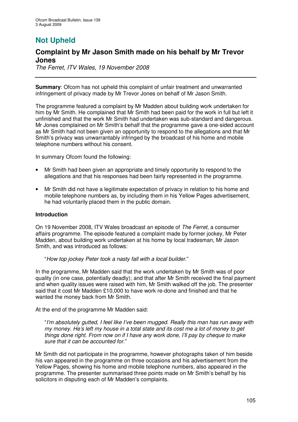# **Not Upheld**

# **Complaint by Mr Jason Smith made on his behalf by Mr Trevor Jones**

*The Ferret, ITV Wales, 19 November 2008*

**Summary**: Ofcom has not upheld this complaint of unfair treatment and unwarranted infringement of privacy made by Mr Trevor Jones on behalf of Mr Jason Smith.

The programme featured a complaint by Mr Madden about building work undertaken for him by Mr Smith. He complained that Mr Smith had been paid for the work in full but left it unfinished and that the work Mr Smith had undertaken was sub-standard and dangerous. Mr Jones complained on Mr Smith's behalf that the programme gave a one-sided account as Mr Smith had not been given an opportunity to respond to the allegations and that Mr Smith's privacy was unwarrantably infringed by the broadcast of his home and mobile telephone numbers without his consent.

In summary Ofcom found the following:

- Mr Smith had been given an appropriate and timely opportunity to respond to the allegations and that his responses had been fairly represented in the programme.
- Mr Smith did not have a legitimate expectation of privacy in relation to his home and mobile telephone numbers as, by including them in his Yellow Pages advertisement, he had voluntarily placed them in the public domain.

## **Introduction**

On 19 November 2008, ITV Wales broadcast an episode of *The Ferret*, a consumer affairs programme. The episode featured a complaint made by former jockey, Mr Peter Madden, about building work undertaken at his home by local tradesman, Mr Jason Smith, and was introduced as follows:

"*How top jockey Peter took a nasty fall with a local builder*."

In the programme, Mr Madden said that the work undertaken by Mr Smith was of poor quality (in one case, potentially deadly); and that after Mr Smith received the final payment and when quality issues were raised with him, Mr Smith walked off the job. The presenter said that it cost Mr Madden £10,000 to have work re-done and finished and that he wanted the money back from Mr Smith.

At the end of the programme Mr Madden said:

"*I'm absolutely gutted, I feel like I've been mugged. Really this man has run away with my money. He's left my house in a total state and its cost me a lot of money to get things done right. From now on if I have any work done, I'll pay by cheque to make sure that it can be accounted for.*"

Mr Smith did not participate in the programme, however photographs taken of him beside his van appeared in the programme on three occasions and his advertisement from the Yellow Pages, showing his home and mobile telephone numbers, also appeared in the programme. The presenter summarised three points made on Mr Smith's behalf by his solicitors in disputing each of Mr Madden's complaints.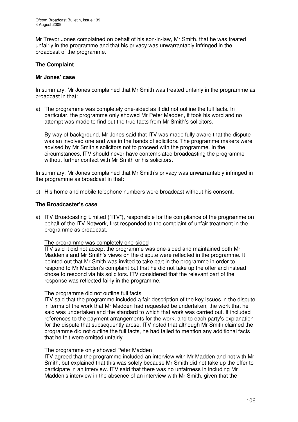Mr Trevor Jones complained on behalf of his son-in-law, Mr Smith, that he was treated unfairly in the programme and that his privacy was unwarrantably infringed in the broadcast of the programme.

## **The Complaint**

#### **Mr Jones' case**

In summary, Mr Jones complained that Mr Smith was treated unfairly in the programme as broadcast in that:

a) The programme was completely one-sided as it did not outline the full facts. In particular, the programme only showed Mr Peter Madden, it took his word and no attempt was made to find out the true facts from Mr Smith's solicitors.

By way of background, Mr Jones said that ITV was made fully aware that the dispute was an involved one and was in the hands of solicitors. The programme makers were advised by Mr Smith's solicitors not to proceed with the programme. In the circumstances, ITV should never have contemplated broadcasting the programme without further contact with Mr Smith or his solicitors.

In summary, Mr Jones complained that Mr Smith's privacy was unwarrantably infringed in the programme as broadcast in that:

b) His home and mobile telephone numbers were broadcast without his consent.

#### **The Broadcaster's case**

a) ITV Broadcasting Limited ("ITV"), responsible for the compliance of the programme on behalf of the ITV Network, first responded to the complaint of unfair treatment in the programme as broadcast.

#### The programme was completely one-sided

ITV said it did not accept the programme was one-sided and maintained both Mr Madden's and Mr Smith's views on the dispute were reflected in the programme. It pointed out that Mr Smith was invited to take part in the programme in order to respond to Mr Madden's complaint but that he did not take up the offer and instead chose to respond via his solicitors. ITV considered that the relevant part of the response was reflected fairly in the programme.

## The programme did not outline full facts

ITV said that the programme included a fair description of the key issues in the dispute in terms of the work that Mr Madden had requested be undertaken, the work that he said was undertaken and the standard to which that work was carried out. It included references to the payment arrangements for the work, and to each party's explanation for the dispute that subsequently arose. ITV noted that although Mr Smith claimed the programme did not outline the full facts, he had failed to mention any additional facts that he felt were omitted unfairly.

## The programme only showed Peter Madden

ITV agreed that the programme included an interview with Mr Madden and not with Mr Smith, but explained that this was solely because Mr Smith did not take up the offer to participate in an interview. ITV said that there was no unfairness in including Mr Madden's interview in the absence of an interview with Mr Smith, given that the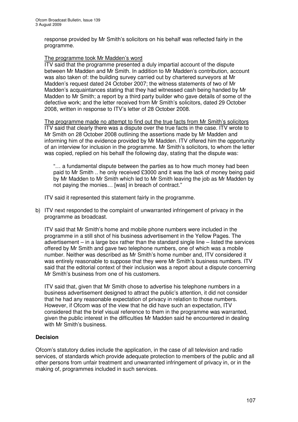response provided by Mr Smith's solicitors on his behalf was reflected fairly in the programme.

## The programme took Mr Madden's word

ITV said that the programme presented a duly impartial account of the dispute between Mr Madden and Mr Smith. In addition to Mr Madden's contribution, account was also taken of: the building survey carried out by chartered surveyors at Mr Madden's request dated 24 October 2007; the witness statements of two of Mr Madden's acquaintances stating that they had witnessed cash being handed by Mr Madden to Mr Smith; a report by a third party builder who gave details of some of the defective work; and the letter received from Mr Smith's solicitors, dated 29 October 2008, written in response to ITV's letter of 28 October 2008.

The programme made no attempt to find out the true facts from Mr Smith's solicitors ITV said that clearly there was a dispute over the true facts in the case. ITV wrote to Mr Smith on 28 October 2008 outlining the assertions made by Mr Madden and informing him of the evidence provided by Mr Madden. ITV offered him the opportunity of an interview for inclusion in the programme. Mr Smith's solicitors, to whom the letter was copied, replied on his behalf the following day, stating that the dispute was:

"… a fundamental dispute between the parties as to how much money had been paid to Mr Smith .. he only received £3000 and it was the lack of money being paid by Mr Madden to Mr Smith which led to Mr Smith leaving the job as Mr Madden by not paying the monies… [was] in breach of contract."

ITV said it represented this statement fairly in the programme.

b) ITV next responded to the complaint of unwarranted infringement of privacy in the programme as broadcast.

ITV said that Mr Smith's home and mobile phone numbers were included in the programme in a still shot of his business advertisement in the Yellow Pages. The advertisement – in a large box rather than the standard single line – listed the services offered by Mr Smith and gave two telephone numbers, one of which was a mobile number. Neither was described as Mr Smith's home number and, ITV considered it was entirely reasonable to suppose that they were Mr Smith's business numbers. ITV said that the editorial context of their inclusion was a report about a dispute concerning Mr Smith's business from one of his customers.

ITV said that, given that Mr Smith chose to advertise his telephone numbers in a business advertisement designed to attract the public's attention, it did not consider that he had any reasonable expectation of privacy in relation to those numbers. However, if Ofcom was of the view that he did have such an expectation, ITV considered that the brief visual reference to them in the programme was warranted, given the public interest in the difficulties Mr Madden said he encountered in dealing with Mr Smith's business.

## **Decision**

Ofcom's statutory duties include the application, in the case of all television and radio services, of standards which provide adequate protection to members of the public and all other persons from unfair treatment and unwarranted infringement of privacy in, or in the making of, programmes included in such services.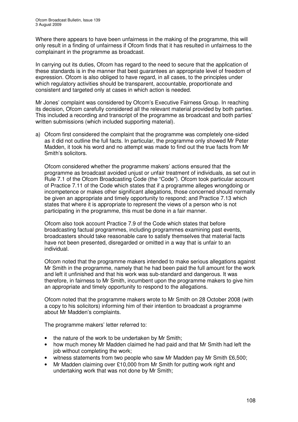Where there appears to have been unfairness in the making of the programme, this will only result in a finding of unfairness if Ofcom finds that it has resulted in unfairness to the complainant in the programme as broadcast.

In carrying out its duties, Ofcom has regard to the need to secure that the application of these standards is in the manner that best guarantees an appropriate level of freedom of expression. Ofcom is also obliged to have regard, in all cases, to the principles under which regulatory activities should be transparent, accountable, proportionate and consistent and targeted only at cases in which action is needed.

Mr Jones' complaint was considered by Ofcom's Executive Fairness Group. In reaching its decision, Ofcom carefully considered all the relevant material provided by both parties. This included a recording and transcript of the programme as broadcast and both parties' written submissions (which included supporting material).

a) Ofcom first considered the complaint that the programme was completely one-sided as it did not outline the full facts. In particular, the programme only showed Mr Peter Madden, it took his word and no attempt was made to find out the true facts from Mr Smith's solicitors.

Ofcom considered whether the programme makers' actions ensured that the programme as broadcast avoided unjust or unfair treatment of individuals, as set out in Rule 7.1 of the Ofcom Broadcasting Code (the "Code"). Ofcom took particular account of Practice 7.11 of the Code which states that if a programme alleges wrongdoing or incompetence or makes other significant allegations, those concerned should normally be given an appropriate and timely opportunity to respond; and Practice 7.13 which states that where it is appropriate to represent the views of a person who is not participating in the programme, this must be done in a fair manner.

Ofcom also took account Practice 7.9 of the Code which states that before broadcasting factual programmes, including programmes examining past events, broadcasters should take reasonable care to satisfy themselves that material facts have not been presented, disregarded or omitted in a way that is unfair to an individual.

Ofcom noted that the programme makers intended to make serious allegations against Mr Smith in the programme, namely that he had been paid the full amount for the work and left it unfinished and that his work was sub-standard and dangerous. It was therefore, in fairness to Mr Smith, incumbent upon the programme makers to give him an appropriate and timely opportunity to respond to the allegations.

Ofcom noted that the programme makers wrote to Mr Smith on 28 October 2008 (with a copy to his solicitors) informing him of their intention to broadcast a programme about Mr Madden's complaints.

The programme makers' letter referred to:

- the nature of the work to be undertaken by Mr Smith;
- how much money Mr Madden claimed he had paid and that Mr Smith had left the job without completing the work;
- witness statements from two people who saw Mr Madden pay Mr Smith £6,500;
- Mr Madden claiming over £10,000 from Mr Smith for putting work right and undertaking work that was not done by Mr Smith;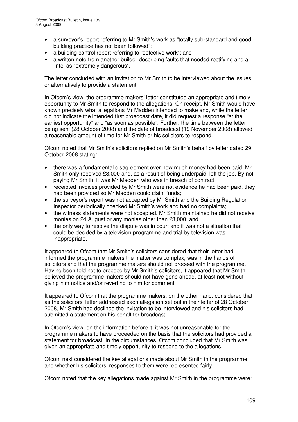- a surveyor's report referring to Mr Smith's work as "totally sub-standard and good building practice has not been followed";
- a building control report referring to "defective work": and
- a written note from another builder describing faults that needed rectifying and a lintel as "extremely dangerous".

The letter concluded with an invitation to Mr Smith to be interviewed about the issues or alternatively to provide a statement.

In Ofcom's view, the programme makers' letter constituted an appropriate and timely opportunity to Mr Smith to respond to the allegations. On receipt, Mr Smith would have known precisely what allegations Mr Madden intended to make and, while the letter did not indicate the intended first broadcast date, it did request a response "at the earliest opportunity" and "as soon as possible". Further, the time between the letter being sent (28 October 2008) and the date of broadcast (19 November 2008) allowed a reasonable amount of time for Mr Smith or his solicitors to respond.

Ofcom noted that Mr Smith's solicitors replied on Mr Smith's behalf by letter dated 29 October 2008 stating:

- there was a fundamental disagreement over how much money had been paid. Mr Smith only received £3,000 and, as a result of being underpaid, left the job. By not paying Mr Smith, it was Mr Madden who was in breach of contract;
- receipted invoices provided by Mr Smith were not evidence he had been paid, they had been provided so Mr Madden could claim funds;
- the surveyor's report was not accepted by Mr Smith and the Building Regulation Inspector periodically checked Mr Smith's work and had no complaints;
- the witness statements were not accepted. Mr Smith maintained he did not receive monies on 24 August or any monies other than £3,000; and
- the only way to resolve the dispute was in court and it was not a situation that could be decided by a television programme and trial by television was inappropriate.

It appeared to Ofcom that Mr Smith's solicitors considered that their letter had informed the programme makers the matter was complex, was in the hands of solicitors and that the programme makers should not proceed with the programme. Having been told not to proceed by Mr Smith's solicitors, it appeared that Mr Smith believed the programme makers should not have gone ahead, at least not without giving him notice and/or reverting to him for comment.

It appeared to Ofcom that the programme makers, on the other hand, considered that as the solicitors' letter addressed each allegation set out in their letter of 28 October 2008, Mr Smith had declined the invitation to be interviewed and his solicitors had submitted a statement on his behalf for broadcast.

In Ofcom's view, on the information before it, it was not unreasonable for the programme makers to have proceeded on the basis that the solicitors had provided a statement for broadcast. In the circumstances, Ofcom concluded that Mr Smith was given an appropriate and timely opportunity to respond to the allegations.

Ofcom next considered the key allegations made about Mr Smith in the programme and whether his solicitors' responses to them were represented fairly.

Ofcom noted that the key allegations made against Mr Smith in the programme were: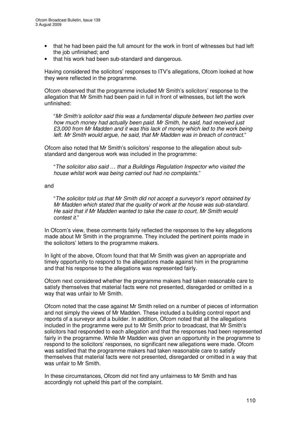- that he had been paid the full amount for the work in front of witnesses but had left the job unfinished; and
- that his work had been sub-standard and dangerous.

Having considered the solicitors' responses to ITV's allegations, Ofcom looked at how they were reflected in the programme.

Ofcom observed that the programme included Mr Smith's solicitors' response to the allegation that Mr Smith had been paid in full in front of witnesses, but left the work unfinished:

"*Mr Smith's solicitor said this was a fundamental dispute between two parties over how much money had actually been paid. Mr Smith, he said, had received just £3,000 from Mr Madden and it was this lack of money which led to the work being left*. *Mr Smith would argue, he said, that Mr Madden was in breach of contract*."

Ofcom also noted that Mr Smith's solicitors' response to the allegation about substandard and dangerous work was included in the programme:

"*The solicitor also said … that a Buildings Regulation Inspector who visited the house whilst work was being carried out had no complaints*."

and

"*The solicitor told us that Mr Smith did not accept a surveyor's report obtained by Mr Madden which stated that the quality of work at the house was sub-standard. He said that if Mr Madden wanted to take the case to court, Mr Smith would contest it*."

In Ofcom's view, these comments fairly reflected the responses to the key allegations made about Mr Smith in the programme. They included the pertinent points made in the solicitors' letters to the programme makers.

In light of the above, Ofcom found that that Mr Smith was given an appropriate and timely opportunity to respond to the allegations made against him in the programme and that his response to the allegations was represented fairly.

Ofcom next considered whether the programme makers had taken reasonable care to satisfy themselves that material facts were not presented, disregarded or omitted in a way that was unfair to Mr Smith.

Ofcom noted that the case against Mr Smith relied on a number of pieces of information and not simply the views of Mr Madden. These included a building control report and reports of a surveyor and a builder. In addition, Ofcom noted that all the allegations included in the programme were put to Mr Smith prior to broadcast, that Mr Smith's solicitors had responded to each allegation and that the responses had been represented fairly in the programme. While Mr Madden was given an opportunity in the programme to respond to the solicitors' responses, no significant new allegations were made. Ofcom was satisfied that the programme makers had taken reasonable care to satisfy themselves that material facts were not presented, disregarded or omitted in a way that was unfair to Mr Smith.

In these circumstances, Ofcom did not find any unfairness to Mr Smith and has accordingly not upheld this part of the complaint.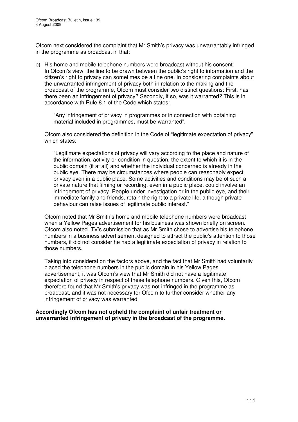Ofcom next considered the complaint that Mr Smith's privacy was unwarrantably infringed in the programme as broadcast in that:

b) His home and mobile telephone numbers were broadcast without his consent. In Ofcom's view, the line to be drawn between the public's right to information and the citizen's right to privacy can sometimes be a fine one. In considering complaints about the unwarranted infringement of privacy both in relation to the making and the broadcast of the programme, Ofcom must consider two distinct questions: First, has there been an infringement of privacy? Secondly, if so, was it warranted? This is in accordance with Rule 8.1 of the Code which states:

"Any infringement of privacy in programmes or in connection with obtaining material included in programmes, must be warranted".

Ofcom also considered the definition in the Code of "legitimate expectation of privacy" which states:

"Legitimate expectations of privacy will vary according to the place and nature of the information, activity or condition in question, the extent to which it is in the public domain (if at all) and whether the individual concerned is already in the public eye. There may be circumstances where people can reasonably expect privacy even in a public place. Some activities and conditions may be of such a private nature that filming or recording, even in a public place, could involve an infringement of privacy. People under investigation or in the public eye, and their immediate family and friends, retain the right to a private life, although private behaviour can raise issues of legitimate public interest."

Ofcom noted that Mr Smith's home and mobile telephone numbers were broadcast when a Yellow Pages advertisement for his business was shown briefly on screen. Ofcom also noted ITV's submission that as Mr Smith chose to advertise his telephone numbers in a business advertisement designed to attract the public's attention to those numbers, it did not consider he had a legitimate expectation of privacy in relation to those numbers.

Taking into consideration the factors above, and the fact that Mr Smith had voluntarily placed the telephone numbers in the public domain in his Yellow Pages advertisement, it was Ofcom's view that Mr Smith did not have a legitimate expectation of privacy in respect of these telephone numbers. Given this, Ofcom therefore found that Mr Smith's privacy was not infringed in the programme as broadcast, and it was not necessary for Ofcom to further consider whether any infringement of privacy was warranted.

**Accordingly Ofcom has not upheld the complaint of unfair treatment or unwarranted infringement of privacy in the broadcast of the programme.**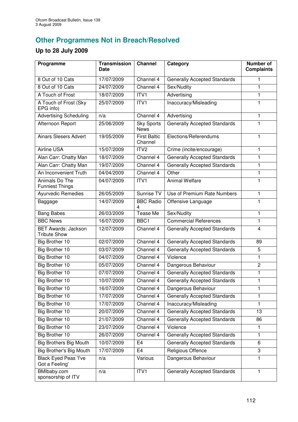## **Other Programmes Not in Breach/Resolved**

## **Up to 28 July 2009**

| Programme                                         | <b>Transmission</b><br>Date | <b>Channel</b>                   | Category                            | <b>Number of</b><br><b>Complaints</b> |
|---------------------------------------------------|-----------------------------|----------------------------------|-------------------------------------|---------------------------------------|
| 8 Out of 10 Cats                                  | 17/07/2009                  | Channel 4                        | <b>Generally Accepted Standards</b> | 1                                     |
| 8 Out of 10 Cats                                  | 24/07/2009                  | Channel 4                        | Sex/Nudity                          | 1                                     |
| A Touch of Frost                                  | 18/07/2009                  | ITVI                             | Advertising                         | $\blacksquare$                        |
| A Touch of Frost (Sky<br>EPG info)                | 25/07/2009                  | ITV1                             | Inaccuracy/Misleading               | $\mathbf{1}$                          |
| <b>Advertising Scheduling</b>                     | n/a                         | Channel 4                        | Advertising                         | $\mathbf{1}$                          |
| Afternoon Report                                  | 25/06/2009                  | <b>Sky Sports</b><br><b>News</b> | <b>Generally Accepted Standards</b> | 1                                     |
| <b>Ainars Slesers Advert</b>                      | 19/05/2009                  | <b>First Baltic</b><br>Channel   | Elections/Referendums               | 1                                     |
| <b>Airline USA</b>                                | 15/07/2009                  | ITV <sub>2</sub>                 | Crime (incite/encourage)            | 1                                     |
| Alan Carr: Chatty Man                             | 18/07/2009                  | Channel 4                        | <b>Generally Accepted Standards</b> | 1                                     |
| Alan Carr: Chatty Man                             | 19/07/2009                  | Channel 4                        | <b>Generally Accepted Standards</b> | 1                                     |
| An Inconvenient Truth                             | 04/04/2009                  | Channel 4                        | Other                               | $\mathbf{1}$                          |
| Animals Do The<br><b>Funniest Things</b>          | 04/07/2009                  | ITV1                             | <b>Animal Welfare</b>               | 1                                     |
| <b>Ayurvedic Remedies</b>                         | 26/05/2009                  | Sunrise TV                       | Use of Premium Rate Numbers         | 1                                     |
| Baggage                                           | 14/07/2009                  | <b>BBC Radio</b>                 | Offensive Language                  | 1                                     |
| <b>Bang Babes</b>                                 | 26/03/2009                  | <b>Tease Me</b>                  | Sex/Nudity                          | 1                                     |
| <b>BBC News</b>                                   | 16/07/2009                  | BBC1                             | <b>Commercial References</b>        | $\blacksquare$                        |
| <b>BET Awards: Jackson</b><br><b>Tribute Show</b> | 12/07/2009                  | Channel 4                        | <b>Generally Accepted Standards</b> | $\overline{4}$                        |
| Big Brother 10                                    | 02/07/2009                  | Channel 4                        | <b>Generally Accepted Standards</b> | 89                                    |
| Big Brother 10                                    | 03/07/2009                  | Channel 4                        | <b>Generally Accepted Standards</b> | 5                                     |
| Big Brother 10                                    | 04/07/2009                  | Channel 4                        | Violence                            | 1                                     |
| Big Brother 10                                    | 05/07/2009                  | Channel 4                        | Dangerous Behaviour                 | $\overline{2}$                        |
| Big Brother 10                                    | 07/07/2009                  | Channel 4                        | <b>Generally Accepted Standards</b> | 1                                     |
| Big Brother 10                                    | 10/07/2009                  | Channel 4                        | <b>Generally Accepted Standards</b> | $\mathbf{1}$                          |
| Big Brother 10                                    | 16/07/2009                  | Channel 4                        | Dangerous Behaviour                 | 1                                     |
| <b>Big Brother 10</b>                             | 17/07/2009                  | Channel 4                        | <b>Generally Accepted Standards</b> | 1                                     |
| Big Brother 10                                    | 17/07/2009                  | Channel 4                        | Inaccuracy/Misleading               | 1                                     |
| <b>Big Brother 10</b>                             | 20/07/2009                  | Channel 4                        | <b>Generally Accepted Standards</b> | 13                                    |
| Big Brother 10                                    | 21/07/2009                  | Channel 4                        | <b>Generally Accepted Standards</b> | 86                                    |
| Big Brother 10                                    | 23/07/2009                  | Channel 4                        | Violence                            | 1                                     |
| <b>Big Brother 10</b>                             | 26/07/2009                  | Channel 4                        | <b>Generally Accepted Standards</b> | 1                                     |
| <b>Big Brothers Big Mouth</b>                     | 10/07/2009                  | E <sub>4</sub>                   | <b>Generally Accepted Standards</b> | 6                                     |
| Big Brother's Big Mouth                           | 17/07/2009                  | E <sub>4</sub>                   | Religious Offence                   | 3                                     |
| <b>Black Eyed Peas 'I've</b><br>Got a Feeling'    | n/a                         | Various                          | Dangerous Behaviour                 | 1                                     |
| BMIbaby.com<br>sponsorship of ITV                 | n/a                         | ITV1                             | <b>Generally Accepted Standards</b> | 1                                     |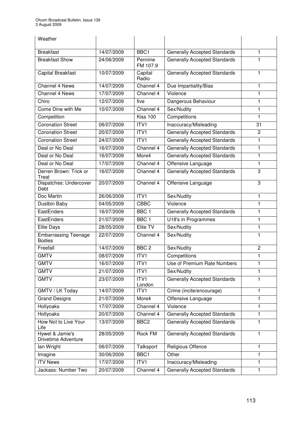| Weather                                       |            |                     |                                     |                |
|-----------------------------------------------|------------|---------------------|-------------------------------------|----------------|
| <b>Breakfast</b>                              | 14/07/2009 | BBC <sub>1</sub>    | <b>Generally Accepted Standards</b> | 1              |
| <b>Breakfast Show</b>                         | 24/06/2009 | Pennine<br>FM 107.9 | <b>Generally Accepted Standards</b> | 1              |
| <b>Capital Breakfast</b>                      | 10/07/2009 | Capital<br>Radio    | <b>Generally Accepted Standards</b> | 1              |
| Channel 4 News                                | 14/07/2009 | Channel 4           | Due Impartiality/Bias               | 1              |
| <b>Channel 4 News</b>                         | 17/07/2009 | Channel 4           | Violence                            | $\mathbf{1}$   |
| Chiro                                         | 12/07/2009 | five                | Dangerous Behaviour                 | $\mathbf{1}$   |
| Come Dine with Me                             | 10/07/2009 | Channel 4           | Sex/Nudity                          | $\mathbf{1}$   |
| Competition                                   |            | <b>Kiss 100</b>     | Competitions                        | 1              |
| <b>Coronation Street</b>                      | 06/07/2009 | ITV1                | Inaccuracy/Misleading               | 31             |
| <b>Coronation Street</b>                      | 20/07/2009 | ITV1                | <b>Generally Accepted Standards</b> | $\overline{c}$ |
| <b>Coronation Street</b>                      | 24/07/2009 | ITV1                | <b>Generally Accepted Standards</b> | 1              |
| Deal or No Deal                               | 16/07/2009 | Channel 4           | <b>Generally Accepted Standards</b> | 1              |
| Deal or No Deal                               | 16/07/2009 | More4               | <b>Generally Accepted Standards</b> | 1              |
| Deal or No Deal                               | 17/07/2009 | Channel 4           | Offensive Language                  | 1              |
| Derren Brown: Trick or<br>Treat               | 16/07/2009 | Channel 4           | <b>Generally Accepted Standards</b> | 3              |
| Dispatches: Undercover<br>Debt                | 20/07/2009 | Channel 4           | Offensive Language                  | 3              |
| Doc Martin                                    | 26/06/2009 | ITVI                | Sex/Nudity                          | $\mathbf{1}$   |
| Dustbin Baby                                  | 04/05/2009 | <b>CBBC</b>         | Violence                            | 1              |
| EastEnders                                    | 16/07/2009 | BBC <sub>1</sub>    | <b>Generally Accepted Standards</b> | 1              |
| EastEnders                                    | 21/07/2009 | BBC <sub>1</sub>    | U18's in Programmes                 | 1              |
| <b>Elite Days</b>                             | 28/05/2009 | Elite TV            | Sex/Nudity                          | 1              |
| <b>Embarrassing Teenage</b><br><b>Bodies</b>  | 22/07/2009 | Channel 4           | Sex/Nudity                          | 1              |
| Freefall                                      | 14/07/2009 | BBC <sub>2</sub>    | Sex/Nudity                          | $\overline{c}$ |
| <b>GMTV</b>                                   | 08/07/2009 | ITV1                | Competitions                        | 1              |
| <b>GMTV</b>                                   | 16/07/2009 | ITV <sub>1</sub>    | Use of Premium Rate Numbers         | 1              |
| <b>GMTV</b>                                   | 21/07/2009 | ITV1                | Sex/Nudity                          | 1              |
| <b>GMTV</b>                                   | 23/07/2009 | ITV1<br>London      | <b>Generally Accepted Standards</b> | 1.             |
| GMTV / LK Today                               | 14/07/2009 | ITV1                | Crime (incite/encourage)            | 1              |
| <b>Grand Designs</b>                          | 21/07/2009 | More4               | Offensive Language                  | 1              |
| Hollyoaks                                     | 17/07/2009 | Channel 4           | Violence                            | 1              |
| Hollyoaks                                     | 20/07/2009 | Channel 4           | <b>Generally Accepted Standards</b> | 1              |
| How Not to Live Your<br>Life                  | 13/07/2009 | BBC <sub>2</sub>    | <b>Generally Accepted Standards</b> | 1              |
| Hywel & Jamie's<br><b>Drivetime Adventure</b> | 28/05/2009 | Rock FM             | <b>Generally Accepted Standards</b> | 1              |
| lan Wright                                    | 06/07/2009 | Talksport           | Religious Offence                   | $\mathbf{1}$   |
| Imagine                                       | 30/06/2009 | BBC1                | Other                               | 1              |
| <b>ITV News</b>                               | 17/07/2009 | ITV1                | Inaccuracy/Misleading               | 1              |
| Jackass: Number Two                           | 20/07/2009 | Channel 4           | <b>Generally Accepted Standards</b> | $\mathbf{1}$   |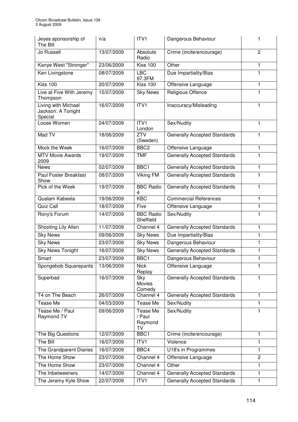| Jeyes sponsorship of<br>The Bill                     | n/a        | ITV <sub>1</sub>                    | Dangerous Behaviour                 | 1              |
|------------------------------------------------------|------------|-------------------------------------|-------------------------------------|----------------|
| Jo Russell                                           | 13/07/2009 | Absolute<br>Radio                   | Crime (incite/encourage)            | $\overline{c}$ |
| Kanye West "Stronger"                                | 23/06/2009 | <b>Kiss 100</b>                     | Other                               | 1              |
| Ken Livingstone                                      | 08/07/2009 | <b>LBC</b><br>97.3FM                | Due Impartiality/Bias               | $\mathbf{1}$   |
| <b>Kiss 100</b>                                      | 20/07/2009 | <b>Kiss 100</b>                     | Offensive Language                  | 1              |
| Live at Five With Jeremy<br>Thompson                 | 15/07/2009 | <b>Sky News</b>                     | Religious Offence                   | 1              |
| Living with Michael<br>Jackson: A Tonight<br>Special | 16/07/2009 | ITVI                                | Inaccuracy/Misleading               | 1              |
| Loose Women                                          | 24/07/2009 | ITV1<br>London                      | Sex/Nudity                          | 1              |
| Mad TV                                               | 18/06/2009 | ZTV<br>(Sweden)                     | <b>Generally Accepted Standards</b> | 1              |
| Mock the Week                                        | 16/07/2009 | BBC <sub>2</sub>                    | Offensive Language                  | 1              |
| <b>MTV Movie Awards</b><br>2009                      | 19/07/2009 | <b>TMF</b>                          | <b>Generally Accepted Standards</b> | 1              |
| <b>News</b>                                          | 02/07/2009 | BBC1                                | <b>Generally Accepted Standards</b> | $\mathbf{1}$   |
| <b>Paul Foster Breakfast</b><br>Show                 | 08/07/2009 | Viking FM                           | <b>Generally Accepted Standards</b> | 1              |
| Pick of the Week                                     | 19/07/2009 | <b>BBC Radio</b><br>4               | <b>Generally Accepted Standards</b> | 1              |
| Qualam Kabeela                                       | 19/06/2009 | <b>KBC</b>                          | <b>Commercial References</b>        | $\mathbf{1}$   |
| Quiz Call                                            | 18/07/2009 | Five                                | Offensive Language                  | $\mathbf{1}$   |
| Rony's Forum                                         | 14/07/2009 | <b>BBC Radio</b><br>Sheffield       | Sex/Nudity                          | 1              |
| <b>Shooting Lily Allen</b>                           | 11/07/2009 | Channel 4                           | <b>Generally Accepted Standards</b> | 1              |
| <b>Sky News</b>                                      | 09/06/2009 | <b>Sky News</b>                     | Due Impartiality/Bias               | 1              |
| <b>Sky News</b>                                      | 23/07/2009 | <b>Sky News</b>                     | Dangerous Behaviour                 | 1              |
| <b>Sky News Tonight</b>                              | 16/07/2009 | <b>Sky News</b>                     | <b>Generally Accepted Standards</b> | 1              |
| Smart                                                | 23/07/2009 | BBC1                                | Dangerous Behaviour                 | 1              |
| Spongebob Squarepants                                | 13/06/2009 | <b>Nick</b><br>Replay               | Offensive Language                  | 1              |
| Superbad                                             | 16/07/2009 | Sky<br>Movies<br>Comedy             | <b>Generally Accepted Standards</b> | 1              |
| T4 on The Beach                                      | 26/07/2009 | Channel 4                           | <b>Generally Accepted Standards</b> | 1              |
| Tease Me                                             | 04/03/2009 | Tease Me                            | Sex/Nudity                          | $\mathbf{1}$   |
| Tease Me / Paul<br>Raymond TV                        | 09/06/2009 | Tease Me<br>/ Paul<br>Raymond<br>TV | Sex/Nudity                          | $\blacksquare$ |
| The Big Questions                                    | 12/07/2009 | BBC1                                | Crime (incite/encourage)            | 1              |
| The Bill                                             | 16/07/2009 | ITV <sub>1</sub>                    | Violence                            | 1              |
| The Grandparent Diaries                              | 16/07/2009 | BBC4                                | U18's in Programmes                 | $\mathbf{1}$   |
| The Home Show                                        | 23/07/2009 | Channel 4                           | Offensive Language                  | $\overline{c}$ |
| The Home Show                                        | 23/07/2009 | Channel 4                           | Other                               | 1              |
| The Inbetweeners                                     | 14/07/2009 | Channel 4                           | <b>Generally Accepted Standards</b> | 1              |
| The Jeremy Kyle Show                                 | 22/07/2009 | ITVI                                | <b>Generally Accepted Standards</b> | 1              |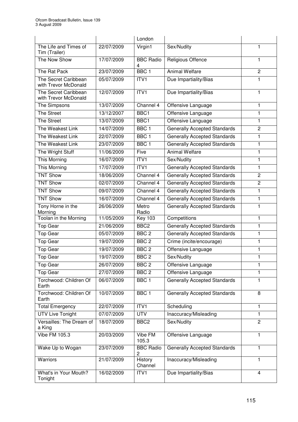|                                              |            | London                |                                     |                |
|----------------------------------------------|------------|-----------------------|-------------------------------------|----------------|
| The Life and Times of<br>Tim (Trailer)       | 22/07/2009 | Virgin1               | Sex/Nudity                          | 1              |
| The Now Show                                 | 17/07/2009 | <b>BBC Radio</b><br>4 | Religious Offence                   | 1              |
| The Rat Pack                                 | 23/07/2009 | BBC <sub>1</sub>      | <b>Animal Welfare</b>               | $\overline{c}$ |
| The Secret Caribbean<br>with Trevor McDonald | 05/07/2009 | ITV <sub>1</sub>      | Due Impartiality/Bias               | 1              |
| The Secret Caribbean<br>with Trevor McDonald | 12/07/2009 | ITV1                  | Due Impartiality/Bias               | 1              |
| The Simpsons                                 | 13/07/2009 | Channel 4             | Offensive Language                  | 1              |
| <b>The Street</b>                            | 13/12/2007 | BBC1                  | Offensive Language                  | $\mathbf{1}$   |
| <b>The Street</b>                            | 13/07/2009 | BBC1                  | Offensive Language                  | 1              |
| The Weakest Link                             | 14/07/2009 | BBC <sub>1</sub>      | <b>Generally Accepted Standards</b> | $\overline{c}$ |
| The Weakest Link                             | 22/07/2009 | BBC <sub>1</sub>      | <b>Generally Accepted Standards</b> | 1              |
| The Weakest Link                             | 23/07/2009 | BBC <sub>1</sub>      | Generally Accepted Standards        | 1              |
| The Wright Stuff                             | 11/06/2009 | Five                  | <b>Animal Welfare</b>               | 1              |
| <b>This Morning</b>                          | 16/07/2009 | ITVI                  | Sex/Nudity                          | 1              |
| This Morning                                 | 17/07/2009 | ITV1                  | <b>Generally Accepted Standards</b> | 1              |
| <b>TNT Show</b>                              | 18/06/2009 | Channel 4             | <b>Generally Accepted Standards</b> | $\overline{c}$ |
| <b>TNT Show</b>                              | 02/07/2009 | Channel 4             | <b>Generally Accepted Standards</b> | $\overline{c}$ |
| <b>TNT Show</b>                              | 09/07/2009 | Channel 4             | <b>Generally Accepted Standards</b> | $\mathbf{1}$   |
| <b>TNT Show</b>                              | 16/07/2009 | Channel 4             | <b>Generally Accepted Standards</b> | 1              |
| Tony Horne in the<br>Morning                 | 26/06/2009 | Metro<br>Radio        | <b>Generally Accepted Standards</b> | $\overline{1}$ |
| Toolan in the Morning                        | 11/05/2009 | <b>Key 103</b>        | Competitions                        | 1              |
| <b>Top Gear</b>                              | 21/06/2009 | BBC <sub>2</sub>      | Generally Accepted Standards        | 1              |
| Top Gear                                     | 05/07/2009 | BBC <sub>2</sub>      | <b>Generally Accepted Standards</b> | 1              |
| <b>Top Gear</b>                              | 19/07/2009 | BBC <sub>2</sub>      | Crime (incite/encourage)            | 1              |
| <b>Top Gear</b>                              | 19/07/2009 | BBC <sub>2</sub>      | Offensive Language                  | 1              |
| <b>Top Gear</b>                              | 19/07/2009 | BBC <sub>2</sub>      | Sex/Nudity                          | 1              |
| <b>Top Gear</b>                              | 26/07/2009 | BBC <sub>2</sub>      | Offensive Language                  | 1              |
| <b>Top Gear</b>                              | 27/07/2009 | BBC <sub>2</sub>      | Offensive Language                  | 1              |
| Torchwood: Children Of<br>Earth              | 06/07/2009 | BBC <sub>1</sub>      | <b>Generally Accepted Standards</b> | 1              |
| Torchwood: Children Of<br>Earth              | 10/07/2009 | BBC <sub>1</sub>      | <b>Generally Accepted Standards</b> | 8              |
| <b>Total Emergency</b>                       | 22/07/2009 | ITV1                  | Scheduling                          | 1              |
| <b>UTV Live Tonight</b>                      | 07/07/2009 | <b>UTV</b>            | Inaccuracy/Misleading               | $\mathbf{1}$   |
| Versailles: The Dream of<br>a King           | 18/07/2009 | BBC <sub>2</sub>      | Sex/Nudity                          | $\overline{c}$ |
| <b>Vibe FM 105.3</b>                         | 20/03/2009 | Vibe FM<br>105.3      | Offensive Language                  | 1              |
| Wake Up to Wogan                             | 23/07/2009 | <b>BBC Radio</b><br>2 | <b>Generally Accepted Standards</b> | 1              |
| Warriors                                     | 21/07/2009 | History<br>Channel    | Inaccuracy/Misleading               | $\mathbf{1}$   |
| What's in Your Mouth?<br>Tonight             | 16/02/2009 | ITV1                  | Due Impartiality/Bias               | 4              |